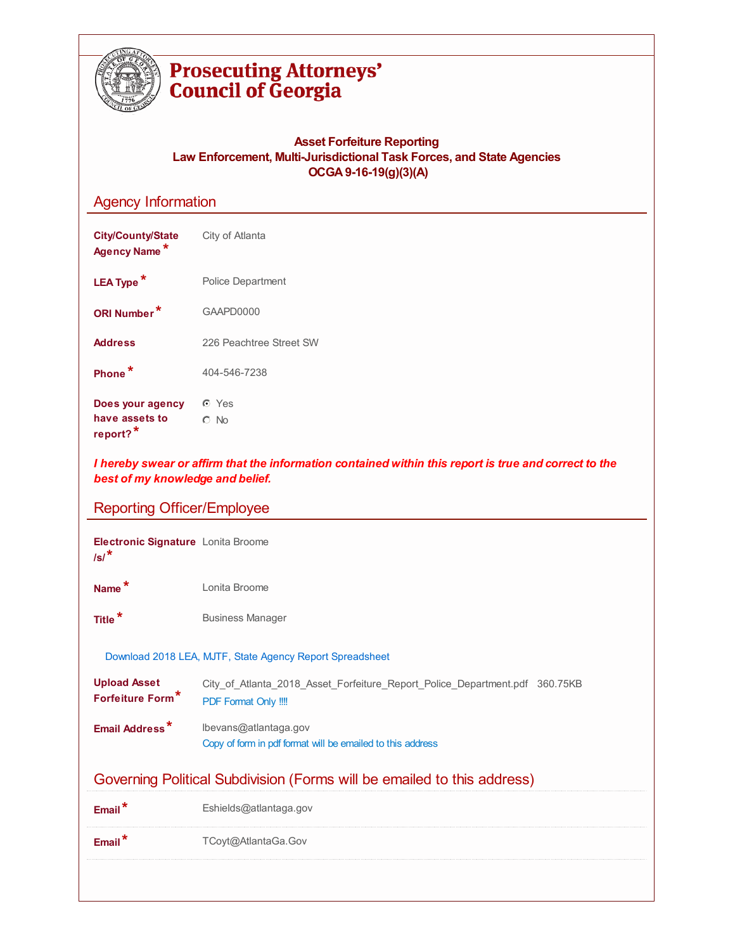

J.

# **Prosecuting Attorneys'**<br>Council of Georgia

## **Asset Forfeiture Reporting Law Enforcement, Multi-Jurisdictional Task Forces, and State Agencies OCGA9-16-19(g)(3)(A)**

# Agency Information

| <b>City/County/State</b><br>Agency Name*                                                                                                  | City of Atlanta           |  |  |  |
|-------------------------------------------------------------------------------------------------------------------------------------------|---------------------------|--|--|--|
| LEA Type <sup>*</sup>                                                                                                                     | Police Department         |  |  |  |
| ORI Number*                                                                                                                               | GAAPD0000                 |  |  |  |
| <b>Address</b>                                                                                                                            | 226 Peachtree Street SW   |  |  |  |
| Phone <sup>*</sup>                                                                                                                        | 404-546-7238              |  |  |  |
| Does your agency<br>have assets to<br>report? <sup>*</sup>                                                                                | $\odot$ Yes<br>$\circ$ No |  |  |  |
| I hereby swear or affirm that the information contained within this report is true and correct to the<br>best of my knowledge and belief. |                           |  |  |  |
| <b>Reporting Officer/Employee</b>                                                                                                         |                           |  |  |  |
| <b>Electronic Signature</b> Lonita Broome                                                                                                 |                           |  |  |  |

| Electronic Signature Lonita Broome<br>$\sqrt{s}$ /* |                                                                                                     |
|-----------------------------------------------------|-----------------------------------------------------------------------------------------------------|
| Name <sup>*</sup>                                   | Lonita Broome                                                                                       |
| Title <sup>*</sup>                                  | <b>Business Manager</b>                                                                             |
|                                                     | Download 2018 LEA, MJTF, State Agency Report Spreadsheet                                            |
| <b>Upload Asset</b><br>Forfeiture Form*             | City of Atlanta 2018 Asset Forfeiture Report Police Department.pdf 360.75KB<br>PDF Format Only !!!! |
| Email Address*                                      | lbevans@atlantaga.gov<br>Copy of form in pdf format will be emailed to this address                 |
|                                                     | Governing Political Subdivision (Forms will be emailed to this address)                             |
| Email <sup>*</sup>                                  | Eshields@atlantaga.gov                                                                              |
| $Email^*$                                           | TCoyt@AtlantaGa.Gov                                                                                 |
|                                                     |                                                                                                     |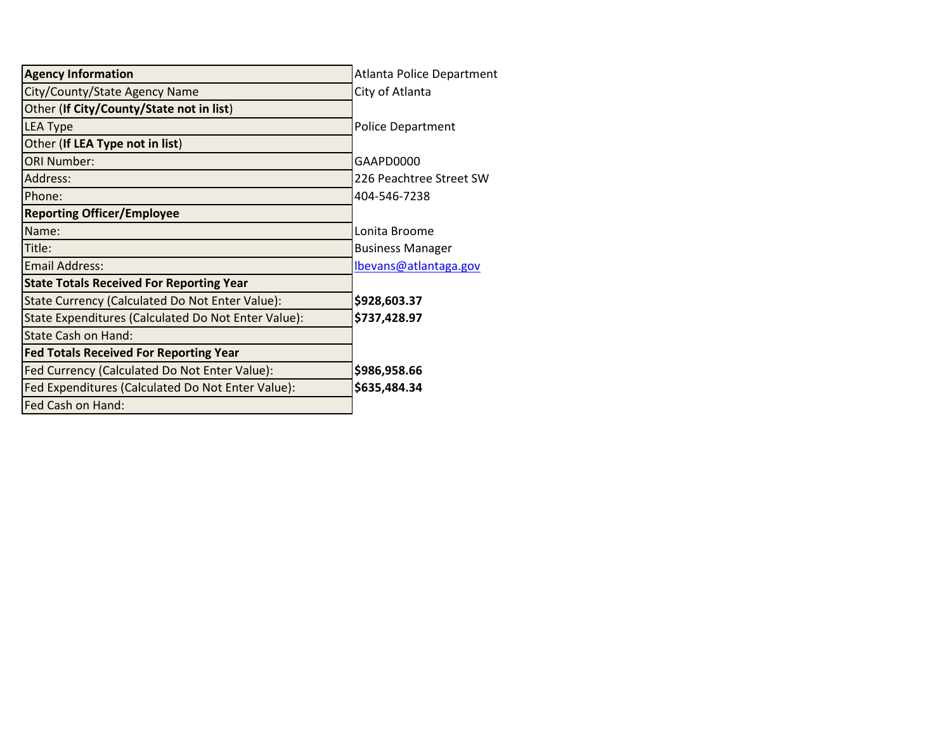| <b>Agency Information</b>                           | <b>Atlanta Police Department</b> |
|-----------------------------------------------------|----------------------------------|
| City/County/State Agency Name                       | City of Atlanta                  |
| Other (If City/County/State not in list)            |                                  |
| <b>LEA Type</b>                                     | <b>Police Department</b>         |
| Other (If LEA Type not in list)                     |                                  |
| <b>ORI Number:</b>                                  | GAAPD0000                        |
| Address:                                            | 226 Peachtree Street SW          |
| Phone:                                              | 404-546-7238                     |
| <b>Reporting Officer/Employee</b>                   |                                  |
| Name:                                               | Lonita Broome                    |
| Title:                                              | <b>Business Manager</b>          |
| <b>Email Address:</b>                               | Ibevans@atlantaga.gov            |
| <b>State Totals Received For Reporting Year</b>     |                                  |
| State Currency (Calculated Do Not Enter Value):     | \$928,603.37                     |
| State Expenditures (Calculated Do Not Enter Value): | \$737,428.97                     |
| State Cash on Hand:                                 |                                  |
| <b>Fed Totals Received For Reporting Year</b>       |                                  |
| Fed Currency (Calculated Do Not Enter Value):       | \$986,958.66                     |
| Fed Expenditures (Calculated Do Not Enter Value):   | \$635,484.34                     |
| Fed Cash on Hand:                                   |                                  |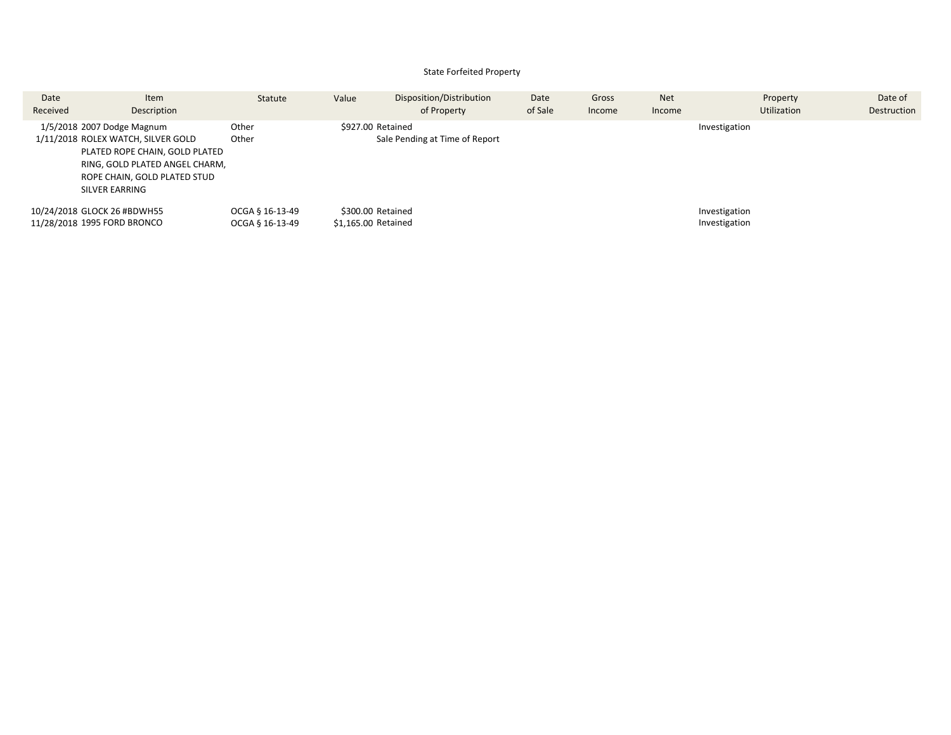#### State Forfeited Property

| Date<br>Received | Item<br>Description                                                                                                                                                                    | Statute                            | Value                                    | Disposition/Distribution<br>of Property | Date<br>of Sale | Gross<br>Income | <b>Net</b><br>Income | Property<br>Utilization        | Date of<br>Destruction |
|------------------|----------------------------------------------------------------------------------------------------------------------------------------------------------------------------------------|------------------------------------|------------------------------------------|-----------------------------------------|-----------------|-----------------|----------------------|--------------------------------|------------------------|
|                  | 1/5/2018 2007 Dodge Magnum<br>1/11/2018 ROLEX WATCH, SILVER GOLD<br>PLATED ROPE CHAIN, GOLD PLATED<br>RING, GOLD PLATED ANGEL CHARM,<br>ROPE CHAIN, GOLD PLATED STUD<br>SILVER EARRING | Other<br>Other                     | \$927.00 Retained                        | Sale Pending at Time of Report          |                 |                 |                      | Investigation                  |                        |
|                  | 10/24/2018 GLOCK 26 #BDWH55<br>11/28/2018 1995 FORD BRONCO                                                                                                                             | OCGA § 16-13-49<br>OCGA § 16-13-49 | \$300.00 Retained<br>\$1,165.00 Retained |                                         |                 |                 |                      | Investigation<br>Investigation |                        |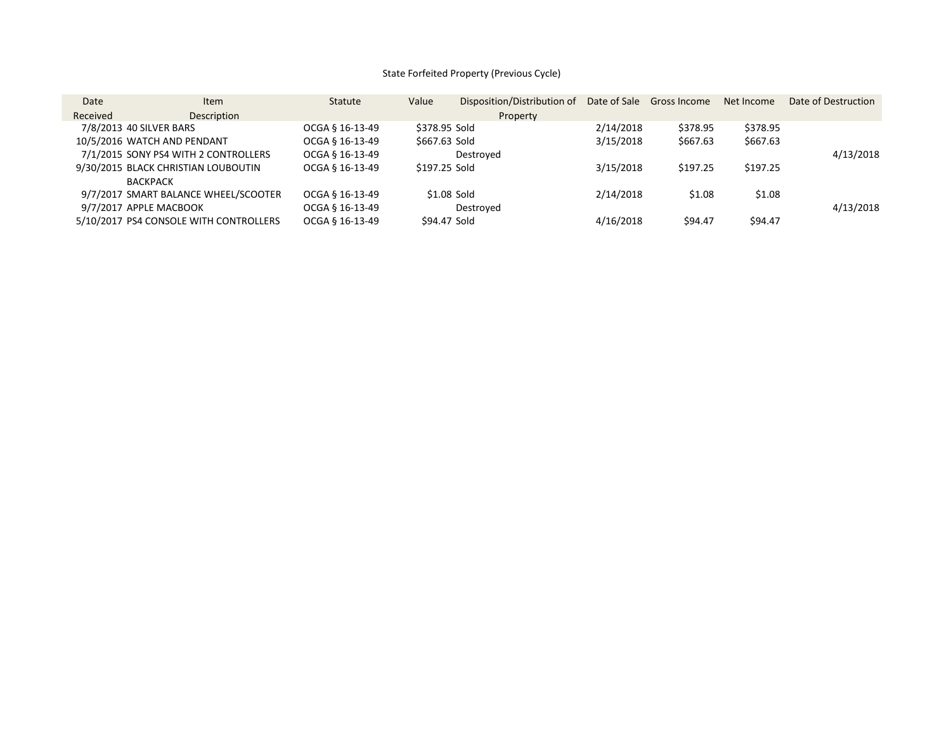### State Forfeited Property (Previous Cycle)

| Date                    | <b>Item</b>                            | Statute         | Value         | Disposition/Distribution of | Date of Sale | Gross Income | Net Income | Date of Destruction |
|-------------------------|----------------------------------------|-----------------|---------------|-----------------------------|--------------|--------------|------------|---------------------|
| Received                | <b>Description</b>                     |                 |               | Property                    |              |              |            |                     |
| 7/8/2013 40 SILVER BARS |                                        | OCGA § 16-13-49 | \$378.95 Sold |                             | 2/14/2018    | \$378.95     | \$378.95   |                     |
|                         | 10/5/2016 WATCH AND PENDANT            | OCGA § 16-13-49 | \$667.63 Sold |                             | 3/15/2018    | \$667.63     | \$667.63   |                     |
|                         | 7/1/2015 SONY PS4 WITH 2 CONTROLLERS   | OCGA § 16-13-49 |               | Destroved                   |              |              |            | 4/13/2018           |
|                         | 9/30/2015 BLACK CHRISTIAN LOUBOUTIN    | OCGA § 16-13-49 | \$197.25 Sold |                             | 3/15/2018    | \$197.25     | \$197.25   |                     |
| <b>BACKPACK</b>         |                                        |                 |               |                             |              |              |            |                     |
|                         | 9/7/2017 SMART BALANCE WHEEL/SCOOTER   | OCGA § 16-13-49 |               | \$1.08 Sold                 | 2/14/2018    | \$1.08       | \$1.08     |                     |
| 9/7/2017 APPLE MACBOOK  |                                        | OCGA § 16-13-49 |               | Destroved                   |              |              |            | 4/13/2018           |
|                         | 5/10/2017 PS4 CONSOLE WITH CONTROLLERS | OCGA § 16-13-49 |               | \$94.47 Sold                | 4/16/2018    | \$94.47      | \$94.47    |                     |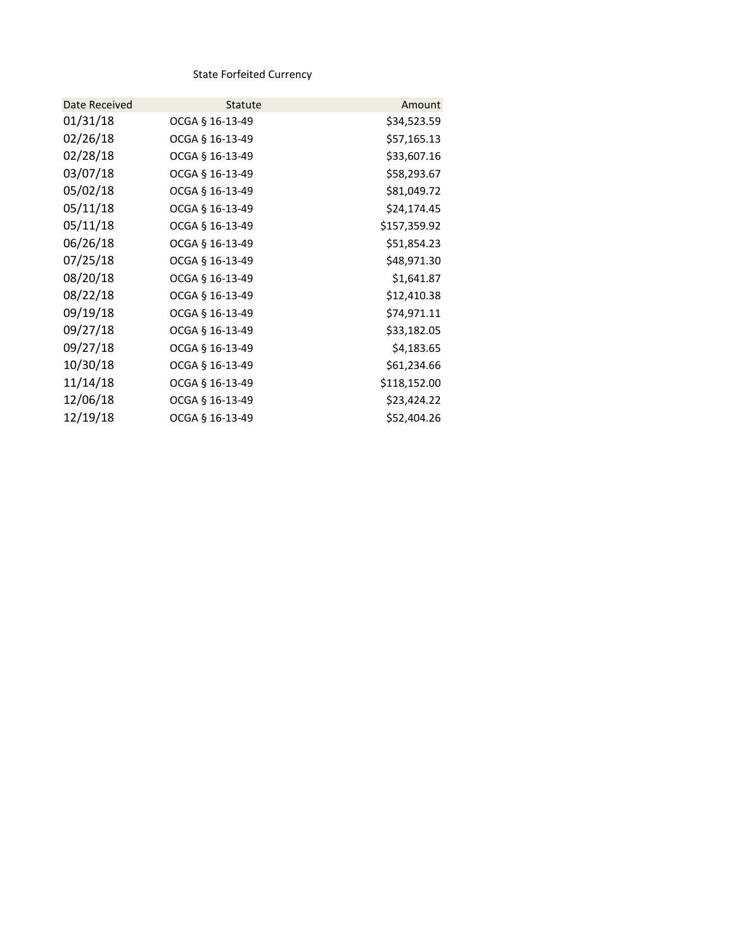State Forfeited Currency

| Date Received | <b>Statute</b>  | Amount       |
|---------------|-----------------|--------------|
| 01/31/18      | OCGA § 16-13-49 | \$34,523.59  |
| 02/26/18      | OCGA § 16-13-49 | \$57,165.13  |
| 02/28/18      | OCGA § 16-13-49 | \$33,607.16  |
| 03/07/18      | OCGA § 16-13-49 | \$58,293.67  |
| 05/02/18      | OCGA § 16-13-49 | \$81,049.72  |
| 05/11/18      | OCGA § 16-13-49 | \$24,174.45  |
| 05/11/18      | OCGA § 16-13-49 | \$157,359.92 |
| 06/26/18      | OCGA § 16-13-49 | \$51,854.23  |
| 07/25/18      | OCGA § 16-13-49 | \$48,971.30  |
| 08/20/18      | OCGA § 16-13-49 | \$1,641.87   |
| 08/22/18      | OCGA § 16-13-49 | \$12,410.38  |
| 09/19/18      | OCGA § 16-13-49 | \$74,971.11  |
| 09/27/18      | OCGA § 16-13-49 | \$33,182.05  |
| 09/27/18      | OCGA § 16-13-49 | \$4,183.65   |
| 10/30/18      | OCGA § 16-13-49 | \$61,234.66  |
| 11/14/18      | OCGA § 16-13-49 | \$118,152.00 |
| 12/06/18      | OCGA § 16-13-49 | \$23,424.22  |
| 12/19/18      | OCGA § 16-13-49 | \$52,404.26  |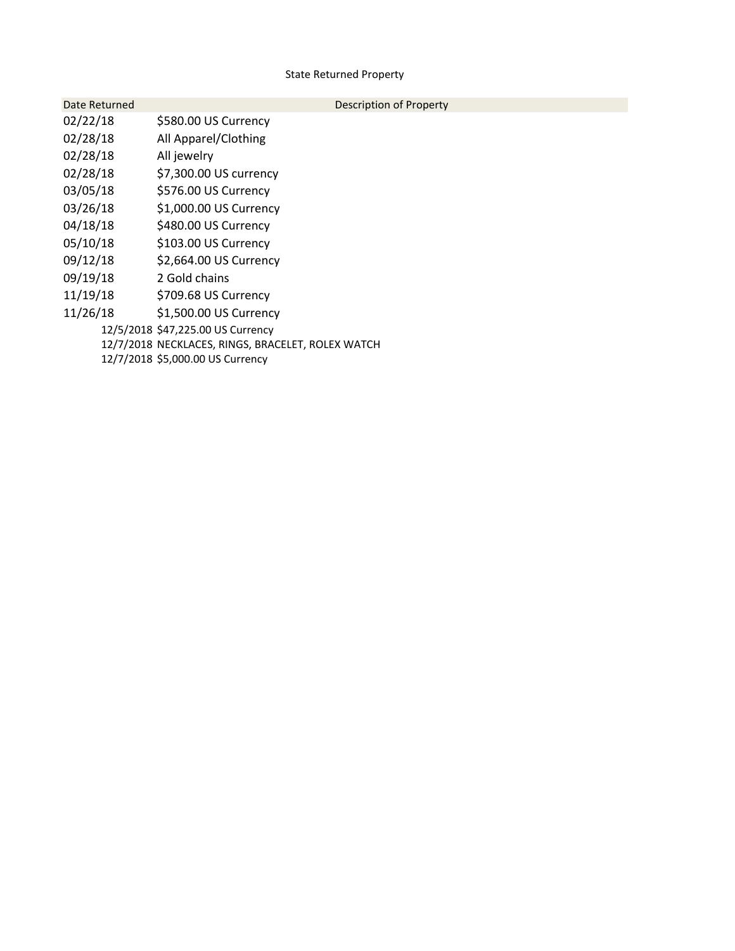### State Returned Property

| Date Returned | Description of Property                           |
|---------------|---------------------------------------------------|
| 02/22/18      | \$580.00 US Currency                              |
| 02/28/18      | All Apparel/Clothing                              |
| 02/28/18      | All jewelry                                       |
| 02/28/18      | \$7,300.00 US currency                            |
| 03/05/18      | \$576.00 US Currency                              |
| 03/26/18      | \$1,000.00 US Currency                            |
| 04/18/18      | \$480.00 US Currency                              |
| 05/10/18      | \$103.00 US Currency                              |
| 09/12/18      | \$2,664.00 US Currency                            |
| 09/19/18      | 2 Gold chains                                     |
| 11/19/18      | \$709.68 US Currency                              |
| 11/26/18      | \$1,500.00 US Currency                            |
|               | 12/5/2018 \$47,225.00 US Currency                 |
|               | 12/7/2018 NECKLACES, RINGS, BRACELET, ROLEX WATCH |
|               | 12/7/2018 \$5,000.00 US Currency                  |
|               |                                                   |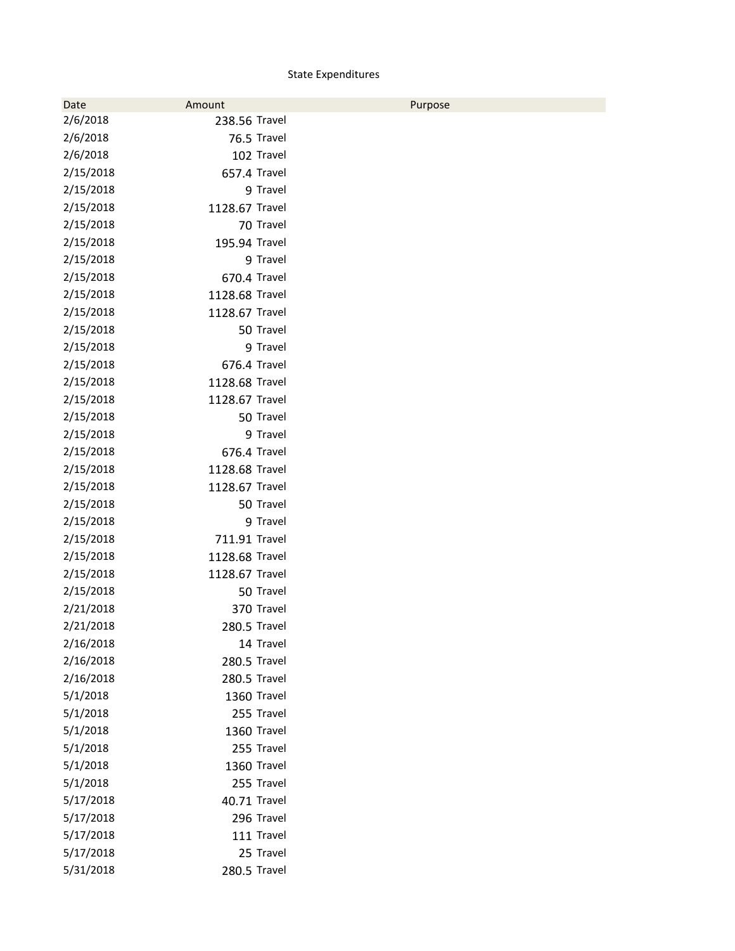### State Expenditures

| Date      | Amount         | Purpose |
|-----------|----------------|---------|
| 2/6/2018  | 238.56 Travel  |         |
| 2/6/2018  | 76.5 Travel    |         |
| 2/6/2018  | 102 Travel     |         |
| 2/15/2018 | 657.4 Travel   |         |
| 2/15/2018 | 9 Travel       |         |
| 2/15/2018 | 1128.67 Travel |         |
| 2/15/2018 | 70 Travel      |         |
| 2/15/2018 | 195.94 Travel  |         |
| 2/15/2018 | 9 Travel       |         |
| 2/15/2018 | 670.4 Travel   |         |
| 2/15/2018 | 1128.68 Travel |         |
| 2/15/2018 | 1128.67 Travel |         |
| 2/15/2018 | 50 Travel      |         |
| 2/15/2018 | 9 Travel       |         |
| 2/15/2018 | 676.4 Travel   |         |
| 2/15/2018 | 1128.68 Travel |         |
| 2/15/2018 | 1128.67 Travel |         |
| 2/15/2018 | 50 Travel      |         |
| 2/15/2018 | 9 Travel       |         |
| 2/15/2018 | 676.4 Travel   |         |
| 2/15/2018 | 1128.68 Travel |         |
| 2/15/2018 | 1128.67 Travel |         |
| 2/15/2018 | 50 Travel      |         |
| 2/15/2018 | 9 Travel       |         |
| 2/15/2018 | 711.91 Travel  |         |
| 2/15/2018 | 1128.68 Travel |         |
| 2/15/2018 | 1128.67 Travel |         |
| 2/15/2018 | 50 Travel      |         |
| 2/21/2018 | 370 Travel     |         |
| 2/21/2018 | 280.5 Travel   |         |
| 2/16/2018 | 14 Travel      |         |
| 2/16/2018 | 280.5 Travel   |         |
| 2/16/2018 | 280.5 Travel   |         |
| 5/1/2018  | 1360 Travel    |         |
| 5/1/2018  | 255 Travel     |         |
| 5/1/2018  | 1360 Travel    |         |
| 5/1/2018  | 255 Travel     |         |
| 5/1/2018  | 1360 Travel    |         |
| 5/1/2018  | 255 Travel     |         |
| 5/17/2018 | 40.71 Travel   |         |
| 5/17/2018 | 296 Travel     |         |
| 5/17/2018 | 111 Travel     |         |
| 5/17/2018 | 25 Travel      |         |
| 5/31/2018 | 280.5 Travel   |         |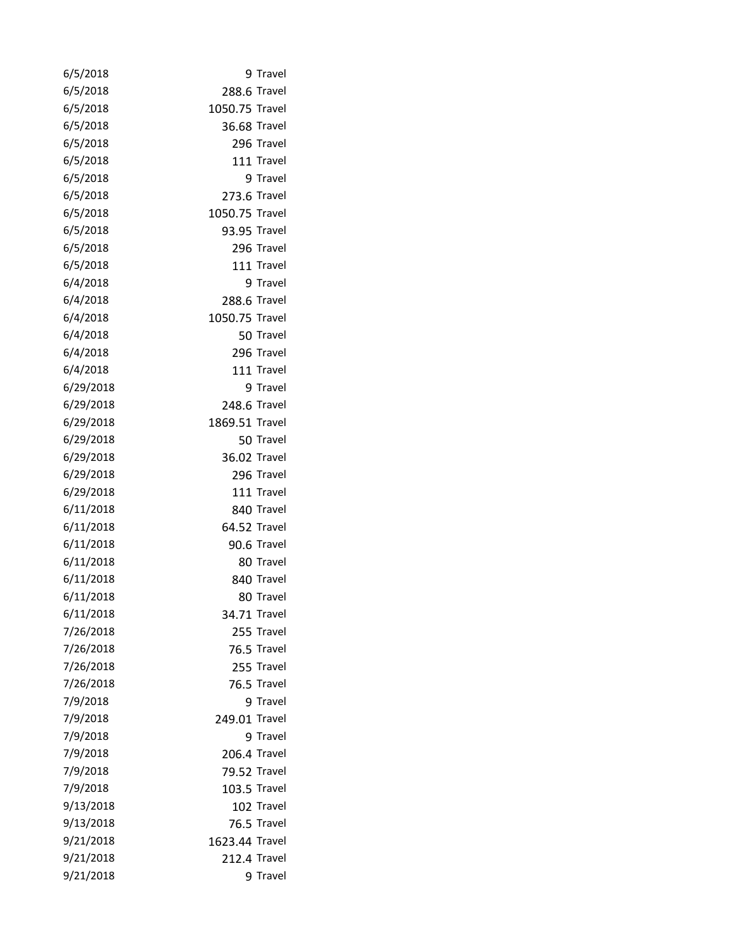| 6/5/2018  | 9 Travel       |
|-----------|----------------|
| 6/5/2018  | 288.6 Travel   |
| 6/5/2018  | 1050.75 Travel |
| 6/5/2018  | 36.68 Travel   |
| 6/5/2018  | 296 Travel     |
| 6/5/2018  | 111 Travel     |
| 6/5/2018  | 9 Travel       |
| 6/5/2018  | 273.6 Travel   |
| 6/5/2018  | 1050.75 Travel |
| 6/5/2018  | 93.95 Travel   |
| 6/5/2018  | 296 Travel     |
| 6/5/2018  | 111 Travel     |
| 6/4/2018  | 9 Travel       |
| 6/4/2018  | 288.6 Travel   |
| 6/4/2018  | 1050.75 Travel |
| 6/4/2018  | 50 Travel      |
| 6/4/2018  | 296 Travel     |
| 6/4/2018  | 111 Travel     |
| 6/29/2018 | 9 Travel       |
| 6/29/2018 | 248.6 Travel   |
| 6/29/2018 | 1869.51 Travel |
| 6/29/2018 | 50 Travel      |
| 6/29/2018 | 36.02 Travel   |
| 6/29/2018 | 296 Travel     |
| 6/29/2018 | 111 Travel     |
| 6/11/2018 | 840 Travel     |
| 6/11/2018 | 64.52 Travel   |
| 6/11/2018 | 90.6 Travel    |
| 6/11/2018 | 80 Travel      |
| 6/11/2018 | 840 Travel     |
| 6/11/2018 | 80 Travel      |
| 6/11/2018 | 34.71 Travel   |
| 7/26/2018 | 255 Travel     |
| 7/26/2018 | 76.5 Travel    |
| 7/26/2018 | 255 Travel     |
| 7/26/2018 | 76.5 Travel    |
| 7/9/2018  | 9 Travel       |
| 7/9/2018  | 249.01 Travel  |
| 7/9/2018  | 9 Travel       |
| 7/9/2018  | 206.4 Travel   |
| 7/9/2018  | 79.52 Travel   |
| 7/9/2018  | 103.5 Travel   |
| 9/13/2018 | 102 Travel     |
| 9/13/2018 | 76.5 Travel    |
| 9/21/2018 | 1623.44 Travel |
| 9/21/2018 | 212.4 Travel   |
| 9/21/2018 | 9 Travel       |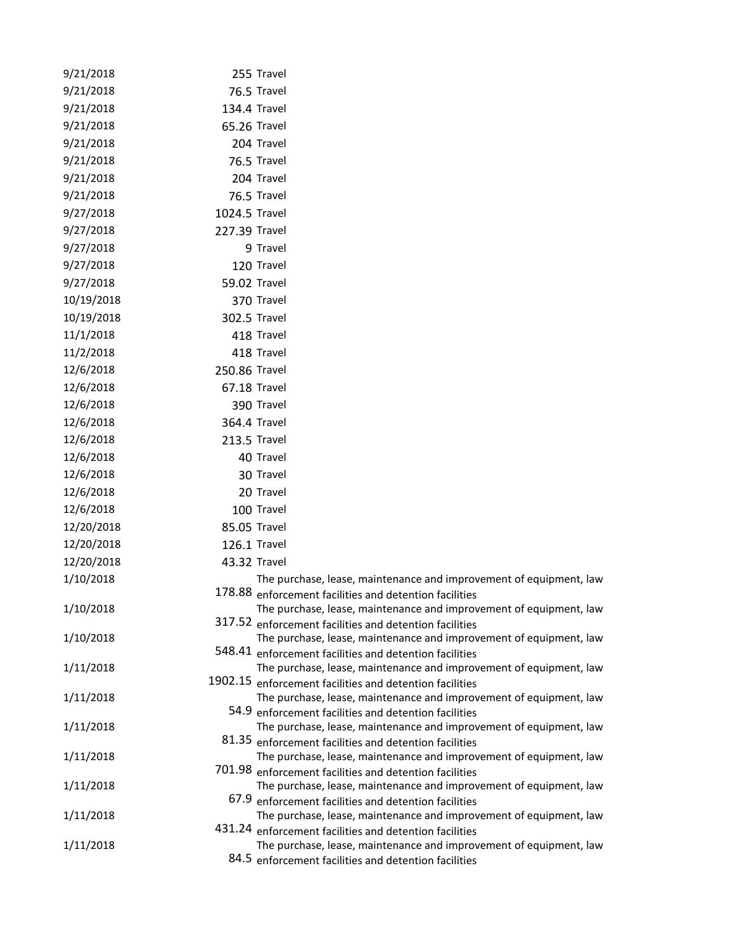| 9/21/2018  |               | 255 Travel                                                                                                                    |
|------------|---------------|-------------------------------------------------------------------------------------------------------------------------------|
| 9/21/2018  |               | 76.5 Travel                                                                                                                   |
| 9/21/2018  |               | 134.4 Travel                                                                                                                  |
| 9/21/2018  |               | 65.26 Travel                                                                                                                  |
| 9/21/2018  |               | 204 Travel                                                                                                                    |
| 9/21/2018  |               | 76.5 Travel                                                                                                                   |
| 9/21/2018  |               | 204 Travel                                                                                                                    |
| 9/21/2018  |               | 76.5 Travel                                                                                                                   |
| 9/27/2018  | 1024.5 Travel |                                                                                                                               |
| 9/27/2018  | 227.39 Travel |                                                                                                                               |
| 9/27/2018  |               | 9 Travel                                                                                                                      |
| 9/27/2018  |               | 120 Travel                                                                                                                    |
| 9/27/2018  |               | 59.02 Travel                                                                                                                  |
| 10/19/2018 |               | 370 Travel                                                                                                                    |
| 10/19/2018 |               | 302.5 Travel                                                                                                                  |
| 11/1/2018  |               | 418 Travel                                                                                                                    |
| 11/2/2018  |               | 418 Travel                                                                                                                    |
| 12/6/2018  | 250.86 Travel |                                                                                                                               |
| 12/6/2018  |               | 67.18 Travel                                                                                                                  |
| 12/6/2018  |               | 390 Travel                                                                                                                    |
| 12/6/2018  |               | 364.4 Travel                                                                                                                  |
| 12/6/2018  |               | 213.5 Travel                                                                                                                  |
| 12/6/2018  |               | 40 Travel                                                                                                                     |
| 12/6/2018  |               | 30 Travel                                                                                                                     |
| 12/6/2018  |               | 20 Travel                                                                                                                     |
| 12/6/2018  |               | 100 Travel                                                                                                                    |
| 12/20/2018 | 85.05 Travel  |                                                                                                                               |
| 12/20/2018 |               | 126.1 Travel                                                                                                                  |
| 12/20/2018 |               | 43.32 Travel                                                                                                                  |
| 1/10/2018  |               | The purchase, lease, maintenance and improvement of equipment, law<br>178.88 enforcement facilities and detention facilities  |
| 1/10/2018  |               | The purchase, lease, maintenance and improvement of equipment, law<br>317.52 enforcement facilities and detention facilities  |
| 1/10/2018  |               | The purchase, lease, maintenance and improvement of equipment, law<br>548.41 enforcement facilities and detention facilities  |
| 1/11/2018  |               | The purchase, lease, maintenance and improvement of equipment, law<br>1902.15 enforcement facilities and detention facilities |
| 1/11/2018  |               | The purchase, lease, maintenance and improvement of equipment, law<br>54.9 enforcement facilities and detention facilities    |
| 1/11/2018  |               | The purchase, lease, maintenance and improvement of equipment, law                                                            |
|            |               | 81.35 enforcement facilities and detention facilities                                                                         |
| 1/11/2018  |               | The purchase, lease, maintenance and improvement of equipment, law                                                            |
|            |               | 701.98 enforcement facilities and detention facilities                                                                        |
| 1/11/2018  |               | The purchase, lease, maintenance and improvement of equipment, law<br>67.9 enforcement facilities and detention facilities    |
| 1/11/2018  |               | The purchase, lease, maintenance and improvement of equipment, law                                                            |
|            |               | 431.24 enforcement facilities and detention facilities                                                                        |
| 1/11/2018  |               | The purchase, lease, maintenance and improvement of equipment, law                                                            |
|            |               | 84.5 enforcement facilities and detention facilities                                                                          |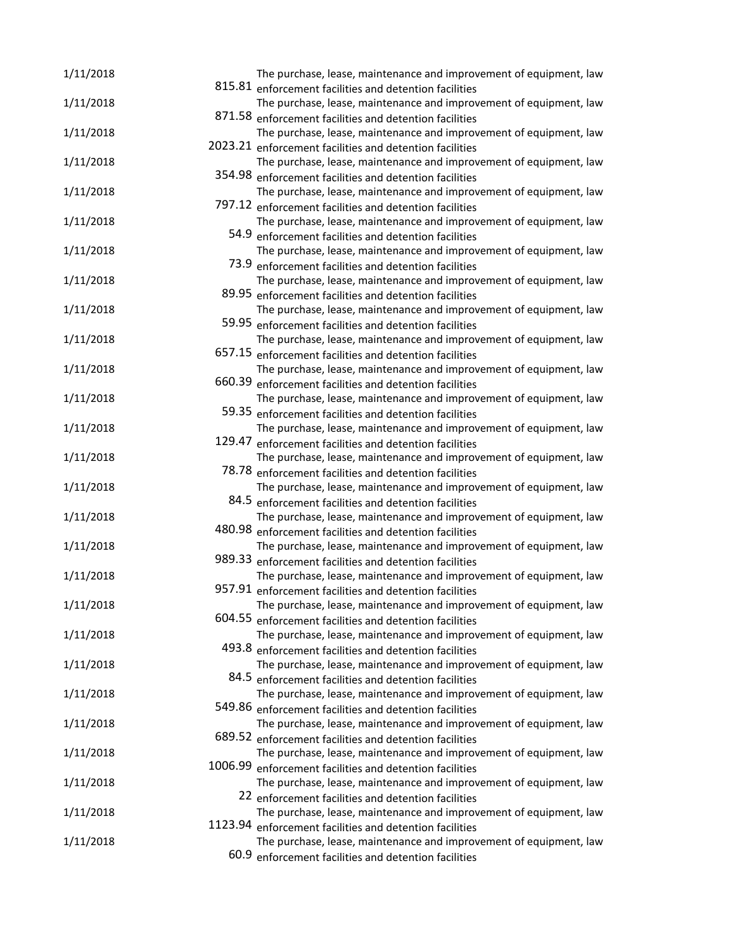| 1/11/2018 | The purchase, lease, maintenance and improvement of equipment, law                                                           |
|-----------|------------------------------------------------------------------------------------------------------------------------------|
|           | 815.81 enforcement facilities and detention facilities                                                                       |
| 1/11/2018 | The purchase, lease, maintenance and improvement of equipment, law                                                           |
|           | 871.58 enforcement facilities and detention facilities                                                                       |
| 1/11/2018 | The purchase, lease, maintenance and improvement of equipment, law                                                           |
|           | 2023.21 enforcement facilities and detention facilities                                                                      |
| 1/11/2018 | The purchase, lease, maintenance and improvement of equipment, law                                                           |
|           | 354.98 enforcement facilities and detention facilities                                                                       |
| 1/11/2018 | The purchase, lease, maintenance and improvement of equipment, law                                                           |
|           | 797.12 enforcement facilities and detention facilities                                                                       |
| 1/11/2018 | The purchase, lease, maintenance and improvement of equipment, law                                                           |
|           | 54.9 enforcement facilities and detention facilities                                                                         |
| 1/11/2018 | The purchase, lease, maintenance and improvement of equipment, law                                                           |
|           | 73.9 enforcement facilities and detention facilities                                                                         |
| 1/11/2018 | The purchase, lease, maintenance and improvement of equipment, law                                                           |
|           | 89.95 enforcement facilities and detention facilities                                                                        |
| 1/11/2018 | The purchase, lease, maintenance and improvement of equipment, law                                                           |
|           | 59.95 enforcement facilities and detention facilities<br>The purchase, lease, maintenance and improvement of equipment, law  |
| 1/11/2018 | 657.15 enforcement facilities and detention facilities                                                                       |
|           |                                                                                                                              |
| 1/11/2018 | The purchase, lease, maintenance and improvement of equipment, law<br>660.39 enforcement facilities and detention facilities |
| 1/11/2018 |                                                                                                                              |
|           | The purchase, lease, maintenance and improvement of equipment, law<br>59.35 enforcement facilities and detention facilities  |
|           |                                                                                                                              |
| 1/11/2018 | The purchase, lease, maintenance and improvement of equipment, law<br>129.47 enforcement facilities and detention facilities |
|           |                                                                                                                              |
| 1/11/2018 | The purchase, lease, maintenance and improvement of equipment, law<br>78.78 enforcement facilities and detention facilities  |
| 1/11/2018 | The purchase, lease, maintenance and improvement of equipment, law                                                           |
|           | 84.5 enforcement facilities and detention facilities                                                                         |
| 1/11/2018 | The purchase, lease, maintenance and improvement of equipment, law                                                           |
|           | 480.98 enforcement facilities and detention facilities                                                                       |
| 1/11/2018 | The purchase, lease, maintenance and improvement of equipment, law                                                           |
|           | 989.33 enforcement facilities and detention facilities                                                                       |
| 1/11/2018 | The purchase, lease, maintenance and improvement of equipment, law                                                           |
|           | 957.91 enforcement facilities and detention facilities                                                                       |
| 1/11/2018 | The purchase, lease, maintenance and improvement of equipment, law                                                           |
|           | 604.55 enforcement facilities and detention facilities                                                                       |
| 1/11/2018 | The purchase, lease, maintenance and improvement of equipment, law                                                           |
|           | 493.8 enforcement facilities and detention facilities                                                                        |
| 1/11/2018 | The purchase, lease, maintenance and improvement of equipment, law                                                           |
|           | 84.5 enforcement facilities and detention facilities                                                                         |
| 1/11/2018 | The purchase, lease, maintenance and improvement of equipment, law                                                           |
|           | 549.86 enforcement facilities and detention facilities                                                                       |
| 1/11/2018 | The purchase, lease, maintenance and improvement of equipment, law                                                           |
|           | 689.52 enforcement facilities and detention facilities                                                                       |
| 1/11/2018 | The purchase, lease, maintenance and improvement of equipment, law                                                           |
|           | 1006.99 enforcement facilities and detention facilities                                                                      |
| 1/11/2018 | The purchase, lease, maintenance and improvement of equipment, law                                                           |
|           | 22 enforcement facilities and detention facilities                                                                           |
| 1/11/2018 | The purchase, lease, maintenance and improvement of equipment, law                                                           |
|           | 1123.94 enforcement facilities and detention facilities                                                                      |
| 1/11/2018 | The purchase, lease, maintenance and improvement of equipment, law                                                           |
|           | 60.9 enforcement facilities and detention facilities                                                                         |
|           |                                                                                                                              |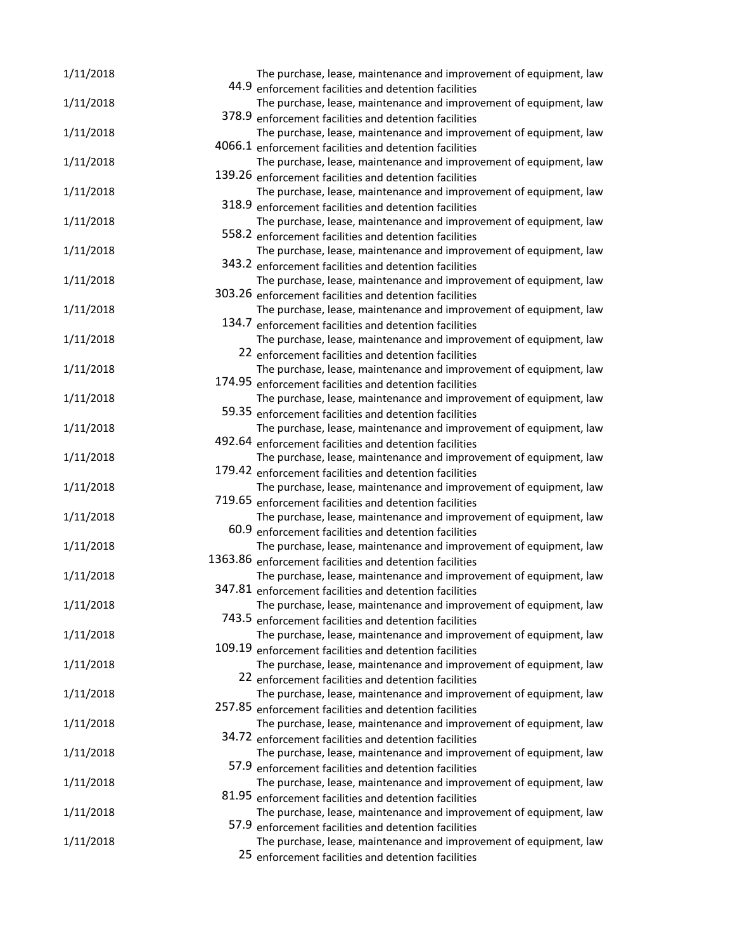| 1/11/2018 | The purchase, lease, maintenance and improvement of equipment, law                                                           |
|-----------|------------------------------------------------------------------------------------------------------------------------------|
|           | 44.9 enforcement facilities and detention facilities                                                                         |
| 1/11/2018 | The purchase, lease, maintenance and improvement of equipment, law                                                           |
|           | 378.9 enforcement facilities and detention facilities                                                                        |
| 1/11/2018 | The purchase, lease, maintenance and improvement of equipment, law                                                           |
|           | 4066.1 enforcement facilities and detention facilities                                                                       |
| 1/11/2018 | The purchase, lease, maintenance and improvement of equipment, law                                                           |
|           | 139.26 enforcement facilities and detention facilities                                                                       |
| 1/11/2018 | The purchase, lease, maintenance and improvement of equipment, law<br>318.9 enforcement facilities and detention facilities  |
| 1/11/2018 | The purchase, lease, maintenance and improvement of equipment, law                                                           |
|           | 558.2 enforcement facilities and detention facilities                                                                        |
| 1/11/2018 | The purchase, lease, maintenance and improvement of equipment, law                                                           |
|           | 343.2 enforcement facilities and detention facilities                                                                        |
| 1/11/2018 | The purchase, lease, maintenance and improvement of equipment, law                                                           |
|           | 303.26 enforcement facilities and detention facilities                                                                       |
| 1/11/2018 | The purchase, lease, maintenance and improvement of equipment, law                                                           |
|           | 134.7 enforcement facilities and detention facilities                                                                        |
| 1/11/2018 | The purchase, lease, maintenance and improvement of equipment, law                                                           |
|           | 22 enforcement facilities and detention facilities                                                                           |
| 1/11/2018 | The purchase, lease, maintenance and improvement of equipment, law                                                           |
|           | 174.95 enforcement facilities and detention facilities                                                                       |
| 1/11/2018 | The purchase, lease, maintenance and improvement of equipment, law                                                           |
|           | 59.35 enforcement facilities and detention facilities                                                                        |
| 1/11/2018 | The purchase, lease, maintenance and improvement of equipment, law                                                           |
|           | 492.64 enforcement facilities and detention facilities                                                                       |
| 1/11/2018 | The purchase, lease, maintenance and improvement of equipment, law                                                           |
|           | 179.42 enforcement facilities and detention facilities                                                                       |
| 1/11/2018 | The purchase, lease, maintenance and improvement of equipment, law                                                           |
|           | 719.65 enforcement facilities and detention facilities                                                                       |
| 1/11/2018 | The purchase, lease, maintenance and improvement of equipment, law                                                           |
|           | 60.9 enforcement facilities and detention facilities                                                                         |
| 1/11/2018 | The purchase, lease, maintenance and improvement of equipment, law                                                           |
|           | 1363.86 enforcement facilities and detention facilities                                                                      |
| 1/11/2018 | The purchase, lease, maintenance and improvement of equipment, law                                                           |
|           | 347.81 enforcement facilities and detention facilities                                                                       |
| 1/11/2018 | The purchase, lease, maintenance and improvement of equipment, law                                                           |
|           | 743.5 enforcement facilities and detention facilities                                                                        |
| 1/11/2018 | The purchase, lease, maintenance and improvement of equipment, law<br>109.19 enforcement facilities and detention facilities |
| 1/11/2018 | The purchase, lease, maintenance and improvement of equipment, law                                                           |
|           | 22 enforcement facilities and detention facilities                                                                           |
| 1/11/2018 | The purchase, lease, maintenance and improvement of equipment, law                                                           |
|           | 257.85 enforcement facilities and detention facilities                                                                       |
| 1/11/2018 | The purchase, lease, maintenance and improvement of equipment, law                                                           |
|           | 34.72 enforcement facilities and detention facilities                                                                        |
| 1/11/2018 | The purchase, lease, maintenance and improvement of equipment, law                                                           |
|           | 57.9 enforcement facilities and detention facilities                                                                         |
| 1/11/2018 | The purchase, lease, maintenance and improvement of equipment, law                                                           |
|           | 81.95 enforcement facilities and detention facilities                                                                        |
| 1/11/2018 | The purchase, lease, maintenance and improvement of equipment, law                                                           |
|           | 57.9 enforcement facilities and detention facilities                                                                         |
| 1/11/2018 | The purchase, lease, maintenance and improvement of equipment, law                                                           |
|           | 25 enforcement facilities and detention facilities                                                                           |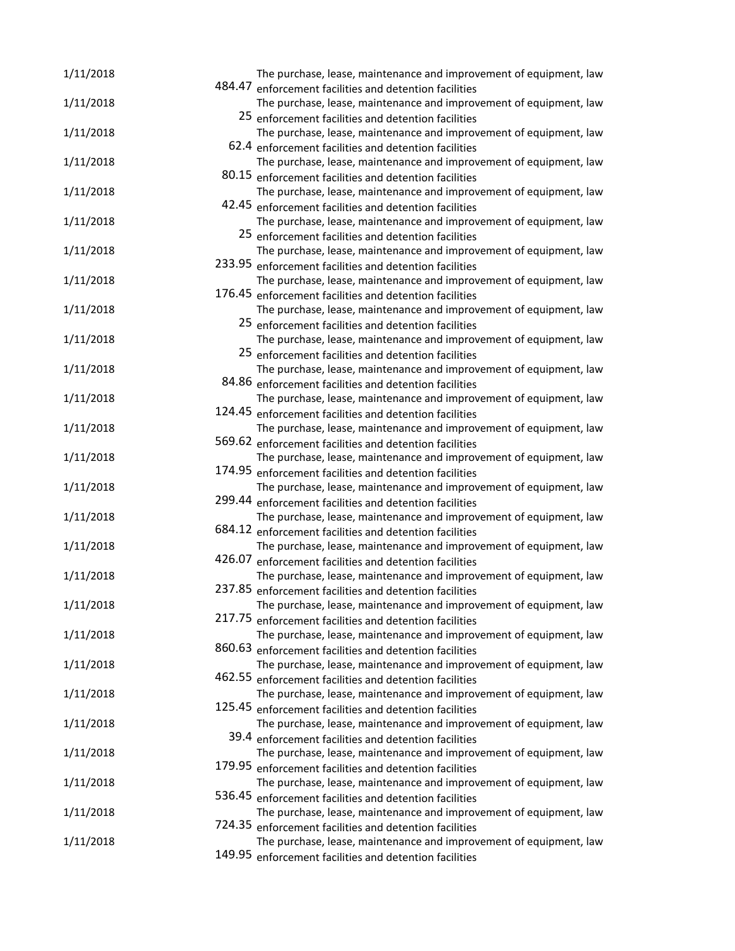| 484.47 enforcement facilities and detention facilities<br>1/11/2018<br>The purchase, lease, maintenance and improvement of equipment, law<br>25 enforcement facilities and detention facilities<br>1/11/2018<br>The purchase, lease, maintenance and improvement of equipment, law<br>62.4 enforcement facilities and detention facilities<br>1/11/2018<br>The purchase, lease, maintenance and improvement of equipment, law<br>80.15 enforcement facilities and detention facilities<br>The purchase, lease, maintenance and improvement of equipment, law<br>1/11/2018<br>42.45 enforcement facilities and detention facilities<br>The purchase, lease, maintenance and improvement of equipment, law<br>1/11/2018<br>25 enforcement facilities and detention facilities<br>1/11/2018<br>The purchase, lease, maintenance and improvement of equipment, law<br>233.95 enforcement facilities and detention facilities<br>1/11/2018<br>The purchase, lease, maintenance and improvement of equipment, law<br>176.45 enforcement facilities and detention facilities<br>1/11/2018<br>The purchase, lease, maintenance and improvement of equipment, law<br>25 enforcement facilities and detention facilities<br>1/11/2018<br>The purchase, lease, maintenance and improvement of equipment, law<br>25 enforcement facilities and detention facilities<br>1/11/2018<br>The purchase, lease, maintenance and improvement of equipment, law<br>84.86 enforcement facilities and detention facilities<br>1/11/2018<br>The purchase, lease, maintenance and improvement of equipment, law<br>124.45 enforcement facilities and detention facilities<br>The purchase, lease, maintenance and improvement of equipment, law<br>1/11/2018<br>569.62 enforcement facilities and detention facilities<br>The purchase, lease, maintenance and improvement of equipment, law<br>1/11/2018<br>174.95 enforcement facilities and detention facilities<br>The purchase, lease, maintenance and improvement of equipment, law<br>1/11/2018<br>299.44 enforcement facilities and detention facilities<br>The purchase, lease, maintenance and improvement of equipment, law<br>1/11/2018<br>684.12 enforcement facilities and detention facilities<br>The purchase, lease, maintenance and improvement of equipment, law<br>1/11/2018<br>426.07 enforcement facilities and detention facilities<br>The purchase, lease, maintenance and improvement of equipment, law<br>1/11/2018<br>237.85 enforcement facilities and detention facilities<br>1/11/2018<br>The purchase, lease, maintenance and improvement of equipment, law<br>217.75 enforcement facilities and detention facilities<br>1/11/2018<br>The purchase, lease, maintenance and improvement of equipment, law<br>860.63 enforcement facilities and detention facilities<br>1/11/2018<br>The purchase, lease, maintenance and improvement of equipment, law<br>462.55 enforcement facilities and detention facilities<br>1/11/2018<br>The purchase, lease, maintenance and improvement of equipment, law<br>125.45 enforcement facilities and detention facilities<br>1/11/2018<br>The purchase, lease, maintenance and improvement of equipment, law<br>39.4 enforcement facilities and detention facilities<br>1/11/2018<br>The purchase, lease, maintenance and improvement of equipment, law<br>179.95 enforcement facilities and detention facilities<br>The purchase, lease, maintenance and improvement of equipment, law<br>1/11/2018<br>536.45 enforcement facilities and detention facilities<br>The purchase, lease, maintenance and improvement of equipment, law<br>1/11/2018<br>724.35 enforcement facilities and detention facilities<br>1/11/2018<br>The purchase, lease, maintenance and improvement of equipment, law | 1/11/2018 | The purchase, lease, maintenance and improvement of equipment, law |
|-----------------------------------------------------------------------------------------------------------------------------------------------------------------------------------------------------------------------------------------------------------------------------------------------------------------------------------------------------------------------------------------------------------------------------------------------------------------------------------------------------------------------------------------------------------------------------------------------------------------------------------------------------------------------------------------------------------------------------------------------------------------------------------------------------------------------------------------------------------------------------------------------------------------------------------------------------------------------------------------------------------------------------------------------------------------------------------------------------------------------------------------------------------------------------------------------------------------------------------------------------------------------------------------------------------------------------------------------------------------------------------------------------------------------------------------------------------------------------------------------------------------------------------------------------------------------------------------------------------------------------------------------------------------------------------------------------------------------------------------------------------------------------------------------------------------------------------------------------------------------------------------------------------------------------------------------------------------------------------------------------------------------------------------------------------------------------------------------------------------------------------------------------------------------------------------------------------------------------------------------------------------------------------------------------------------------------------------------------------------------------------------------------------------------------------------------------------------------------------------------------------------------------------------------------------------------------------------------------------------------------------------------------------------------------------------------------------------------------------------------------------------------------------------------------------------------------------------------------------------------------------------------------------------------------------------------------------------------------------------------------------------------------------------------------------------------------------------------------------------------------------------------------------------------------------------------------------------------------------------------------------------------------------------------------------------------------------------------------------------------------------------------------------------------------------------------------------------------------------------------------------------------------------------------------------------------------------------------------------------------------------------------------------------------------------------------------------------------------------------------------------------------------------------|-----------|--------------------------------------------------------------------|
|                                                                                                                                                                                                                                                                                                                                                                                                                                                                                                                                                                                                                                                                                                                                                                                                                                                                                                                                                                                                                                                                                                                                                                                                                                                                                                                                                                                                                                                                                                                                                                                                                                                                                                                                                                                                                                                                                                                                                                                                                                                                                                                                                                                                                                                                                                                                                                                                                                                                                                                                                                                                                                                                                                                                                                                                                                                                                                                                                                                                                                                                                                                                                                                                                                                                                                                                                                                                                                                                                                                                                                                                                                                                                                                                                                                         |           |                                                                    |
|                                                                                                                                                                                                                                                                                                                                                                                                                                                                                                                                                                                                                                                                                                                                                                                                                                                                                                                                                                                                                                                                                                                                                                                                                                                                                                                                                                                                                                                                                                                                                                                                                                                                                                                                                                                                                                                                                                                                                                                                                                                                                                                                                                                                                                                                                                                                                                                                                                                                                                                                                                                                                                                                                                                                                                                                                                                                                                                                                                                                                                                                                                                                                                                                                                                                                                                                                                                                                                                                                                                                                                                                                                                                                                                                                                                         |           |                                                                    |
|                                                                                                                                                                                                                                                                                                                                                                                                                                                                                                                                                                                                                                                                                                                                                                                                                                                                                                                                                                                                                                                                                                                                                                                                                                                                                                                                                                                                                                                                                                                                                                                                                                                                                                                                                                                                                                                                                                                                                                                                                                                                                                                                                                                                                                                                                                                                                                                                                                                                                                                                                                                                                                                                                                                                                                                                                                                                                                                                                                                                                                                                                                                                                                                                                                                                                                                                                                                                                                                                                                                                                                                                                                                                                                                                                                                         |           |                                                                    |
|                                                                                                                                                                                                                                                                                                                                                                                                                                                                                                                                                                                                                                                                                                                                                                                                                                                                                                                                                                                                                                                                                                                                                                                                                                                                                                                                                                                                                                                                                                                                                                                                                                                                                                                                                                                                                                                                                                                                                                                                                                                                                                                                                                                                                                                                                                                                                                                                                                                                                                                                                                                                                                                                                                                                                                                                                                                                                                                                                                                                                                                                                                                                                                                                                                                                                                                                                                                                                                                                                                                                                                                                                                                                                                                                                                                         |           |                                                                    |
|                                                                                                                                                                                                                                                                                                                                                                                                                                                                                                                                                                                                                                                                                                                                                                                                                                                                                                                                                                                                                                                                                                                                                                                                                                                                                                                                                                                                                                                                                                                                                                                                                                                                                                                                                                                                                                                                                                                                                                                                                                                                                                                                                                                                                                                                                                                                                                                                                                                                                                                                                                                                                                                                                                                                                                                                                                                                                                                                                                                                                                                                                                                                                                                                                                                                                                                                                                                                                                                                                                                                                                                                                                                                                                                                                                                         |           |                                                                    |
|                                                                                                                                                                                                                                                                                                                                                                                                                                                                                                                                                                                                                                                                                                                                                                                                                                                                                                                                                                                                                                                                                                                                                                                                                                                                                                                                                                                                                                                                                                                                                                                                                                                                                                                                                                                                                                                                                                                                                                                                                                                                                                                                                                                                                                                                                                                                                                                                                                                                                                                                                                                                                                                                                                                                                                                                                                                                                                                                                                                                                                                                                                                                                                                                                                                                                                                                                                                                                                                                                                                                                                                                                                                                                                                                                                                         |           |                                                                    |
|                                                                                                                                                                                                                                                                                                                                                                                                                                                                                                                                                                                                                                                                                                                                                                                                                                                                                                                                                                                                                                                                                                                                                                                                                                                                                                                                                                                                                                                                                                                                                                                                                                                                                                                                                                                                                                                                                                                                                                                                                                                                                                                                                                                                                                                                                                                                                                                                                                                                                                                                                                                                                                                                                                                                                                                                                                                                                                                                                                                                                                                                                                                                                                                                                                                                                                                                                                                                                                                                                                                                                                                                                                                                                                                                                                                         |           |                                                                    |
|                                                                                                                                                                                                                                                                                                                                                                                                                                                                                                                                                                                                                                                                                                                                                                                                                                                                                                                                                                                                                                                                                                                                                                                                                                                                                                                                                                                                                                                                                                                                                                                                                                                                                                                                                                                                                                                                                                                                                                                                                                                                                                                                                                                                                                                                                                                                                                                                                                                                                                                                                                                                                                                                                                                                                                                                                                                                                                                                                                                                                                                                                                                                                                                                                                                                                                                                                                                                                                                                                                                                                                                                                                                                                                                                                                                         |           |                                                                    |
|                                                                                                                                                                                                                                                                                                                                                                                                                                                                                                                                                                                                                                                                                                                                                                                                                                                                                                                                                                                                                                                                                                                                                                                                                                                                                                                                                                                                                                                                                                                                                                                                                                                                                                                                                                                                                                                                                                                                                                                                                                                                                                                                                                                                                                                                                                                                                                                                                                                                                                                                                                                                                                                                                                                                                                                                                                                                                                                                                                                                                                                                                                                                                                                                                                                                                                                                                                                                                                                                                                                                                                                                                                                                                                                                                                                         |           |                                                                    |
|                                                                                                                                                                                                                                                                                                                                                                                                                                                                                                                                                                                                                                                                                                                                                                                                                                                                                                                                                                                                                                                                                                                                                                                                                                                                                                                                                                                                                                                                                                                                                                                                                                                                                                                                                                                                                                                                                                                                                                                                                                                                                                                                                                                                                                                                                                                                                                                                                                                                                                                                                                                                                                                                                                                                                                                                                                                                                                                                                                                                                                                                                                                                                                                                                                                                                                                                                                                                                                                                                                                                                                                                                                                                                                                                                                                         |           |                                                                    |
|                                                                                                                                                                                                                                                                                                                                                                                                                                                                                                                                                                                                                                                                                                                                                                                                                                                                                                                                                                                                                                                                                                                                                                                                                                                                                                                                                                                                                                                                                                                                                                                                                                                                                                                                                                                                                                                                                                                                                                                                                                                                                                                                                                                                                                                                                                                                                                                                                                                                                                                                                                                                                                                                                                                                                                                                                                                                                                                                                                                                                                                                                                                                                                                                                                                                                                                                                                                                                                                                                                                                                                                                                                                                                                                                                                                         |           |                                                                    |
|                                                                                                                                                                                                                                                                                                                                                                                                                                                                                                                                                                                                                                                                                                                                                                                                                                                                                                                                                                                                                                                                                                                                                                                                                                                                                                                                                                                                                                                                                                                                                                                                                                                                                                                                                                                                                                                                                                                                                                                                                                                                                                                                                                                                                                                                                                                                                                                                                                                                                                                                                                                                                                                                                                                                                                                                                                                                                                                                                                                                                                                                                                                                                                                                                                                                                                                                                                                                                                                                                                                                                                                                                                                                                                                                                                                         |           |                                                                    |
|                                                                                                                                                                                                                                                                                                                                                                                                                                                                                                                                                                                                                                                                                                                                                                                                                                                                                                                                                                                                                                                                                                                                                                                                                                                                                                                                                                                                                                                                                                                                                                                                                                                                                                                                                                                                                                                                                                                                                                                                                                                                                                                                                                                                                                                                                                                                                                                                                                                                                                                                                                                                                                                                                                                                                                                                                                                                                                                                                                                                                                                                                                                                                                                                                                                                                                                                                                                                                                                                                                                                                                                                                                                                                                                                                                                         |           |                                                                    |
|                                                                                                                                                                                                                                                                                                                                                                                                                                                                                                                                                                                                                                                                                                                                                                                                                                                                                                                                                                                                                                                                                                                                                                                                                                                                                                                                                                                                                                                                                                                                                                                                                                                                                                                                                                                                                                                                                                                                                                                                                                                                                                                                                                                                                                                                                                                                                                                                                                                                                                                                                                                                                                                                                                                                                                                                                                                                                                                                                                                                                                                                                                                                                                                                                                                                                                                                                                                                                                                                                                                                                                                                                                                                                                                                                                                         |           |                                                                    |
|                                                                                                                                                                                                                                                                                                                                                                                                                                                                                                                                                                                                                                                                                                                                                                                                                                                                                                                                                                                                                                                                                                                                                                                                                                                                                                                                                                                                                                                                                                                                                                                                                                                                                                                                                                                                                                                                                                                                                                                                                                                                                                                                                                                                                                                                                                                                                                                                                                                                                                                                                                                                                                                                                                                                                                                                                                                                                                                                                                                                                                                                                                                                                                                                                                                                                                                                                                                                                                                                                                                                                                                                                                                                                                                                                                                         |           |                                                                    |
|                                                                                                                                                                                                                                                                                                                                                                                                                                                                                                                                                                                                                                                                                                                                                                                                                                                                                                                                                                                                                                                                                                                                                                                                                                                                                                                                                                                                                                                                                                                                                                                                                                                                                                                                                                                                                                                                                                                                                                                                                                                                                                                                                                                                                                                                                                                                                                                                                                                                                                                                                                                                                                                                                                                                                                                                                                                                                                                                                                                                                                                                                                                                                                                                                                                                                                                                                                                                                                                                                                                                                                                                                                                                                                                                                                                         |           |                                                                    |
|                                                                                                                                                                                                                                                                                                                                                                                                                                                                                                                                                                                                                                                                                                                                                                                                                                                                                                                                                                                                                                                                                                                                                                                                                                                                                                                                                                                                                                                                                                                                                                                                                                                                                                                                                                                                                                                                                                                                                                                                                                                                                                                                                                                                                                                                                                                                                                                                                                                                                                                                                                                                                                                                                                                                                                                                                                                                                                                                                                                                                                                                                                                                                                                                                                                                                                                                                                                                                                                                                                                                                                                                                                                                                                                                                                                         |           |                                                                    |
|                                                                                                                                                                                                                                                                                                                                                                                                                                                                                                                                                                                                                                                                                                                                                                                                                                                                                                                                                                                                                                                                                                                                                                                                                                                                                                                                                                                                                                                                                                                                                                                                                                                                                                                                                                                                                                                                                                                                                                                                                                                                                                                                                                                                                                                                                                                                                                                                                                                                                                                                                                                                                                                                                                                                                                                                                                                                                                                                                                                                                                                                                                                                                                                                                                                                                                                                                                                                                                                                                                                                                                                                                                                                                                                                                                                         |           |                                                                    |
|                                                                                                                                                                                                                                                                                                                                                                                                                                                                                                                                                                                                                                                                                                                                                                                                                                                                                                                                                                                                                                                                                                                                                                                                                                                                                                                                                                                                                                                                                                                                                                                                                                                                                                                                                                                                                                                                                                                                                                                                                                                                                                                                                                                                                                                                                                                                                                                                                                                                                                                                                                                                                                                                                                                                                                                                                                                                                                                                                                                                                                                                                                                                                                                                                                                                                                                                                                                                                                                                                                                                                                                                                                                                                                                                                                                         |           |                                                                    |
|                                                                                                                                                                                                                                                                                                                                                                                                                                                                                                                                                                                                                                                                                                                                                                                                                                                                                                                                                                                                                                                                                                                                                                                                                                                                                                                                                                                                                                                                                                                                                                                                                                                                                                                                                                                                                                                                                                                                                                                                                                                                                                                                                                                                                                                                                                                                                                                                                                                                                                                                                                                                                                                                                                                                                                                                                                                                                                                                                                                                                                                                                                                                                                                                                                                                                                                                                                                                                                                                                                                                                                                                                                                                                                                                                                                         |           |                                                                    |
|                                                                                                                                                                                                                                                                                                                                                                                                                                                                                                                                                                                                                                                                                                                                                                                                                                                                                                                                                                                                                                                                                                                                                                                                                                                                                                                                                                                                                                                                                                                                                                                                                                                                                                                                                                                                                                                                                                                                                                                                                                                                                                                                                                                                                                                                                                                                                                                                                                                                                                                                                                                                                                                                                                                                                                                                                                                                                                                                                                                                                                                                                                                                                                                                                                                                                                                                                                                                                                                                                                                                                                                                                                                                                                                                                                                         |           |                                                                    |
|                                                                                                                                                                                                                                                                                                                                                                                                                                                                                                                                                                                                                                                                                                                                                                                                                                                                                                                                                                                                                                                                                                                                                                                                                                                                                                                                                                                                                                                                                                                                                                                                                                                                                                                                                                                                                                                                                                                                                                                                                                                                                                                                                                                                                                                                                                                                                                                                                                                                                                                                                                                                                                                                                                                                                                                                                                                                                                                                                                                                                                                                                                                                                                                                                                                                                                                                                                                                                                                                                                                                                                                                                                                                                                                                                                                         |           |                                                                    |
|                                                                                                                                                                                                                                                                                                                                                                                                                                                                                                                                                                                                                                                                                                                                                                                                                                                                                                                                                                                                                                                                                                                                                                                                                                                                                                                                                                                                                                                                                                                                                                                                                                                                                                                                                                                                                                                                                                                                                                                                                                                                                                                                                                                                                                                                                                                                                                                                                                                                                                                                                                                                                                                                                                                                                                                                                                                                                                                                                                                                                                                                                                                                                                                                                                                                                                                                                                                                                                                                                                                                                                                                                                                                                                                                                                                         |           |                                                                    |
|                                                                                                                                                                                                                                                                                                                                                                                                                                                                                                                                                                                                                                                                                                                                                                                                                                                                                                                                                                                                                                                                                                                                                                                                                                                                                                                                                                                                                                                                                                                                                                                                                                                                                                                                                                                                                                                                                                                                                                                                                                                                                                                                                                                                                                                                                                                                                                                                                                                                                                                                                                                                                                                                                                                                                                                                                                                                                                                                                                                                                                                                                                                                                                                                                                                                                                                                                                                                                                                                                                                                                                                                                                                                                                                                                                                         |           |                                                                    |
|                                                                                                                                                                                                                                                                                                                                                                                                                                                                                                                                                                                                                                                                                                                                                                                                                                                                                                                                                                                                                                                                                                                                                                                                                                                                                                                                                                                                                                                                                                                                                                                                                                                                                                                                                                                                                                                                                                                                                                                                                                                                                                                                                                                                                                                                                                                                                                                                                                                                                                                                                                                                                                                                                                                                                                                                                                                                                                                                                                                                                                                                                                                                                                                                                                                                                                                                                                                                                                                                                                                                                                                                                                                                                                                                                                                         |           |                                                                    |
|                                                                                                                                                                                                                                                                                                                                                                                                                                                                                                                                                                                                                                                                                                                                                                                                                                                                                                                                                                                                                                                                                                                                                                                                                                                                                                                                                                                                                                                                                                                                                                                                                                                                                                                                                                                                                                                                                                                                                                                                                                                                                                                                                                                                                                                                                                                                                                                                                                                                                                                                                                                                                                                                                                                                                                                                                                                                                                                                                                                                                                                                                                                                                                                                                                                                                                                                                                                                                                                                                                                                                                                                                                                                                                                                                                                         |           |                                                                    |
|                                                                                                                                                                                                                                                                                                                                                                                                                                                                                                                                                                                                                                                                                                                                                                                                                                                                                                                                                                                                                                                                                                                                                                                                                                                                                                                                                                                                                                                                                                                                                                                                                                                                                                                                                                                                                                                                                                                                                                                                                                                                                                                                                                                                                                                                                                                                                                                                                                                                                                                                                                                                                                                                                                                                                                                                                                                                                                                                                                                                                                                                                                                                                                                                                                                                                                                                                                                                                                                                                                                                                                                                                                                                                                                                                                                         |           |                                                                    |
|                                                                                                                                                                                                                                                                                                                                                                                                                                                                                                                                                                                                                                                                                                                                                                                                                                                                                                                                                                                                                                                                                                                                                                                                                                                                                                                                                                                                                                                                                                                                                                                                                                                                                                                                                                                                                                                                                                                                                                                                                                                                                                                                                                                                                                                                                                                                                                                                                                                                                                                                                                                                                                                                                                                                                                                                                                                                                                                                                                                                                                                                                                                                                                                                                                                                                                                                                                                                                                                                                                                                                                                                                                                                                                                                                                                         |           |                                                                    |
|                                                                                                                                                                                                                                                                                                                                                                                                                                                                                                                                                                                                                                                                                                                                                                                                                                                                                                                                                                                                                                                                                                                                                                                                                                                                                                                                                                                                                                                                                                                                                                                                                                                                                                                                                                                                                                                                                                                                                                                                                                                                                                                                                                                                                                                                                                                                                                                                                                                                                                                                                                                                                                                                                                                                                                                                                                                                                                                                                                                                                                                                                                                                                                                                                                                                                                                                                                                                                                                                                                                                                                                                                                                                                                                                                                                         |           |                                                                    |
|                                                                                                                                                                                                                                                                                                                                                                                                                                                                                                                                                                                                                                                                                                                                                                                                                                                                                                                                                                                                                                                                                                                                                                                                                                                                                                                                                                                                                                                                                                                                                                                                                                                                                                                                                                                                                                                                                                                                                                                                                                                                                                                                                                                                                                                                                                                                                                                                                                                                                                                                                                                                                                                                                                                                                                                                                                                                                                                                                                                                                                                                                                                                                                                                                                                                                                                                                                                                                                                                                                                                                                                                                                                                                                                                                                                         |           |                                                                    |
|                                                                                                                                                                                                                                                                                                                                                                                                                                                                                                                                                                                                                                                                                                                                                                                                                                                                                                                                                                                                                                                                                                                                                                                                                                                                                                                                                                                                                                                                                                                                                                                                                                                                                                                                                                                                                                                                                                                                                                                                                                                                                                                                                                                                                                                                                                                                                                                                                                                                                                                                                                                                                                                                                                                                                                                                                                                                                                                                                                                                                                                                                                                                                                                                                                                                                                                                                                                                                                                                                                                                                                                                                                                                                                                                                                                         |           |                                                                    |
|                                                                                                                                                                                                                                                                                                                                                                                                                                                                                                                                                                                                                                                                                                                                                                                                                                                                                                                                                                                                                                                                                                                                                                                                                                                                                                                                                                                                                                                                                                                                                                                                                                                                                                                                                                                                                                                                                                                                                                                                                                                                                                                                                                                                                                                                                                                                                                                                                                                                                                                                                                                                                                                                                                                                                                                                                                                                                                                                                                                                                                                                                                                                                                                                                                                                                                                                                                                                                                                                                                                                                                                                                                                                                                                                                                                         |           |                                                                    |
|                                                                                                                                                                                                                                                                                                                                                                                                                                                                                                                                                                                                                                                                                                                                                                                                                                                                                                                                                                                                                                                                                                                                                                                                                                                                                                                                                                                                                                                                                                                                                                                                                                                                                                                                                                                                                                                                                                                                                                                                                                                                                                                                                                                                                                                                                                                                                                                                                                                                                                                                                                                                                                                                                                                                                                                                                                                                                                                                                                                                                                                                                                                                                                                                                                                                                                                                                                                                                                                                                                                                                                                                                                                                                                                                                                                         |           |                                                                    |
|                                                                                                                                                                                                                                                                                                                                                                                                                                                                                                                                                                                                                                                                                                                                                                                                                                                                                                                                                                                                                                                                                                                                                                                                                                                                                                                                                                                                                                                                                                                                                                                                                                                                                                                                                                                                                                                                                                                                                                                                                                                                                                                                                                                                                                                                                                                                                                                                                                                                                                                                                                                                                                                                                                                                                                                                                                                                                                                                                                                                                                                                                                                                                                                                                                                                                                                                                                                                                                                                                                                                                                                                                                                                                                                                                                                         |           |                                                                    |
|                                                                                                                                                                                                                                                                                                                                                                                                                                                                                                                                                                                                                                                                                                                                                                                                                                                                                                                                                                                                                                                                                                                                                                                                                                                                                                                                                                                                                                                                                                                                                                                                                                                                                                                                                                                                                                                                                                                                                                                                                                                                                                                                                                                                                                                                                                                                                                                                                                                                                                                                                                                                                                                                                                                                                                                                                                                                                                                                                                                                                                                                                                                                                                                                                                                                                                                                                                                                                                                                                                                                                                                                                                                                                                                                                                                         |           |                                                                    |
|                                                                                                                                                                                                                                                                                                                                                                                                                                                                                                                                                                                                                                                                                                                                                                                                                                                                                                                                                                                                                                                                                                                                                                                                                                                                                                                                                                                                                                                                                                                                                                                                                                                                                                                                                                                                                                                                                                                                                                                                                                                                                                                                                                                                                                                                                                                                                                                                                                                                                                                                                                                                                                                                                                                                                                                                                                                                                                                                                                                                                                                                                                                                                                                                                                                                                                                                                                                                                                                                                                                                                                                                                                                                                                                                                                                         |           |                                                                    |
|                                                                                                                                                                                                                                                                                                                                                                                                                                                                                                                                                                                                                                                                                                                                                                                                                                                                                                                                                                                                                                                                                                                                                                                                                                                                                                                                                                                                                                                                                                                                                                                                                                                                                                                                                                                                                                                                                                                                                                                                                                                                                                                                                                                                                                                                                                                                                                                                                                                                                                                                                                                                                                                                                                                                                                                                                                                                                                                                                                                                                                                                                                                                                                                                                                                                                                                                                                                                                                                                                                                                                                                                                                                                                                                                                                                         |           |                                                                    |
|                                                                                                                                                                                                                                                                                                                                                                                                                                                                                                                                                                                                                                                                                                                                                                                                                                                                                                                                                                                                                                                                                                                                                                                                                                                                                                                                                                                                                                                                                                                                                                                                                                                                                                                                                                                                                                                                                                                                                                                                                                                                                                                                                                                                                                                                                                                                                                                                                                                                                                                                                                                                                                                                                                                                                                                                                                                                                                                                                                                                                                                                                                                                                                                                                                                                                                                                                                                                                                                                                                                                                                                                                                                                                                                                                                                         |           |                                                                    |
|                                                                                                                                                                                                                                                                                                                                                                                                                                                                                                                                                                                                                                                                                                                                                                                                                                                                                                                                                                                                                                                                                                                                                                                                                                                                                                                                                                                                                                                                                                                                                                                                                                                                                                                                                                                                                                                                                                                                                                                                                                                                                                                                                                                                                                                                                                                                                                                                                                                                                                                                                                                                                                                                                                                                                                                                                                                                                                                                                                                                                                                                                                                                                                                                                                                                                                                                                                                                                                                                                                                                                                                                                                                                                                                                                                                         |           |                                                                    |
|                                                                                                                                                                                                                                                                                                                                                                                                                                                                                                                                                                                                                                                                                                                                                                                                                                                                                                                                                                                                                                                                                                                                                                                                                                                                                                                                                                                                                                                                                                                                                                                                                                                                                                                                                                                                                                                                                                                                                                                                                                                                                                                                                                                                                                                                                                                                                                                                                                                                                                                                                                                                                                                                                                                                                                                                                                                                                                                                                                                                                                                                                                                                                                                                                                                                                                                                                                                                                                                                                                                                                                                                                                                                                                                                                                                         |           |                                                                    |
|                                                                                                                                                                                                                                                                                                                                                                                                                                                                                                                                                                                                                                                                                                                                                                                                                                                                                                                                                                                                                                                                                                                                                                                                                                                                                                                                                                                                                                                                                                                                                                                                                                                                                                                                                                                                                                                                                                                                                                                                                                                                                                                                                                                                                                                                                                                                                                                                                                                                                                                                                                                                                                                                                                                                                                                                                                                                                                                                                                                                                                                                                                                                                                                                                                                                                                                                                                                                                                                                                                                                                                                                                                                                                                                                                                                         |           |                                                                    |
|                                                                                                                                                                                                                                                                                                                                                                                                                                                                                                                                                                                                                                                                                                                                                                                                                                                                                                                                                                                                                                                                                                                                                                                                                                                                                                                                                                                                                                                                                                                                                                                                                                                                                                                                                                                                                                                                                                                                                                                                                                                                                                                                                                                                                                                                                                                                                                                                                                                                                                                                                                                                                                                                                                                                                                                                                                                                                                                                                                                                                                                                                                                                                                                                                                                                                                                                                                                                                                                                                                                                                                                                                                                                                                                                                                                         |           |                                                                    |
|                                                                                                                                                                                                                                                                                                                                                                                                                                                                                                                                                                                                                                                                                                                                                                                                                                                                                                                                                                                                                                                                                                                                                                                                                                                                                                                                                                                                                                                                                                                                                                                                                                                                                                                                                                                                                                                                                                                                                                                                                                                                                                                                                                                                                                                                                                                                                                                                                                                                                                                                                                                                                                                                                                                                                                                                                                                                                                                                                                                                                                                                                                                                                                                                                                                                                                                                                                                                                                                                                                                                                                                                                                                                                                                                                                                         |           |                                                                    |
|                                                                                                                                                                                                                                                                                                                                                                                                                                                                                                                                                                                                                                                                                                                                                                                                                                                                                                                                                                                                                                                                                                                                                                                                                                                                                                                                                                                                                                                                                                                                                                                                                                                                                                                                                                                                                                                                                                                                                                                                                                                                                                                                                                                                                                                                                                                                                                                                                                                                                                                                                                                                                                                                                                                                                                                                                                                                                                                                                                                                                                                                                                                                                                                                                                                                                                                                                                                                                                                                                                                                                                                                                                                                                                                                                                                         |           |                                                                    |
|                                                                                                                                                                                                                                                                                                                                                                                                                                                                                                                                                                                                                                                                                                                                                                                                                                                                                                                                                                                                                                                                                                                                                                                                                                                                                                                                                                                                                                                                                                                                                                                                                                                                                                                                                                                                                                                                                                                                                                                                                                                                                                                                                                                                                                                                                                                                                                                                                                                                                                                                                                                                                                                                                                                                                                                                                                                                                                                                                                                                                                                                                                                                                                                                                                                                                                                                                                                                                                                                                                                                                                                                                                                                                                                                                                                         |           |                                                                    |
|                                                                                                                                                                                                                                                                                                                                                                                                                                                                                                                                                                                                                                                                                                                                                                                                                                                                                                                                                                                                                                                                                                                                                                                                                                                                                                                                                                                                                                                                                                                                                                                                                                                                                                                                                                                                                                                                                                                                                                                                                                                                                                                                                                                                                                                                                                                                                                                                                                                                                                                                                                                                                                                                                                                                                                                                                                                                                                                                                                                                                                                                                                                                                                                                                                                                                                                                                                                                                                                                                                                                                                                                                                                                                                                                                                                         |           |                                                                    |
|                                                                                                                                                                                                                                                                                                                                                                                                                                                                                                                                                                                                                                                                                                                                                                                                                                                                                                                                                                                                                                                                                                                                                                                                                                                                                                                                                                                                                                                                                                                                                                                                                                                                                                                                                                                                                                                                                                                                                                                                                                                                                                                                                                                                                                                                                                                                                                                                                                                                                                                                                                                                                                                                                                                                                                                                                                                                                                                                                                                                                                                                                                                                                                                                                                                                                                                                                                                                                                                                                                                                                                                                                                                                                                                                                                                         |           |                                                                    |
|                                                                                                                                                                                                                                                                                                                                                                                                                                                                                                                                                                                                                                                                                                                                                                                                                                                                                                                                                                                                                                                                                                                                                                                                                                                                                                                                                                                                                                                                                                                                                                                                                                                                                                                                                                                                                                                                                                                                                                                                                                                                                                                                                                                                                                                                                                                                                                                                                                                                                                                                                                                                                                                                                                                                                                                                                                                                                                                                                                                                                                                                                                                                                                                                                                                                                                                                                                                                                                                                                                                                                                                                                                                                                                                                                                                         |           |                                                                    |
|                                                                                                                                                                                                                                                                                                                                                                                                                                                                                                                                                                                                                                                                                                                                                                                                                                                                                                                                                                                                                                                                                                                                                                                                                                                                                                                                                                                                                                                                                                                                                                                                                                                                                                                                                                                                                                                                                                                                                                                                                                                                                                                                                                                                                                                                                                                                                                                                                                                                                                                                                                                                                                                                                                                                                                                                                                                                                                                                                                                                                                                                                                                                                                                                                                                                                                                                                                                                                                                                                                                                                                                                                                                                                                                                                                                         |           |                                                                    |
|                                                                                                                                                                                                                                                                                                                                                                                                                                                                                                                                                                                                                                                                                                                                                                                                                                                                                                                                                                                                                                                                                                                                                                                                                                                                                                                                                                                                                                                                                                                                                                                                                                                                                                                                                                                                                                                                                                                                                                                                                                                                                                                                                                                                                                                                                                                                                                                                                                                                                                                                                                                                                                                                                                                                                                                                                                                                                                                                                                                                                                                                                                                                                                                                                                                                                                                                                                                                                                                                                                                                                                                                                                                                                                                                                                                         |           | 149.95 enforcement facilities and detention facilities             |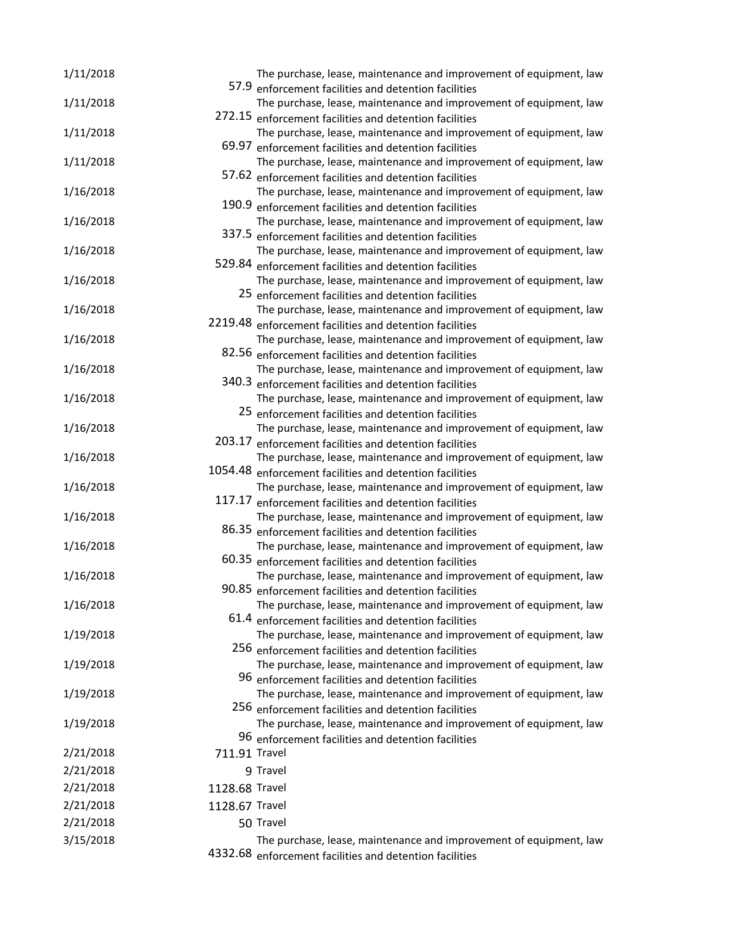| 1/11/2018 |                | The purchase, lease, maintenance and improvement of equipment, law                                                           |
|-----------|----------------|------------------------------------------------------------------------------------------------------------------------------|
|           |                | 57.9 enforcement facilities and detention facilities                                                                         |
| 1/11/2018 |                | The purchase, lease, maintenance and improvement of equipment, law                                                           |
|           |                | 272.15 enforcement facilities and detention facilities                                                                       |
| 1/11/2018 |                | The purchase, lease, maintenance and improvement of equipment, law                                                           |
|           | 69.97          | enforcement facilities and detention facilities                                                                              |
| 1/11/2018 |                | The purchase, lease, maintenance and improvement of equipment, law                                                           |
|           |                | 57.62 enforcement facilities and detention facilities                                                                        |
| 1/16/2018 |                | The purchase, lease, maintenance and improvement of equipment, law                                                           |
|           |                | 190.9 enforcement facilities and detention facilities                                                                        |
| 1/16/2018 |                | The purchase, lease, maintenance and improvement of equipment, law                                                           |
|           |                | 337.5 enforcement facilities and detention facilities                                                                        |
| 1/16/2018 |                | The purchase, lease, maintenance and improvement of equipment, law                                                           |
|           |                | 529.84 enforcement facilities and detention facilities                                                                       |
| 1/16/2018 |                | The purchase, lease, maintenance and improvement of equipment, law                                                           |
|           |                | 25 enforcement facilities and detention facilities                                                                           |
| 1/16/2018 |                | The purchase, lease, maintenance and improvement of equipment, law                                                           |
|           |                | 2219.48 enforcement facilities and detention facilities                                                                      |
| 1/16/2018 |                | The purchase, lease, maintenance and improvement of equipment, law                                                           |
|           |                | 82.56 enforcement facilities and detention facilities                                                                        |
| 1/16/2018 |                | The purchase, lease, maintenance and improvement of equipment, law                                                           |
|           |                | 340.3 enforcement facilities and detention facilities                                                                        |
| 1/16/2018 |                | The purchase, lease, maintenance and improvement of equipment, law                                                           |
|           |                | 25 enforcement facilities and detention facilities                                                                           |
| 1/16/2018 |                | The purchase, lease, maintenance and improvement of equipment, law<br>203.17 enforcement facilities and detention facilities |
|           |                | The purchase, lease, maintenance and improvement of equipment, law                                                           |
| 1/16/2018 |                | 1054.48 enforcement facilities and detention facilities                                                                      |
| 1/16/2018 |                | The purchase, lease, maintenance and improvement of equipment, law                                                           |
|           |                | 117.17 enforcement facilities and detention facilities                                                                       |
| 1/16/2018 |                | The purchase, lease, maintenance and improvement of equipment, law                                                           |
|           |                | 86.35 enforcement facilities and detention facilities                                                                        |
| 1/16/2018 |                | The purchase, lease, maintenance and improvement of equipment, law                                                           |
|           |                | 60.35 enforcement facilities and detention facilities                                                                        |
| 1/16/2018 |                | The purchase, lease, maintenance and improvement of equipment, law                                                           |
|           |                | 90.85 enforcement facilities and detention facilities                                                                        |
| 1/16/2018 |                | The purchase, lease, maintenance and improvement of equipment, law                                                           |
|           |                | 61.4 enforcement facilities and detention facilities                                                                         |
| 1/19/2018 |                | The purchase, lease, maintenance and improvement of equipment, law                                                           |
|           |                | 256 enforcement facilities and detention facilities                                                                          |
| 1/19/2018 |                | The purchase, lease, maintenance and improvement of equipment, law                                                           |
|           |                | 96 enforcement facilities and detention facilities                                                                           |
| 1/19/2018 |                | The purchase, lease, maintenance and improvement of equipment, law                                                           |
|           |                | 256 enforcement facilities and detention facilities                                                                          |
| 1/19/2018 |                | The purchase, lease, maintenance and improvement of equipment, law                                                           |
|           |                | 96 enforcement facilities and detention facilities                                                                           |
| 2/21/2018 | 711.91 Travel  |                                                                                                                              |
| 2/21/2018 |                | 9 Travel                                                                                                                     |
| 2/21/2018 | 1128.68 Travel |                                                                                                                              |
| 2/21/2018 | 1128.67 Travel |                                                                                                                              |
|           |                |                                                                                                                              |
| 2/21/2018 |                | 50 Travel                                                                                                                    |
| 3/15/2018 |                | The purchase, lease, maintenance and improvement of equipment, law                                                           |
|           |                | 4332.68 enforcement facilities and detention facilities                                                                      |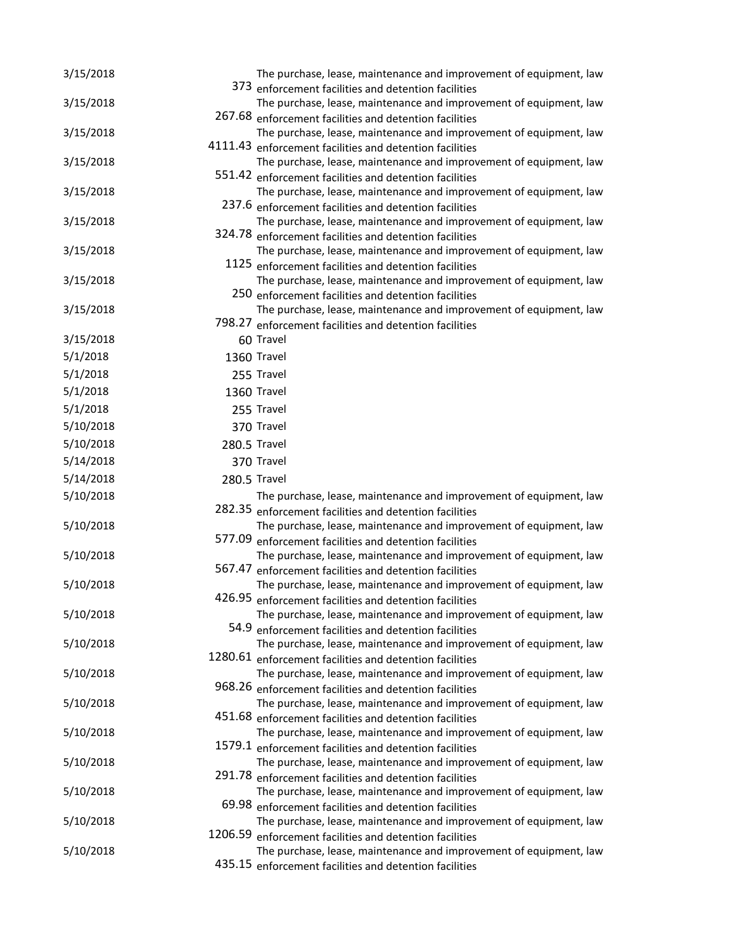| 3/15/2018 |         | The purchase, lease, maintenance and improvement of equipment, law                                                            |
|-----------|---------|-------------------------------------------------------------------------------------------------------------------------------|
|           |         | 373 enforcement facilities and detention facilities                                                                           |
| 3/15/2018 |         | The purchase, lease, maintenance and improvement of equipment, law                                                            |
|           |         | 267.68 enforcement facilities and detention facilities                                                                        |
| 3/15/2018 |         | The purchase, lease, maintenance and improvement of equipment, law<br>4111.43 enforcement facilities and detention facilities |
| 3/15/2018 |         | The purchase, lease, maintenance and improvement of equipment, law                                                            |
|           |         | 551.42 enforcement facilities and detention facilities                                                                        |
| 3/15/2018 |         | The purchase, lease, maintenance and improvement of equipment, law                                                            |
|           |         | 237.6 enforcement facilities and detention facilities                                                                         |
| 3/15/2018 |         | The purchase, lease, maintenance and improvement of equipment, law                                                            |
|           |         | 324.78 enforcement facilities and detention facilities                                                                        |
| 3/15/2018 |         | The purchase, lease, maintenance and improvement of equipment, law                                                            |
|           |         | 1125 enforcement facilities and detention facilities                                                                          |
| 3/15/2018 |         | The purchase, lease, maintenance and improvement of equipment, law                                                            |
|           |         | 250 enforcement facilities and detention facilities                                                                           |
| 3/15/2018 |         | The purchase, lease, maintenance and improvement of equipment, law                                                            |
|           |         | 798.27 enforcement facilities and detention facilities                                                                        |
| 3/15/2018 |         | 60 Travel                                                                                                                     |
| 5/1/2018  |         | 1360 Travel                                                                                                                   |
| 5/1/2018  |         | 255 Travel                                                                                                                    |
| 5/1/2018  |         | 1360 Travel                                                                                                                   |
| 5/1/2018  |         | 255 Travel                                                                                                                    |
| 5/10/2018 |         | 370 Travel                                                                                                                    |
| 5/10/2018 |         | 280.5 Travel                                                                                                                  |
| 5/14/2018 |         | 370 Travel                                                                                                                    |
| 5/14/2018 |         | 280.5 Travel                                                                                                                  |
| 5/10/2018 |         | The purchase, lease, maintenance and improvement of equipment, law                                                            |
|           |         | 282.35 enforcement facilities and detention facilities                                                                        |
| 5/10/2018 |         | The purchase, lease, maintenance and improvement of equipment, law                                                            |
|           |         | 577.09 enforcement facilities and detention facilities                                                                        |
| 5/10/2018 |         | The purchase, lease, maintenance and improvement of equipment, law                                                            |
|           |         | 567.47 enforcement facilities and detention facilities                                                                        |
| 5/10/2018 |         | The purchase, lease, maintenance and improvement of equipment, law                                                            |
|           |         | 426.95 enforcement facilities and detention facilities                                                                        |
| 5/10/2018 |         | The purchase, lease, maintenance and improvement of equipment, law                                                            |
|           |         | 54.9 enforcement facilities and detention facilities                                                                          |
| 5/10/2018 |         | The purchase, lease, maintenance and improvement of equipment, law                                                            |
|           |         | 1280.61 enforcement facilities and detention facilities                                                                       |
| 5/10/2018 |         | The purchase, lease, maintenance and improvement of equipment, law                                                            |
|           |         | 968.26 enforcement facilities and detention facilities                                                                        |
| 5/10/2018 |         | The purchase, lease, maintenance and improvement of equipment, law<br>451.68 enforcement facilities and detention facilities  |
| 5/10/2018 |         | The purchase, lease, maintenance and improvement of equipment, law                                                            |
|           |         | 1579.1 enforcement facilities and detention facilities                                                                        |
| 5/10/2018 |         | The purchase, lease, maintenance and improvement of equipment, law                                                            |
|           |         | 291.78 enforcement facilities and detention facilities                                                                        |
| 5/10/2018 |         | The purchase, lease, maintenance and improvement of equipment, law                                                            |
|           |         | 69.98 enforcement facilities and detention facilities                                                                         |
| 5/10/2018 |         | The purchase, lease, maintenance and improvement of equipment, law                                                            |
|           | 1206.59 | enforcement facilities and detention facilities                                                                               |
| 5/10/2018 |         | The purchase, lease, maintenance and improvement of equipment, law                                                            |
|           |         | 435.15 enforcement facilities and detention facilities                                                                        |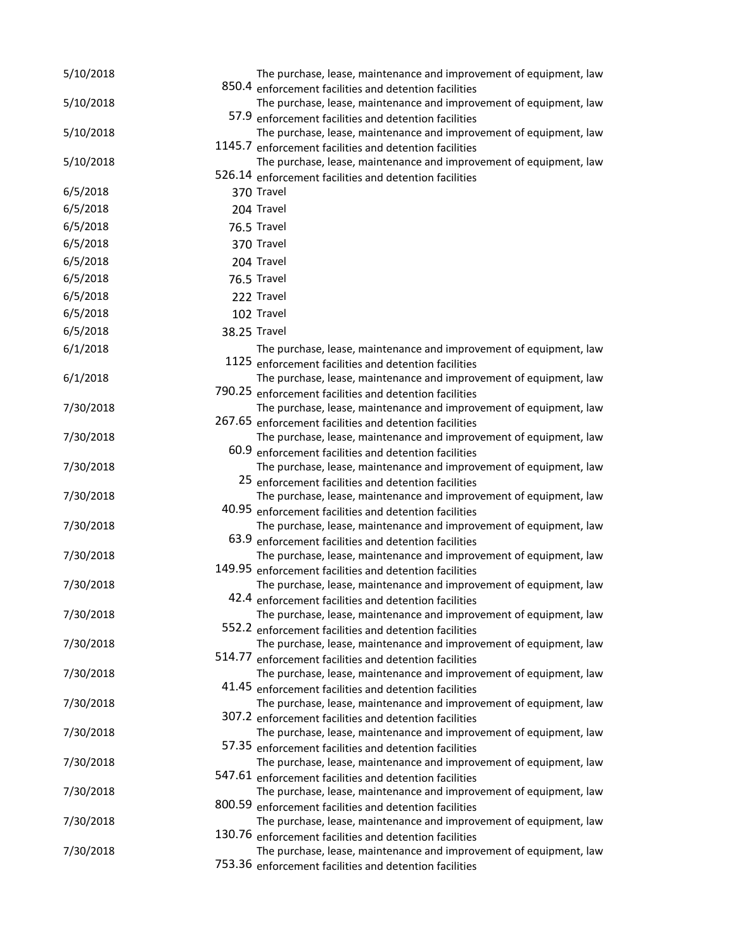| 5/10/2018 |        | The purchase, lease, maintenance and improvement of equipment, law                                                           |
|-----------|--------|------------------------------------------------------------------------------------------------------------------------------|
|           |        | 850.4 enforcement facilities and detention facilities                                                                        |
| 5/10/2018 |        | The purchase, lease, maintenance and improvement of equipment, law<br>57.9 enforcement facilities and detention facilities   |
| 5/10/2018 |        | The purchase, lease, maintenance and improvement of equipment, law                                                           |
|           |        | 1145.7 enforcement facilities and detention facilities                                                                       |
| 5/10/2018 |        | The purchase, lease, maintenance and improvement of equipment, law                                                           |
|           |        | 526.14 enforcement facilities and detention facilities                                                                       |
| 6/5/2018  |        | 370 Travel                                                                                                                   |
| 6/5/2018  |        | 204 Travel                                                                                                                   |
| 6/5/2018  |        | 76.5 Travel                                                                                                                  |
| 6/5/2018  |        | 370 Travel                                                                                                                   |
| 6/5/2018  |        | 204 Travel                                                                                                                   |
| 6/5/2018  |        | 76.5 Travel                                                                                                                  |
| 6/5/2018  |        | 222 Travel                                                                                                                   |
| 6/5/2018  |        | 102 Travel                                                                                                                   |
| 6/5/2018  |        | 38.25 Travel                                                                                                                 |
| 6/1/2018  |        | The purchase, lease, maintenance and improvement of equipment, law                                                           |
|           |        | 1125 enforcement facilities and detention facilities                                                                         |
| 6/1/2018  |        | The purchase, lease, maintenance and improvement of equipment, law                                                           |
|           |        | 790.25 enforcement facilities and detention facilities                                                                       |
| 7/30/2018 |        | The purchase, lease, maintenance and improvement of equipment, law                                                           |
|           |        | 267.65 enforcement facilities and detention facilities                                                                       |
| 7/30/2018 |        | The purchase, lease, maintenance and improvement of equipment, law                                                           |
|           |        | 60.9 enforcement facilities and detention facilities                                                                         |
| 7/30/2018 |        | The purchase, lease, maintenance and improvement of equipment, law<br>25 enforcement facilities and detention facilities     |
| 7/30/2018 |        | The purchase, lease, maintenance and improvement of equipment, law                                                           |
|           |        | 40.95 enforcement facilities and detention facilities                                                                        |
| 7/30/2018 |        | The purchase, lease, maintenance and improvement of equipment, law                                                           |
|           |        | 63.9 enforcement facilities and detention facilities                                                                         |
| 7/30/2018 |        | The purchase, lease, maintenance and improvement of equipment, law                                                           |
|           |        | 149.95 enforcement facilities and detention facilities                                                                       |
| 7/30/2018 |        | The purchase, lease, maintenance and improvement of equipment, law                                                           |
|           |        | 42.4 enforcement facilities and detention facilities                                                                         |
| 7/30/2018 |        | The purchase, lease, maintenance and improvement of equipment, law<br>552.2 enforcement facilities and detention facilities  |
| 7/30/2018 |        | The purchase, lease, maintenance and improvement of equipment, law                                                           |
|           | 514.77 | enforcement facilities and detention facilities                                                                              |
| 7/30/2018 |        | The purchase, lease, maintenance and improvement of equipment, law                                                           |
|           |        | 41.45 enforcement facilities and detention facilities                                                                        |
| 7/30/2018 |        | The purchase, lease, maintenance and improvement of equipment, law                                                           |
|           |        | 307.2 enforcement facilities and detention facilities                                                                        |
| 7/30/2018 |        | The purchase, lease, maintenance and improvement of equipment, law                                                           |
|           |        | 57.35 enforcement facilities and detention facilities                                                                        |
| 7/30/2018 |        | The purchase, lease, maintenance and improvement of equipment, law<br>547.61 enforcement facilities and detention facilities |
| 7/30/2018 |        | The purchase, lease, maintenance and improvement of equipment, law                                                           |
|           |        | 800.59 enforcement facilities and detention facilities                                                                       |
| 7/30/2018 |        | The purchase, lease, maintenance and improvement of equipment, law                                                           |
|           |        | 130.76 enforcement facilities and detention facilities                                                                       |
| 7/30/2018 |        | The purchase, lease, maintenance and improvement of equipment, law                                                           |
|           |        | 753.36 enforcement facilities and detention facilities                                                                       |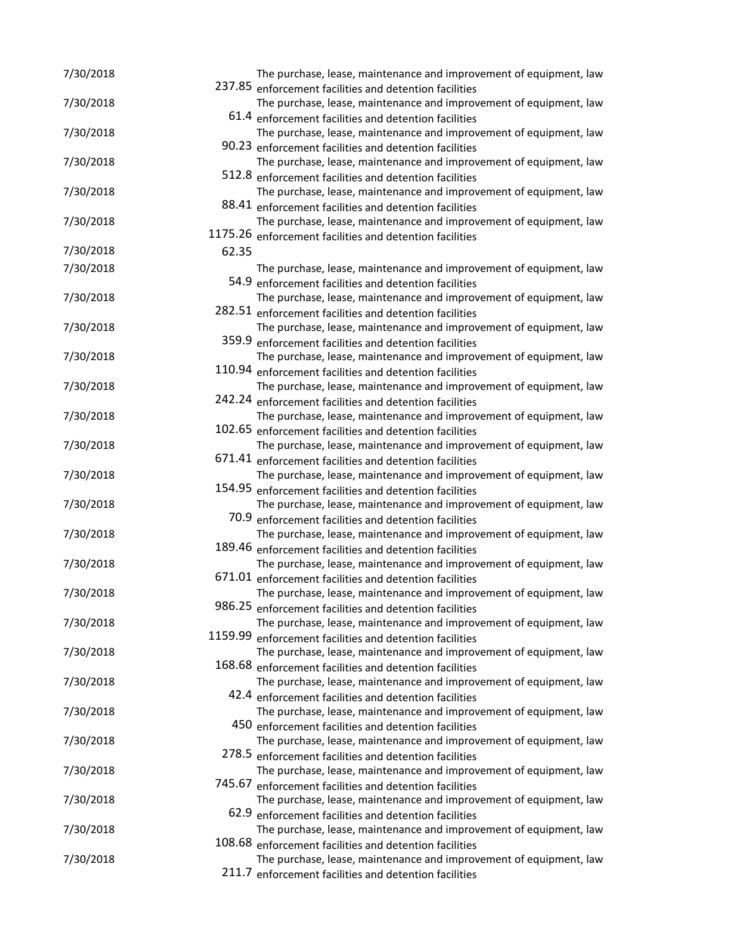| 7/30/2018 |       | The purchase, lease, maintenance and improvement of equipment, law<br>237.85 enforcement facilities and detention facilities |
|-----------|-------|------------------------------------------------------------------------------------------------------------------------------|
| 7/30/2018 |       | The purchase, lease, maintenance and improvement of equipment, law                                                           |
|           |       | 61.4 enforcement facilities and detention facilities                                                                         |
| 7/30/2018 |       | The purchase, lease, maintenance and improvement of equipment, law                                                           |
|           |       | 90.23 enforcement facilities and detention facilities                                                                        |
| 7/30/2018 |       | The purchase, lease, maintenance and improvement of equipment, law                                                           |
|           |       | 512.8 enforcement facilities and detention facilities                                                                        |
| 7/30/2018 |       | The purchase, lease, maintenance and improvement of equipment, law                                                           |
|           |       | 88.41 enforcement facilities and detention facilities                                                                        |
| 7/30/2018 |       | The purchase, lease, maintenance and improvement of equipment, law                                                           |
|           |       | 1175.26 enforcement facilities and detention facilities                                                                      |
| 7/30/2018 | 62.35 |                                                                                                                              |
| 7/30/2018 |       | The purchase, lease, maintenance and improvement of equipment, law                                                           |
|           |       | 54.9 enforcement facilities and detention facilities                                                                         |
| 7/30/2018 |       | The purchase, lease, maintenance and improvement of equipment, law                                                           |
|           |       | 282.51 enforcement facilities and detention facilities                                                                       |
| 7/30/2018 |       | The purchase, lease, maintenance and improvement of equipment, law                                                           |
|           |       | 359.9 enforcement facilities and detention facilities                                                                        |
| 7/30/2018 |       | The purchase, lease, maintenance and improvement of equipment, law                                                           |
|           |       | 110.94 enforcement facilities and detention facilities                                                                       |
| 7/30/2018 |       | The purchase, lease, maintenance and improvement of equipment, law                                                           |
|           |       | 242.24 enforcement facilities and detention facilities                                                                       |
| 7/30/2018 |       | The purchase, lease, maintenance and improvement of equipment, law                                                           |
|           |       | 102.65 enforcement facilities and detention facilities                                                                       |
| 7/30/2018 |       | The purchase, lease, maintenance and improvement of equipment, law                                                           |
|           |       | 671.41 enforcement facilities and detention facilities                                                                       |
| 7/30/2018 |       | The purchase, lease, maintenance and improvement of equipment, law                                                           |
|           |       | 154.95 enforcement facilities and detention facilities                                                                       |
| 7/30/2018 |       | The purchase, lease, maintenance and improvement of equipment, law                                                           |
|           |       | 70.9 enforcement facilities and detention facilities                                                                         |
| 7/30/2018 |       | The purchase, lease, maintenance and improvement of equipment, law                                                           |
|           |       | 189.46 enforcement facilities and detention facilities                                                                       |
| 7/30/2018 |       | The purchase, lease, maintenance and improvement of equipment, law                                                           |
|           |       | 671.01 enforcement facilities and detention facilities                                                                       |
| 7/30/2018 |       | The purchase, lease, maintenance and improvement of equipment, law                                                           |
|           |       | 986.25 enforcement facilities and detention facilities                                                                       |
| 7/30/2018 |       | The purchase, lease, maintenance and improvement of equipment, law                                                           |
|           |       | 1159.99 enforcement facilities and detention facilities                                                                      |
| 7/30/2018 |       | The purchase, lease, maintenance and improvement of equipment, law                                                           |
|           |       | 168.68 enforcement facilities and detention facilities                                                                       |
| 7/30/2018 |       | The purchase, lease, maintenance and improvement of equipment, law                                                           |
|           |       | 42.4 enforcement facilities and detention facilities                                                                         |
| 7/30/2018 |       | The purchase, lease, maintenance and improvement of equipment, law                                                           |
|           |       | 450 enforcement facilities and detention facilities                                                                          |
| 7/30/2018 |       | The purchase, lease, maintenance and improvement of equipment, law<br>278.5 enforcement facilities and detention facilities  |
| 7/30/2018 |       | The purchase, lease, maintenance and improvement of equipment, law                                                           |
|           |       | 745.67 enforcement facilities and detention facilities                                                                       |
| 7/30/2018 |       | The purchase, lease, maintenance and improvement of equipment, law                                                           |
|           |       | 62.9 enforcement facilities and detention facilities                                                                         |
| 7/30/2018 |       | The purchase, lease, maintenance and improvement of equipment, law                                                           |
|           |       | 108.68 enforcement facilities and detention facilities                                                                       |
| 7/30/2018 |       | The purchase, lease, maintenance and improvement of equipment, law                                                           |
|           |       | 211.7 enforcement facilities and detention facilities                                                                        |
|           |       |                                                                                                                              |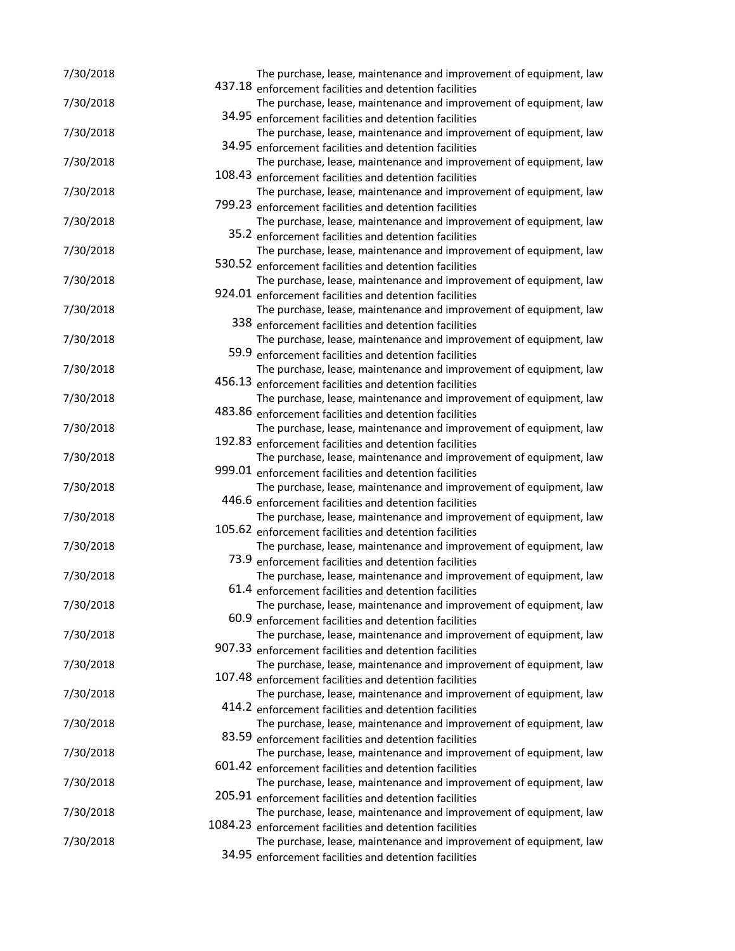| 7/30/2018 | The purchase, lease, maintenance and improvement of equipment, law                                                           |
|-----------|------------------------------------------------------------------------------------------------------------------------------|
|           | 437.18 enforcement facilities and detention facilities                                                                       |
| 7/30/2018 | The purchase, lease, maintenance and improvement of equipment, law                                                           |
|           | 34.95 enforcement facilities and detention facilities                                                                        |
| 7/30/2018 | The purchase, lease, maintenance and improvement of equipment, law<br>34.95 enforcement facilities and detention facilities  |
| 7/30/2018 | The purchase, lease, maintenance and improvement of equipment, law                                                           |
|           | 108.43 enforcement facilities and detention facilities                                                                       |
| 7/30/2018 | The purchase, lease, maintenance and improvement of equipment, law                                                           |
|           | 799.23 enforcement facilities and detention facilities                                                                       |
| 7/30/2018 | The purchase, lease, maintenance and improvement of equipment, law                                                           |
|           | 35.2 enforcement facilities and detention facilities                                                                         |
| 7/30/2018 | The purchase, lease, maintenance and improvement of equipment, law                                                           |
|           | 530.52 enforcement facilities and detention facilities                                                                       |
| 7/30/2018 | The purchase, lease, maintenance and improvement of equipment, law                                                           |
|           | 924.01 enforcement facilities and detention facilities                                                                       |
| 7/30/2018 | The purchase, lease, maintenance and improvement of equipment, law                                                           |
|           | 338 enforcement facilities and detention facilities                                                                          |
| 7/30/2018 | The purchase, lease, maintenance and improvement of equipment, law                                                           |
|           | 59.9 enforcement facilities and detention facilities                                                                         |
| 7/30/2018 | The purchase, lease, maintenance and improvement of equipment, law                                                           |
|           | 456.13 enforcement facilities and detention facilities                                                                       |
| 7/30/2018 | The purchase, lease, maintenance and improvement of equipment, law                                                           |
|           | 483.86 enforcement facilities and detention facilities                                                                       |
| 7/30/2018 | The purchase, lease, maintenance and improvement of equipment, law                                                           |
|           | 192.83 enforcement facilities and detention facilities                                                                       |
| 7/30/2018 | The purchase, lease, maintenance and improvement of equipment, law                                                           |
|           | 999.01 enforcement facilities and detention facilities                                                                       |
| 7/30/2018 | The purchase, lease, maintenance and improvement of equipment, law                                                           |
|           | 446.6 enforcement facilities and detention facilities                                                                        |
| 7/30/2018 | The purchase, lease, maintenance and improvement of equipment, law                                                           |
| 7/30/2018 | 105.62 enforcement facilities and detention facilities<br>The purchase, lease, maintenance and improvement of equipment, law |
|           | 73.9 enforcement facilities and detention facilities                                                                         |
| 7/30/2018 | The purchase, lease, maintenance and improvement of equipment, law                                                           |
|           | 61.4 enforcement facilities and detention facilities                                                                         |
| 7/30/2018 | The purchase, lease, maintenance and improvement of equipment, law                                                           |
|           | 60.9 enforcement facilities and detention facilities                                                                         |
| 7/30/2018 | The purchase, lease, maintenance and improvement of equipment, law                                                           |
|           | 907.33 enforcement facilities and detention facilities                                                                       |
| 7/30/2018 | The purchase, lease, maintenance and improvement of equipment, law                                                           |
|           | 107.48 enforcement facilities and detention facilities                                                                       |
| 7/30/2018 | The purchase, lease, maintenance and improvement of equipment, law                                                           |
|           | 414.2 enforcement facilities and detention facilities                                                                        |
| 7/30/2018 | The purchase, lease, maintenance and improvement of equipment, law                                                           |
|           | 83.59 enforcement facilities and detention facilities                                                                        |
| 7/30/2018 | The purchase, lease, maintenance and improvement of equipment, law                                                           |
|           | 601.42 enforcement facilities and detention facilities                                                                       |
| 7/30/2018 | The purchase, lease, maintenance and improvement of equipment, law                                                           |
|           | 205.91 enforcement facilities and detention facilities                                                                       |
| 7/30/2018 | The purchase, lease, maintenance and improvement of equipment, law                                                           |
|           | 1084.23 enforcement facilities and detention facilities                                                                      |
| 7/30/2018 | The purchase, lease, maintenance and improvement of equipment, law                                                           |
|           | 34.95 enforcement facilities and detention facilities                                                                        |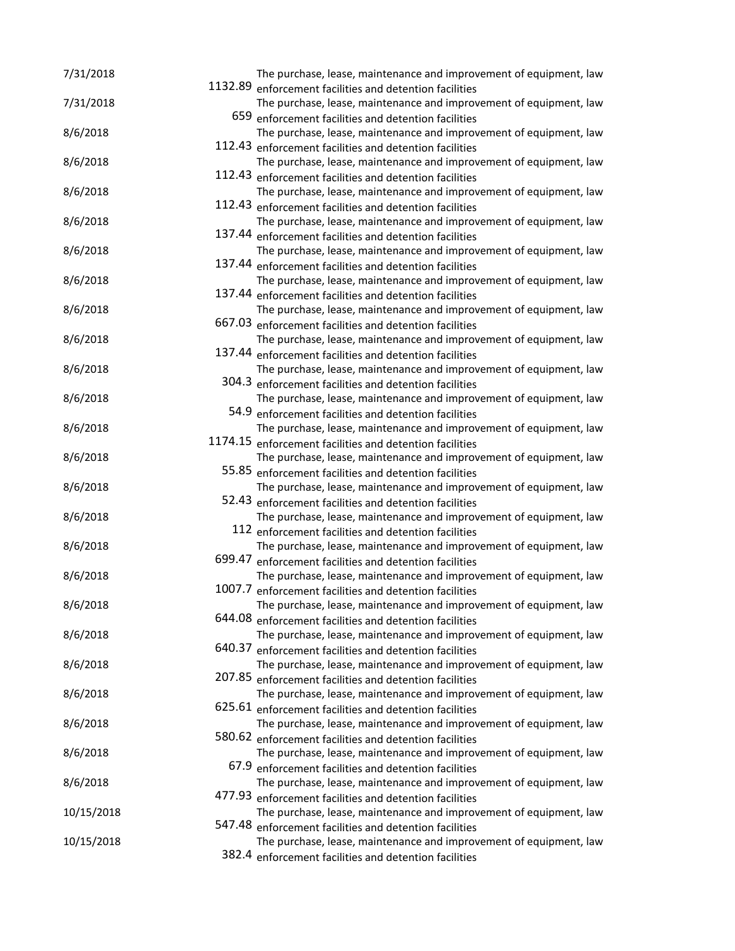| 7/31/2018  | 1132.89 | The purchase, lease, maintenance and improvement of equipment, law                                                           |
|------------|---------|------------------------------------------------------------------------------------------------------------------------------|
|            |         | enforcement facilities and detention facilities                                                                              |
| 7/31/2018  |         | The purchase, lease, maintenance and improvement of equipment, law                                                           |
|            |         | 659 enforcement facilities and detention facilities<br>The purchase, lease, maintenance and improvement of equipment, law    |
| 8/6/2018   |         | 112.43 enforcement facilities and detention facilities                                                                       |
| 8/6/2018   |         | The purchase, lease, maintenance and improvement of equipment, law                                                           |
|            |         | 112.43 enforcement facilities and detention facilities                                                                       |
| 8/6/2018   |         | The purchase, lease, maintenance and improvement of equipment, law                                                           |
|            |         | 112.43 enforcement facilities and detention facilities                                                                       |
| 8/6/2018   |         | The purchase, lease, maintenance and improvement of equipment, law                                                           |
|            |         | 137.44 enforcement facilities and detention facilities                                                                       |
| 8/6/2018   |         | The purchase, lease, maintenance and improvement of equipment, law                                                           |
|            |         | 137.44 enforcement facilities and detention facilities                                                                       |
| 8/6/2018   |         | The purchase, lease, maintenance and improvement of equipment, law                                                           |
|            |         | 137.44 enforcement facilities and detention facilities                                                                       |
| 8/6/2018   |         | The purchase, lease, maintenance and improvement of equipment, law                                                           |
|            |         | 667.03 enforcement facilities and detention facilities                                                                       |
| 8/6/2018   |         | The purchase, lease, maintenance and improvement of equipment, law                                                           |
|            |         | 137.44 enforcement facilities and detention facilities                                                                       |
| 8/6/2018   |         | The purchase, lease, maintenance and improvement of equipment, law                                                           |
|            |         | 304.3 enforcement facilities and detention facilities                                                                        |
| 8/6/2018   |         | The purchase, lease, maintenance and improvement of equipment, law                                                           |
|            |         | 54.9 enforcement facilities and detention facilities                                                                         |
| 8/6/2018   |         | The purchase, lease, maintenance and improvement of equipment, law                                                           |
|            |         | 1174.15 enforcement facilities and detention facilities                                                                      |
| 8/6/2018   |         | The purchase, lease, maintenance and improvement of equipment, law                                                           |
|            |         | 55.85 enforcement facilities and detention facilities                                                                        |
| 8/6/2018   |         | The purchase, lease, maintenance and improvement of equipment, law                                                           |
|            |         | 52.43 enforcement facilities and detention facilities                                                                        |
| 8/6/2018   |         | The purchase, lease, maintenance and improvement of equipment, law                                                           |
|            |         | 112 enforcement facilities and detention facilities                                                                          |
| 8/6/2018   |         | The purchase, lease, maintenance and improvement of equipment, law                                                           |
|            |         | 699.47 enforcement facilities and detention facilities                                                                       |
| 8/6/2018   |         | The purchase, lease, maintenance and improvement of equipment, law                                                           |
|            |         | 1007.7 enforcement facilities and detention facilities                                                                       |
| 8/6/2018   |         | The purchase, lease, maintenance and improvement of equipment, law                                                           |
|            |         | 644.08 enforcement facilities and detention facilities                                                                       |
| 8/6/2018   |         | The purchase, lease, maintenance and improvement of equipment, law<br>640.37 enforcement facilities and detention facilities |
| 8/6/2018   |         | The purchase, lease, maintenance and improvement of equipment, law                                                           |
|            |         | 207.85 enforcement facilities and detention facilities                                                                       |
| 8/6/2018   |         | The purchase, lease, maintenance and improvement of equipment, law                                                           |
|            |         | 625.61 enforcement facilities and detention facilities                                                                       |
| 8/6/2018   |         | The purchase, lease, maintenance and improvement of equipment, law                                                           |
|            |         | 580.62 enforcement facilities and detention facilities                                                                       |
| 8/6/2018   |         | The purchase, lease, maintenance and improvement of equipment, law                                                           |
|            |         | 67.9 enforcement facilities and detention facilities                                                                         |
| 8/6/2018   |         | The purchase, lease, maintenance and improvement of equipment, law                                                           |
|            |         | 477.93 enforcement facilities and detention facilities                                                                       |
| 10/15/2018 |         | The purchase, lease, maintenance and improvement of equipment, law                                                           |
|            |         | 547.48 enforcement facilities and detention facilities                                                                       |
| 10/15/2018 |         | The purchase, lease, maintenance and improvement of equipment, law                                                           |
|            |         | 382.4 enforcement facilities and detention facilities                                                                        |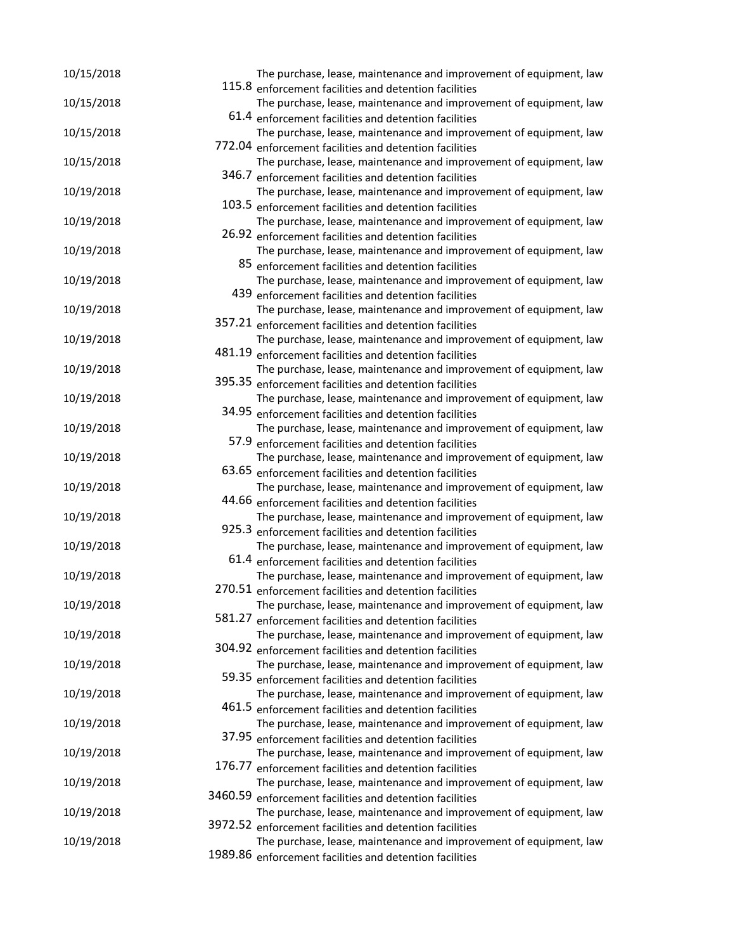| 10/15/2018 |        | The purchase, lease, maintenance and improvement of equipment, law                                                           |
|------------|--------|------------------------------------------------------------------------------------------------------------------------------|
|            |        | 115.8 enforcement facilities and detention facilities                                                                        |
| 10/15/2018 |        | The purchase, lease, maintenance and improvement of equipment, law<br>61.4 enforcement facilities and detention facilities   |
| 10/15/2018 |        | The purchase, lease, maintenance and improvement of equipment, law                                                           |
|            |        | 772.04 enforcement facilities and detention facilities                                                                       |
| 10/15/2018 |        | The purchase, lease, maintenance and improvement of equipment, law                                                           |
|            | 346.7  | enforcement facilities and detention facilities                                                                              |
| 10/19/2018 |        | The purchase, lease, maintenance and improvement of equipment, law                                                           |
|            |        | 103.5 enforcement facilities and detention facilities                                                                        |
| 10/19/2018 |        | The purchase, lease, maintenance and improvement of equipment, law                                                           |
|            |        | 26.92 enforcement facilities and detention facilities                                                                        |
| 10/19/2018 |        | The purchase, lease, maintenance and improvement of equipment, law                                                           |
|            |        | 85 enforcement facilities and detention facilities                                                                           |
| 10/19/2018 |        | The purchase, lease, maintenance and improvement of equipment, law                                                           |
|            |        | 439 enforcement facilities and detention facilities                                                                          |
| 10/19/2018 |        | The purchase, lease, maintenance and improvement of equipment, law                                                           |
|            |        | 357.21 enforcement facilities and detention facilities                                                                       |
| 10/19/2018 |        | The purchase, lease, maintenance and improvement of equipment, law                                                           |
|            |        | 481.19 enforcement facilities and detention facilities                                                                       |
| 10/19/2018 |        | The purchase, lease, maintenance and improvement of equipment, law                                                           |
|            |        | 395.35 enforcement facilities and detention facilities                                                                       |
| 10/19/2018 |        | The purchase, lease, maintenance and improvement of equipment, law                                                           |
|            |        | 34.95 enforcement facilities and detention facilities                                                                        |
| 10/19/2018 |        | The purchase, lease, maintenance and improvement of equipment, law                                                           |
|            |        | 57.9 enforcement facilities and detention facilities                                                                         |
| 10/19/2018 |        | The purchase, lease, maintenance and improvement of equipment, law                                                           |
|            |        | 63.65 enforcement facilities and detention facilities                                                                        |
| 10/19/2018 |        | The purchase, lease, maintenance and improvement of equipment, law                                                           |
|            |        | 44.66 enforcement facilities and detention facilities                                                                        |
| 10/19/2018 |        | The purchase, lease, maintenance and improvement of equipment, law                                                           |
|            |        | 925.3 enforcement facilities and detention facilities                                                                        |
| 10/19/2018 |        | The purchase, lease, maintenance and improvement of equipment, law                                                           |
|            |        | 61.4 enforcement facilities and detention facilities                                                                         |
| 10/19/2018 |        | The purchase, lease, maintenance and improvement of equipment, law<br>270.51 enforcement facilities and detention facilities |
| 10/19/2018 |        | The purchase, lease, maintenance and improvement of equipment, law                                                           |
|            | 581.27 | enforcement facilities and detention facilities                                                                              |
| 10/19/2018 |        | The purchase, lease, maintenance and improvement of equipment, law                                                           |
|            |        | 304.92 enforcement facilities and detention facilities                                                                       |
| 10/19/2018 |        | The purchase, lease, maintenance and improvement of equipment, law                                                           |
|            |        | 59.35 enforcement facilities and detention facilities                                                                        |
| 10/19/2018 |        | The purchase, lease, maintenance and improvement of equipment, law                                                           |
|            |        | 461.5 enforcement facilities and detention facilities                                                                        |
| 10/19/2018 |        | The purchase, lease, maintenance and improvement of equipment, law                                                           |
|            |        | 37.95 enforcement facilities and detention facilities                                                                        |
| 10/19/2018 |        | The purchase, lease, maintenance and improvement of equipment, law                                                           |
|            |        | 176.77 enforcement facilities and detention facilities                                                                       |
| 10/19/2018 |        | The purchase, lease, maintenance and improvement of equipment, law                                                           |
|            |        | 3460.59 enforcement facilities and detention facilities                                                                      |
| 10/19/2018 |        | The purchase, lease, maintenance and improvement of equipment, law                                                           |
|            |        | 3972.52 enforcement facilities and detention facilities                                                                      |
| 10/19/2018 |        | The purchase, lease, maintenance and improvement of equipment, law                                                           |
|            |        | 1989.86 enforcement facilities and detention facilities                                                                      |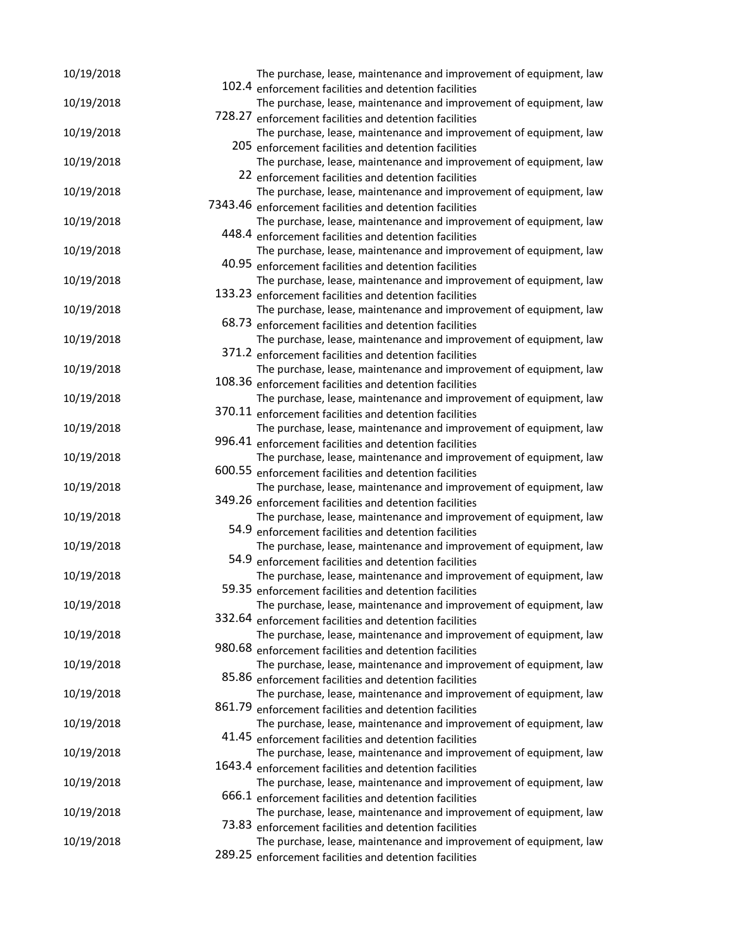| 10/19/2018 |        | The purchase, lease, maintenance and improvement of equipment, law                                                          |
|------------|--------|-----------------------------------------------------------------------------------------------------------------------------|
| 10/19/2018 |        | 102.4 enforcement facilities and detention facilities<br>The purchase, lease, maintenance and improvement of equipment, law |
|            | 728.27 | enforcement facilities and detention facilities                                                                             |
| 10/19/2018 |        | The purchase, lease, maintenance and improvement of equipment, law                                                          |
|            |        | 205 enforcement facilities and detention facilities                                                                         |
| 10/19/2018 |        | The purchase, lease, maintenance and improvement of equipment, law                                                          |
|            |        | 22 enforcement facilities and detention facilities                                                                          |
| 10/19/2018 |        | The purchase, lease, maintenance and improvement of equipment, law                                                          |
|            |        | 7343.46 enforcement facilities and detention facilities                                                                     |
| 10/19/2018 |        | The purchase, lease, maintenance and improvement of equipment, law                                                          |
|            |        | 448.4 enforcement facilities and detention facilities                                                                       |
| 10/19/2018 |        | The purchase, lease, maintenance and improvement of equipment, law                                                          |
|            |        | 40.95 enforcement facilities and detention facilities                                                                       |
| 10/19/2018 |        | The purchase, lease, maintenance and improvement of equipment, law                                                          |
|            |        | 133.23 enforcement facilities and detention facilities                                                                      |
| 10/19/2018 |        | The purchase, lease, maintenance and improvement of equipment, law                                                          |
|            |        | 68.73 enforcement facilities and detention facilities                                                                       |
| 10/19/2018 |        | The purchase, lease, maintenance and improvement of equipment, law                                                          |
|            |        | 371.2 enforcement facilities and detention facilities                                                                       |
| 10/19/2018 |        | The purchase, lease, maintenance and improvement of equipment, law                                                          |
|            |        | 108.36 enforcement facilities and detention facilities                                                                      |
| 10/19/2018 |        | The purchase, lease, maintenance and improvement of equipment, law                                                          |
|            |        | 370.11 enforcement facilities and detention facilities                                                                      |
| 10/19/2018 |        | The purchase, lease, maintenance and improvement of equipment, law                                                          |
|            |        | 996.41 enforcement facilities and detention facilities                                                                      |
| 10/19/2018 |        | The purchase, lease, maintenance and improvement of equipment, law                                                          |
|            |        | 600.55 enforcement facilities and detention facilities                                                                      |
| 10/19/2018 |        | The purchase, lease, maintenance and improvement of equipment, law                                                          |
|            |        | 349.26 enforcement facilities and detention facilities                                                                      |
| 10/19/2018 |        | The purchase, lease, maintenance and improvement of equipment, law                                                          |
|            |        | 54.9 enforcement facilities and detention facilities                                                                        |
| 10/19/2018 |        | The purchase, lease, maintenance and improvement of equipment, law                                                          |
|            |        | 54.9 enforcement facilities and detention facilities                                                                        |
| 10/19/2018 |        | The purchase, lease, maintenance and improvement of equipment, law                                                          |
|            |        | 59.35 enforcement facilities and detention facilities                                                                       |
| 10/19/2018 |        | The purchase, lease, maintenance and improvement of equipment, law                                                          |
|            |        | 332.64 enforcement facilities and detention facilities                                                                      |
| 10/19/2018 |        | The purchase, lease, maintenance and improvement of equipment, law                                                          |
|            |        | 980.68 enforcement facilities and detention facilities                                                                      |
| 10/19/2018 |        | The purchase, lease, maintenance and improvement of equipment, law                                                          |
|            |        | 85.86 enforcement facilities and detention facilities                                                                       |
| 10/19/2018 |        | The purchase, lease, maintenance and improvement of equipment, law                                                          |
|            |        | 861.79 enforcement facilities and detention facilities                                                                      |
| 10/19/2018 |        | The purchase, lease, maintenance and improvement of equipment, law                                                          |
|            |        | 41.45 enforcement facilities and detention facilities                                                                       |
| 10/19/2018 |        | The purchase, lease, maintenance and improvement of equipment, law                                                          |
|            |        | 1643.4 enforcement facilities and detention facilities                                                                      |
| 10/19/2018 |        | The purchase, lease, maintenance and improvement of equipment, law                                                          |
|            |        | 666.1 enforcement facilities and detention facilities                                                                       |
| 10/19/2018 |        | The purchase, lease, maintenance and improvement of equipment, law                                                          |
|            |        | 73.83 enforcement facilities and detention facilities                                                                       |
| 10/19/2018 |        | The purchase, lease, maintenance and improvement of equipment, law                                                          |
|            |        | 289.25 enforcement facilities and detention facilities                                                                      |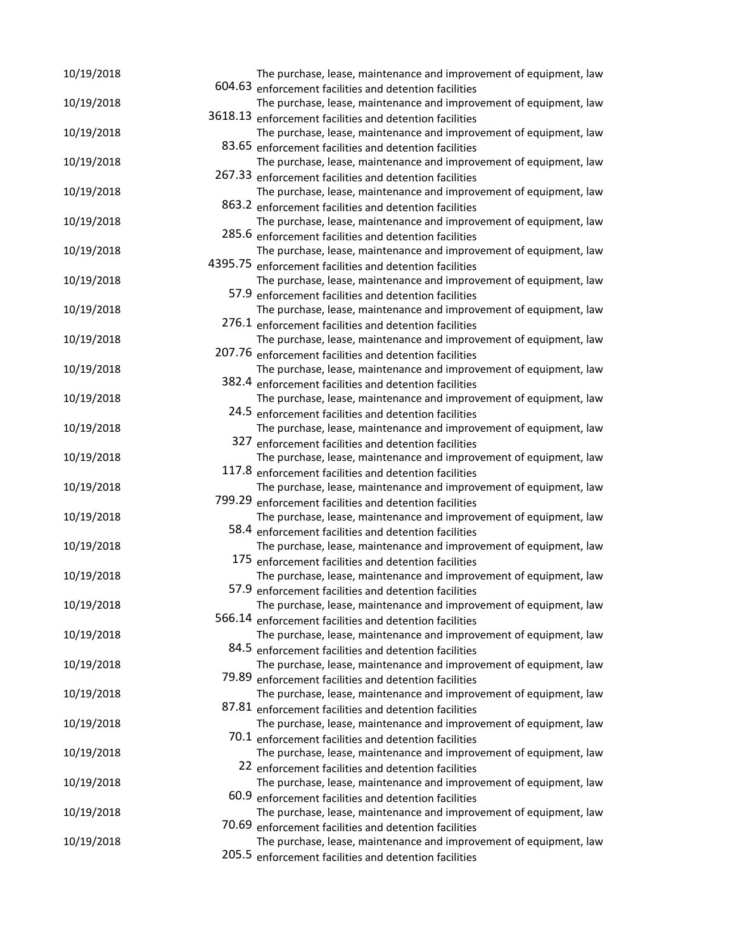| 10/19/2018 | The purchase, lease, maintenance and improvement of equipment, law |
|------------|--------------------------------------------------------------------|
|            | 604.63 enforcement facilities and detention facilities             |
| 10/19/2018 | The purchase, lease, maintenance and improvement of equipment, law |
|            | 3618.13 enforcement facilities and detention facilities            |
| 10/19/2018 | The purchase, lease, maintenance and improvement of equipment, law |
|            | 83.65 enforcement facilities and detention facilities              |
| 10/19/2018 | The purchase, lease, maintenance and improvement of equipment, law |
|            | 267.33 enforcement facilities and detention facilities             |
| 10/19/2018 | The purchase, lease, maintenance and improvement of equipment, law |
|            | 863.2 enforcement facilities and detention facilities              |
| 10/19/2018 | The purchase, lease, maintenance and improvement of equipment, law |
|            | 285.6 enforcement facilities and detention facilities              |
| 10/19/2018 | The purchase, lease, maintenance and improvement of equipment, law |
|            | 4395.75 enforcement facilities and detention facilities            |
| 10/19/2018 | The purchase, lease, maintenance and improvement of equipment, law |
|            | 57.9 enforcement facilities and detention facilities               |
| 10/19/2018 | The purchase, lease, maintenance and improvement of equipment, law |
|            | 276.1 enforcement facilities and detention facilities              |
| 10/19/2018 | The purchase, lease, maintenance and improvement of equipment, law |
|            | 207.76 enforcement facilities and detention facilities             |
| 10/19/2018 | The purchase, lease, maintenance and improvement of equipment, law |
|            | 382.4 enforcement facilities and detention facilities              |
| 10/19/2018 | The purchase, lease, maintenance and improvement of equipment, law |
|            | 24.5 enforcement facilities and detention facilities               |
| 10/19/2018 | The purchase, lease, maintenance and improvement of equipment, law |
|            | 327 enforcement facilities and detention facilities                |
| 10/19/2018 | The purchase, lease, maintenance and improvement of equipment, law |
|            | 117.8 enforcement facilities and detention facilities              |
| 10/19/2018 | The purchase, lease, maintenance and improvement of equipment, law |
|            | 799.29 enforcement facilities and detention facilities             |
| 10/19/2018 | The purchase, lease, maintenance and improvement of equipment, law |
|            | 58.4 enforcement facilities and detention facilities               |
| 10/19/2018 | The purchase, lease, maintenance and improvement of equipment, law |
|            | 175 enforcement facilities and detention facilities                |
| 10/19/2018 | The purchase, lease, maintenance and improvement of equipment, law |
|            | 57.9 enforcement facilities and detention facilities               |
| 10/19/2018 | The purchase, lease, maintenance and improvement of equipment, law |
|            | 566.14 enforcement facilities and detention facilities             |
| 10/19/2018 | The purchase, lease, maintenance and improvement of equipment, law |
|            | 84.5 enforcement facilities and detention facilities               |
| 10/19/2018 | The purchase, lease, maintenance and improvement of equipment, law |
|            | 79.89 enforcement facilities and detention facilities              |
| 10/19/2018 | The purchase, lease, maintenance and improvement of equipment, law |
|            | 87.81 enforcement facilities and detention facilities              |
| 10/19/2018 | The purchase, lease, maintenance and improvement of equipment, law |
|            | 70.1 enforcement facilities and detention facilities               |
| 10/19/2018 | The purchase, lease, maintenance and improvement of equipment, law |
|            | 22 enforcement facilities and detention facilities                 |
| 10/19/2018 | The purchase, lease, maintenance and improvement of equipment, law |
|            | 60.9 enforcement facilities and detention facilities               |
| 10/19/2018 | The purchase, lease, maintenance and improvement of equipment, law |
|            | 70.69 enforcement facilities and detention facilities              |
| 10/19/2018 | The purchase, lease, maintenance and improvement of equipment, law |
|            | 205.5 enforcement facilities and detention facilities              |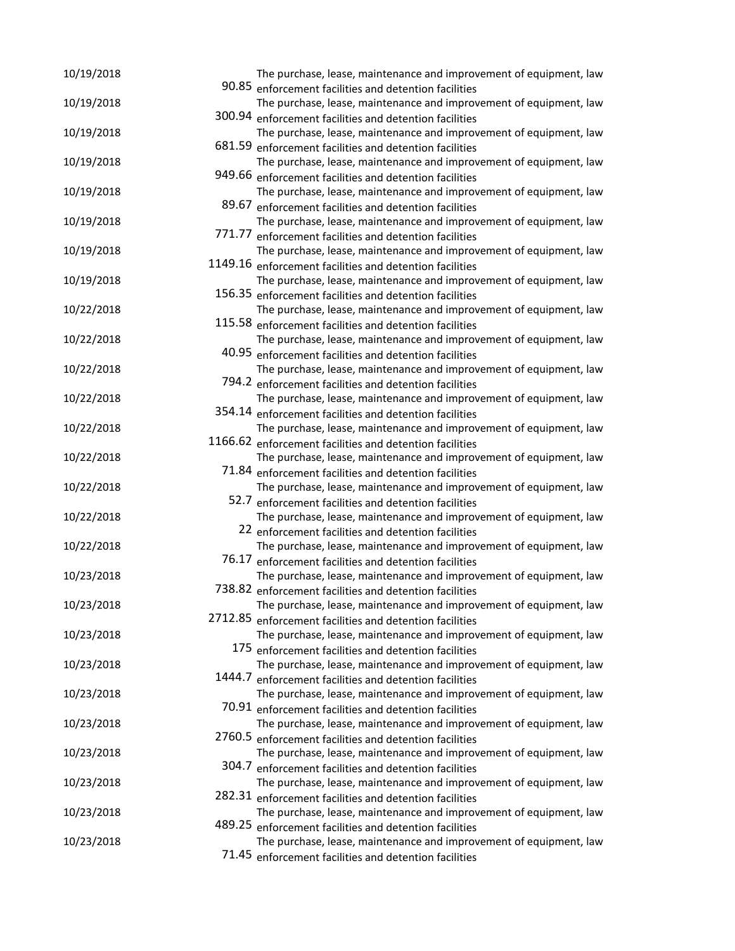| 10/19/2018 |        | The purchase, lease, maintenance and improvement of equipment, law                                                           |
|------------|--------|------------------------------------------------------------------------------------------------------------------------------|
|            |        | 90.85 enforcement facilities and detention facilities                                                                        |
| 10/19/2018 |        | The purchase, lease, maintenance and improvement of equipment, law                                                           |
|            |        | 300.94 enforcement facilities and detention facilities                                                                       |
| 10/19/2018 |        | The purchase, lease, maintenance and improvement of equipment, law                                                           |
|            | 681.59 | enforcement facilities and detention facilities                                                                              |
| 10/19/2018 |        | The purchase, lease, maintenance and improvement of equipment, law                                                           |
|            |        | 949.66 enforcement facilities and detention facilities                                                                       |
| 10/19/2018 |        | The purchase, lease, maintenance and improvement of equipment, law                                                           |
|            | 89.67  | enforcement facilities and detention facilities                                                                              |
| 10/19/2018 |        | The purchase, lease, maintenance and improvement of equipment, law                                                           |
|            | 771.77 | enforcement facilities and detention facilities                                                                              |
| 10/19/2018 |        | The purchase, lease, maintenance and improvement of equipment, law                                                           |
|            |        | 1149.16 enforcement facilities and detention facilities                                                                      |
| 10/19/2018 |        | The purchase, lease, maintenance and improvement of equipment, law                                                           |
|            |        | 156.35 enforcement facilities and detention facilities                                                                       |
| 10/22/2018 |        | The purchase, lease, maintenance and improvement of equipment, law                                                           |
|            |        | 115.58 enforcement facilities and detention facilities                                                                       |
| 10/22/2018 |        | The purchase, lease, maintenance and improvement of equipment, law                                                           |
|            |        | 40.95 enforcement facilities and detention facilities                                                                        |
| 10/22/2018 |        | The purchase, lease, maintenance and improvement of equipment, law                                                           |
|            |        | 794.2 enforcement facilities and detention facilities                                                                        |
| 10/22/2018 |        | The purchase, lease, maintenance and improvement of equipment, law                                                           |
|            |        | 354.14 enforcement facilities and detention facilities                                                                       |
| 10/22/2018 |        | The purchase, lease, maintenance and improvement of equipment, law                                                           |
|            |        | 1166.62 enforcement facilities and detention facilities                                                                      |
| 10/22/2018 |        | The purchase, lease, maintenance and improvement of equipment, law                                                           |
|            |        | 71.84 enforcement facilities and detention facilities                                                                        |
| 10/22/2018 |        | The purchase, lease, maintenance and improvement of equipment, law                                                           |
|            |        | 52.7 enforcement facilities and detention facilities                                                                         |
| 10/22/2018 |        | The purchase, lease, maintenance and improvement of equipment, law                                                           |
|            |        | 22 enforcement facilities and detention facilities                                                                           |
| 10/22/2018 |        | The purchase, lease, maintenance and improvement of equipment, law                                                           |
|            |        | 76.17 enforcement facilities and detention facilities                                                                        |
| 10/23/2018 |        | The purchase, lease, maintenance and improvement of equipment, law                                                           |
|            |        | 738.82 enforcement facilities and detention facilities                                                                       |
| 10/23/2018 |        | The purchase, lease, maintenance and improvement of equipment, law                                                           |
|            |        | 2712.85 enforcement facilities and detention facilities                                                                      |
| 10/23/2018 |        | The purchase, lease, maintenance and improvement of equipment, law                                                           |
|            |        | 175 enforcement facilities and detention facilities                                                                          |
| 10/23/2018 |        | The purchase, lease, maintenance and improvement of equipment, law                                                           |
|            |        | 1444.7 enforcement facilities and detention facilities                                                                       |
| 10/23/2018 |        | The purchase, lease, maintenance and improvement of equipment, law                                                           |
|            |        | 70.91 enforcement facilities and detention facilities                                                                        |
| 10/23/2018 |        | The purchase, lease, maintenance and improvement of equipment, law                                                           |
|            |        | 2760.5 enforcement facilities and detention facilities                                                                       |
| 10/23/2018 |        | The purchase, lease, maintenance and improvement of equipment, law                                                           |
|            |        | 304.7 enforcement facilities and detention facilities                                                                        |
| 10/23/2018 |        | The purchase, lease, maintenance and improvement of equipment, law                                                           |
|            |        | 282.31 enforcement facilities and detention facilities                                                                       |
| 10/23/2018 |        | The purchase, lease, maintenance and improvement of equipment, law                                                           |
| 10/23/2018 |        | 489.25 enforcement facilities and detention facilities<br>The purchase, lease, maintenance and improvement of equipment, law |
|            |        | 71.45 enforcement facilities and detention facilities                                                                        |
|            |        |                                                                                                                              |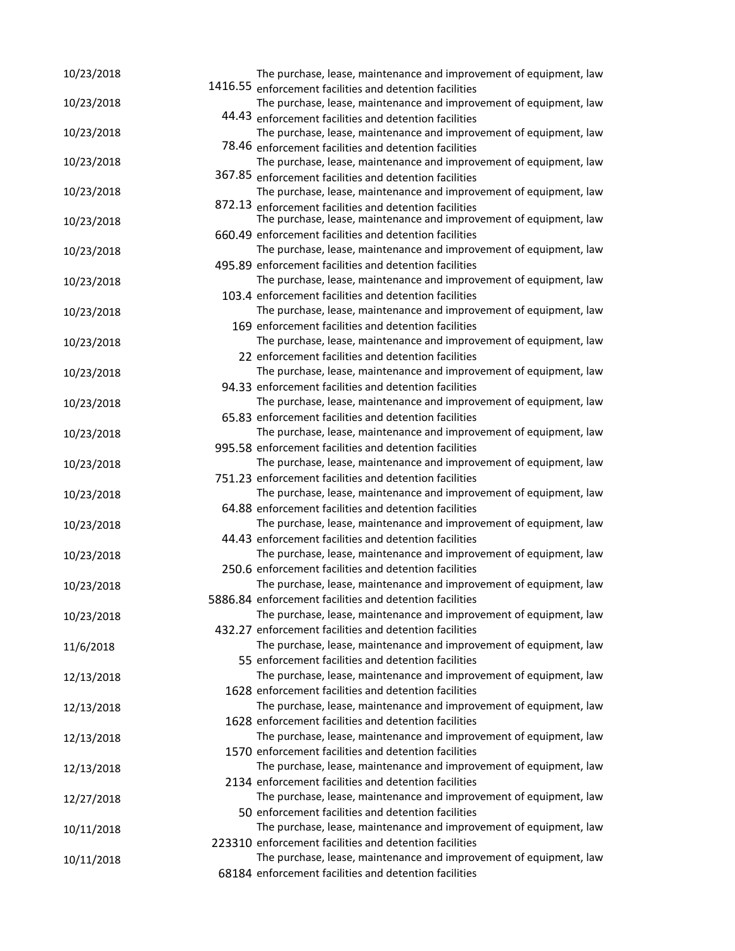| 10/23/2018 | The purchase, lease, maintenance and improvement of equipment, law                                                           |
|------------|------------------------------------------------------------------------------------------------------------------------------|
|            | 1416.55 enforcement facilities and detention facilities                                                                      |
| 10/23/2018 | The purchase, lease, maintenance and improvement of equipment, law                                                           |
|            | 44.43 enforcement facilities and detention facilities                                                                        |
| 10/23/2018 | The purchase, lease, maintenance and improvement of equipment, law                                                           |
|            | 78.46 enforcement facilities and detention facilities                                                                        |
| 10/23/2018 | The purchase, lease, maintenance and improvement of equipment, law                                                           |
|            | 367.85 enforcement facilities and detention facilities                                                                       |
| 10/23/2018 | The purchase, lease, maintenance and improvement of equipment, law                                                           |
| 10/23/2018 | 872.13 enforcement facilities and detention facilities<br>The purchase, lease, maintenance and improvement of equipment, law |
|            | 660.49 enforcement facilities and detention facilities                                                                       |
| 10/23/2018 | The purchase, lease, maintenance and improvement of equipment, law                                                           |
|            | 495.89 enforcement facilities and detention facilities                                                                       |
| 10/23/2018 | The purchase, lease, maintenance and improvement of equipment, law                                                           |
|            | 103.4 enforcement facilities and detention facilities                                                                        |
| 10/23/2018 | The purchase, lease, maintenance and improvement of equipment, law                                                           |
|            | 169 enforcement facilities and detention facilities                                                                          |
|            | The purchase, lease, maintenance and improvement of equipment, law                                                           |
| 10/23/2018 | 22 enforcement facilities and detention facilities                                                                           |
|            | The purchase, lease, maintenance and improvement of equipment, law                                                           |
| 10/23/2018 | 94.33 enforcement facilities and detention facilities                                                                        |
|            | The purchase, lease, maintenance and improvement of equipment, law                                                           |
| 10/23/2018 | 65.83 enforcement facilities and detention facilities                                                                        |
|            | The purchase, lease, maintenance and improvement of equipment, law                                                           |
| 10/23/2018 | 995.58 enforcement facilities and detention facilities                                                                       |
|            |                                                                                                                              |
| 10/23/2018 | The purchase, lease, maintenance and improvement of equipment, law                                                           |
|            | 751.23 enforcement facilities and detention facilities                                                                       |
| 10/23/2018 | The purchase, lease, maintenance and improvement of equipment, law                                                           |
|            | 64.88 enforcement facilities and detention facilities                                                                        |
| 10/23/2018 | The purchase, lease, maintenance and improvement of equipment, law                                                           |
|            | 44.43 enforcement facilities and detention facilities                                                                        |
| 10/23/2018 | The purchase, lease, maintenance and improvement of equipment, law                                                           |
|            | 250.6 enforcement facilities and detention facilities                                                                        |
| 10/23/2018 | The purchase, lease, maintenance and improvement of equipment, law                                                           |
|            | 5886.84 enforcement facilities and detention facilities                                                                      |
| 10/23/2018 | The purchase, lease, maintenance and improvement of equipment, law                                                           |
|            | 432.27 enforcement facilities and detention facilities                                                                       |
| 11/6/2018  | The purchase, lease, maintenance and improvement of equipment, law                                                           |
|            | 55 enforcement facilities and detention facilities                                                                           |
| 12/13/2018 | The purchase, lease, maintenance and improvement of equipment, law                                                           |
|            | 1628 enforcement facilities and detention facilities                                                                         |
| 12/13/2018 | The purchase, lease, maintenance and improvement of equipment, law                                                           |
|            | 1628 enforcement facilities and detention facilities                                                                         |
| 12/13/2018 | The purchase, lease, maintenance and improvement of equipment, law                                                           |
|            | 1570 enforcement facilities and detention facilities                                                                         |
| 12/13/2018 | The purchase, lease, maintenance and improvement of equipment, law                                                           |
|            | 2134 enforcement facilities and detention facilities                                                                         |
| 12/27/2018 | The purchase, lease, maintenance and improvement of equipment, law                                                           |
|            | 50 enforcement facilities and detention facilities                                                                           |
| 10/11/2018 | The purchase, lease, maintenance and improvement of equipment, law                                                           |
|            | 223310 enforcement facilities and detention facilities                                                                       |
| 10/11/2018 | The purchase, lease, maintenance and improvement of equipment, law                                                           |
|            | 68184 enforcement facilities and detention facilities                                                                        |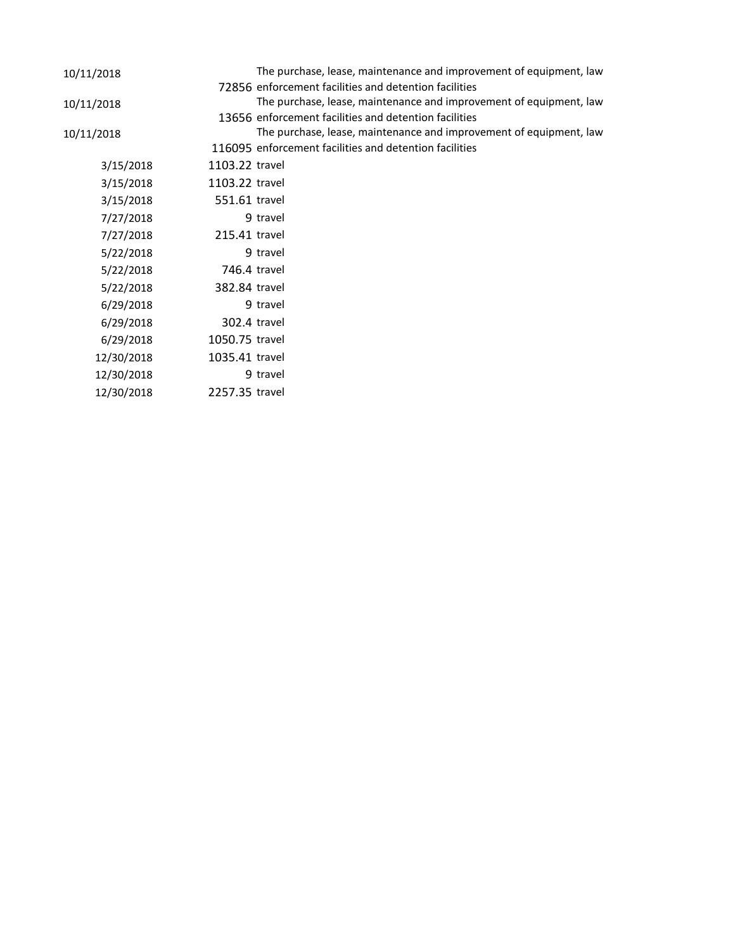| 10/11/2018 |                | The purchase, lease, maintenance and improvement of equipment, law |
|------------|----------------|--------------------------------------------------------------------|
|            |                | 72856 enforcement facilities and detention facilities              |
| 10/11/2018 |                | The purchase, lease, maintenance and improvement of equipment, law |
|            |                | 13656 enforcement facilities and detention facilities              |
| 10/11/2018 |                | The purchase, lease, maintenance and improvement of equipment, law |
|            |                | 116095 enforcement facilities and detention facilities             |
| 3/15/2018  | 1103.22 travel |                                                                    |
| 3/15/2018  | 1103.22 travel |                                                                    |
| 3/15/2018  | 551.61 travel  |                                                                    |
| 7/27/2018  |                | 9 travel                                                           |
| 7/27/2018  | 215.41 travel  |                                                                    |
| 5/22/2018  |                | 9 travel                                                           |
| 5/22/2018  | 746.4 travel   |                                                                    |
| 5/22/2018  | 382.84 travel  |                                                                    |
| 6/29/2018  |                | 9 travel                                                           |
| 6/29/2018  | 302.4 travel   |                                                                    |
| 6/29/2018  | 1050.75 travel |                                                                    |
| 12/30/2018 | 1035.41 travel |                                                                    |
| 12/30/2018 |                | 9 travel                                                           |
| 12/30/2018 | 2257.35 travel |                                                                    |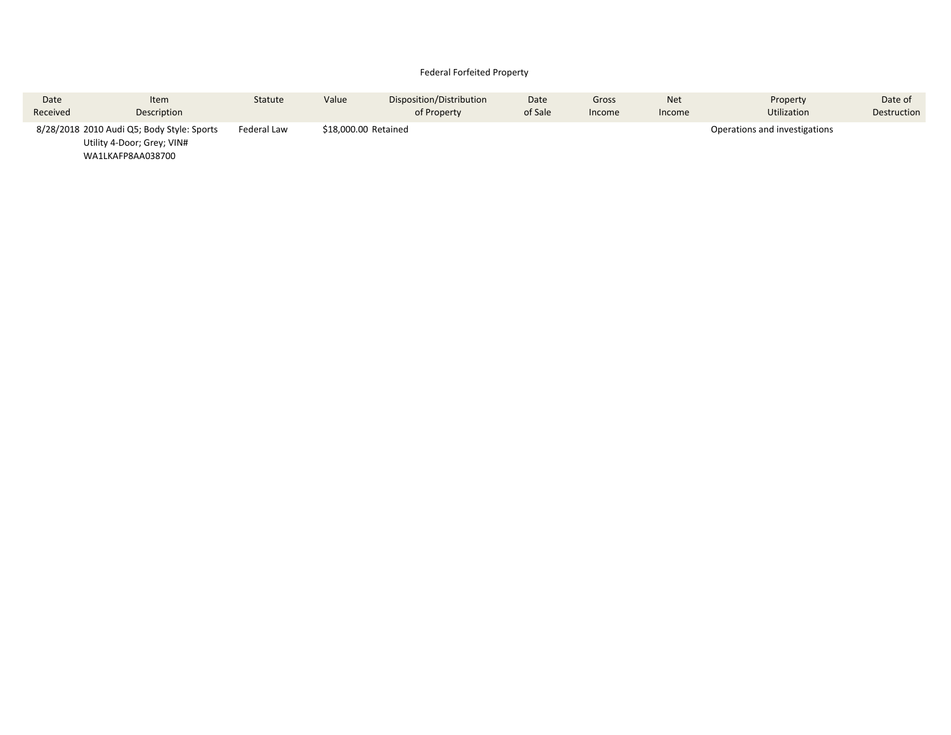#### Federal Forfeited Property

| Date                                                                                          | Item        | <b>Statute</b> | Value | Disposition/Distribution | Date    | Gross  | <b>Net</b> | Property                      | Date of     |
|-----------------------------------------------------------------------------------------------|-------------|----------------|-------|--------------------------|---------|--------|------------|-------------------------------|-------------|
| Received                                                                                      | Description |                |       | of Property              | of Sale | Income | Income     | <b>Utilization</b>            | Destruction |
| 8/28/2018 2010 Audi Q5; Body Style: Sports<br>Utility 4-Door; Grey; VIN#<br>WA1LKAFP8AA038700 |             | Federal Law    |       | \$18,000.00 Retained     |         |        |            | Operations and investigations |             |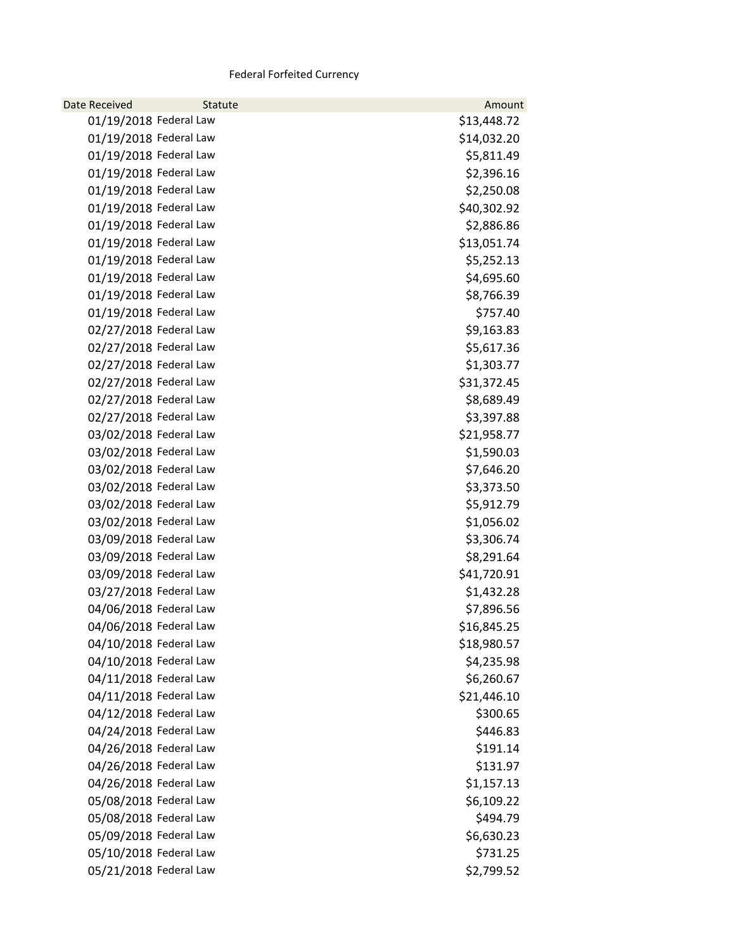### Federal Forfeited Currency

| <b>Date Received</b>   | Statute | Amount      |
|------------------------|---------|-------------|
| 01/19/2018 Federal Law |         | \$13,448.72 |
| 01/19/2018 Federal Law |         | \$14,032.20 |
| 01/19/2018 Federal Law |         | \$5,811.49  |
| 01/19/2018 Federal Law |         | \$2,396.16  |
| 01/19/2018 Federal Law |         | \$2,250.08  |
| 01/19/2018 Federal Law |         | \$40,302.92 |
| 01/19/2018 Federal Law |         | \$2,886.86  |
| 01/19/2018 Federal Law |         | \$13,051.74 |
| 01/19/2018 Federal Law |         | \$5,252.13  |
| 01/19/2018 Federal Law |         | \$4,695.60  |
| 01/19/2018 Federal Law |         | \$8,766.39  |
| 01/19/2018 Federal Law |         | \$757.40    |
| 02/27/2018 Federal Law |         | \$9,163.83  |
| 02/27/2018 Federal Law |         | \$5,617.36  |
| 02/27/2018 Federal Law |         | \$1,303.77  |
| 02/27/2018 Federal Law |         | \$31,372.45 |
| 02/27/2018 Federal Law |         | \$8,689.49  |
| 02/27/2018 Federal Law |         | \$3,397.88  |
| 03/02/2018 Federal Law |         | \$21,958.77 |
| 03/02/2018 Federal Law |         | \$1,590.03  |
| 03/02/2018 Federal Law |         | \$7,646.20  |
| 03/02/2018 Federal Law |         | \$3,373.50  |
| 03/02/2018 Federal Law |         | \$5,912.79  |
| 03/02/2018 Federal Law |         | \$1,056.02  |
| 03/09/2018 Federal Law |         | \$3,306.74  |
| 03/09/2018 Federal Law |         | \$8,291.64  |
| 03/09/2018 Federal Law |         | \$41,720.91 |
| 03/27/2018 Federal Law |         | \$1,432.28  |
| 04/06/2018 Federal Law |         | \$7,896.56  |
| 04/06/2018 Federal Law |         | \$16,845.25 |
| 04/10/2018 Federal Law |         | \$18,980.57 |
| 04/10/2018 Federal Law |         | \$4,235.98  |
| 04/11/2018 Federal Law |         | \$6,260.67  |
| 04/11/2018 Federal Law |         | \$21,446.10 |
| 04/12/2018 Federal Law |         | \$300.65    |
| 04/24/2018 Federal Law |         | \$446.83    |
| 04/26/2018 Federal Law |         | \$191.14    |
| 04/26/2018 Federal Law |         | \$131.97    |
| 04/26/2018 Federal Law |         | \$1,157.13  |
| 05/08/2018 Federal Law |         | \$6,109.22  |
| 05/08/2018 Federal Law |         | \$494.79    |
| 05/09/2018 Federal Law |         | \$6,630.23  |
| 05/10/2018 Federal Law |         | \$731.25    |
| 05/21/2018 Federal Law |         | \$2,799.52  |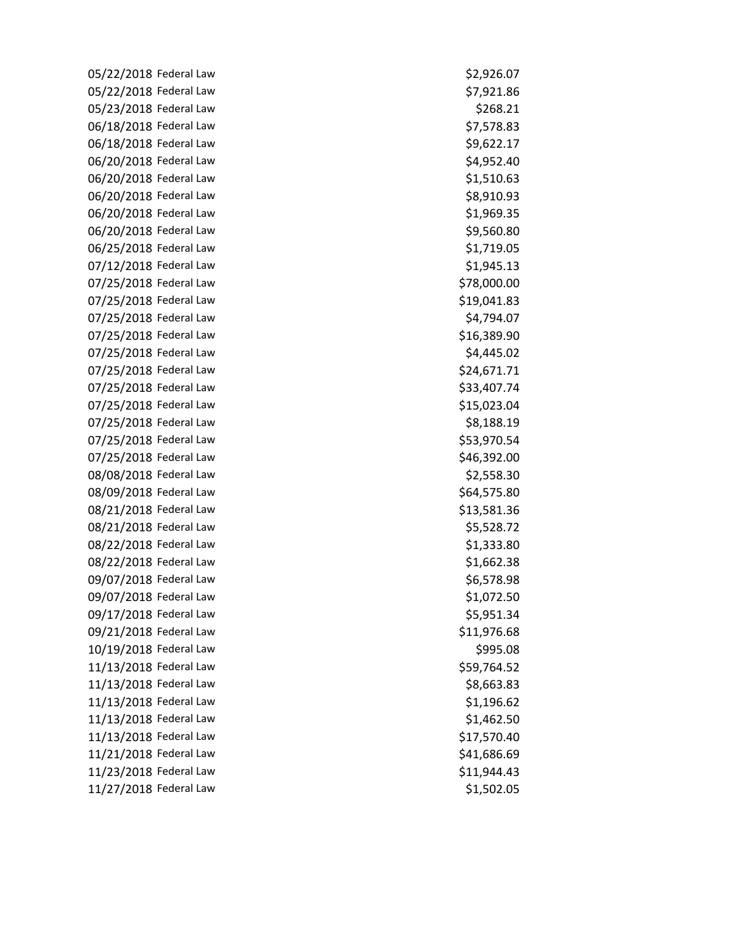05/22/2018 Federal Law  $$2,926.07$ 05/22/2018 Federal Law \$7,921.86 05/23/2018 Federal Law \$268.21 06/18/2018 Federal Law \$7,578.83 06/18/2018 Federal Law  $\frac{59,622.17}{2}$ 06/20/2018 Federal Law  $$4,952.40$ 06/20/2018 Federal Law \$1,510.63 06/20/2018 Federal Law  $$8,910.93$ 06/20/2018 Federal Law  $$1,969.35$ 06/20/2018 Federal Law  $$9,560.80$ 06/25/2018 Federal Law  $$1,719.05$ 07/12/2018 Federal Law \$1,945.13 07/25/2018 Federal Law \$78,000.00 07/25/2018 Federal Law \$19,041.83 07/25/2018 Federal Law  $$4,794.07$ 07/25/2018 Federal Law \$16,389.90 07/25/2018 Federal Law  $$4,445.02$ 07/25/2018 Federal Law \$24,671.71 07/25/2018 Federal Law  $$33,407.74$ 07/25/2018 Federal Law \$15,023.04 07/25/2018 Federal Law \$8,188.19 07/25/2018 Federal Law  $$53,970.54$ 07/25/2018 Federal Law  $$46,392.00$ 08/08/2018 Federal Law  $$2,558.30$ 08/09/2018 Federal Law  $$64,575.80$ 08/21/2018 Federal Law  $$13,581.36$ 08/21/2018 Federal Law \$5,528.72 08/22/2018 Federal Law  $$1,333.80$ 08/22/2018 Federal Law \$1,662.38 09/07/2018 Federal Law  $$6,578.98$ 09/07/2018 Federal Law  $$1,072.50$ 09/17/2018 Federal Law 55,951.34 09/21/2018 Federal Law \$11,976.68 10/19/2018 Federal Law \$995.08 11/13/2018 Federal Law \$59,764.52 11/13/2018 Federal Law \$8,663.83 11/13/2018 Federal Law \$1,196.62 11/13/2018 Federal Law \$1,462.50 11/13/2018 Federal Law \$17,570.40 11/21/2018 Federal Law \$41,686.69 11/23/2018 Federal Law \$11,944.43 11/27/2018 Federal Law \$1,502.05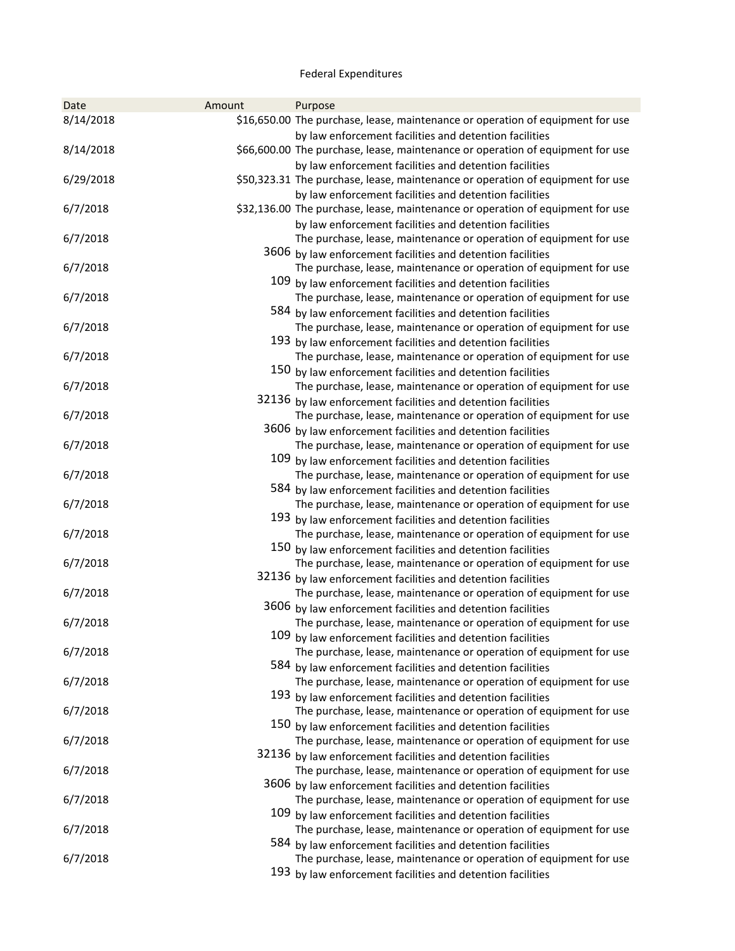### Federal Expenditures

| 8/14/2018<br>\$16,650.00 The purchase, lease, maintenance or operation of equipment for use<br>by law enforcement facilities and detention facilities<br>\$66,600.00 The purchase, lease, maintenance or operation of equipment for use<br>8/14/2018<br>by law enforcement facilities and detention facilities<br>6/29/2018<br>\$50,323.31 The purchase, lease, maintenance or operation of equipment for use<br>by law enforcement facilities and detention facilities<br>\$32,136.00 The purchase, lease, maintenance or operation of equipment for use<br>6/7/2018<br>by law enforcement facilities and detention facilities<br>6/7/2018<br>The purchase, lease, maintenance or operation of equipment for use<br>3606 by law enforcement facilities and detention facilities<br>The purchase, lease, maintenance or operation of equipment for use<br>6/7/2018<br>109 by law enforcement facilities and detention facilities<br>The purchase, lease, maintenance or operation of equipment for use<br>6/7/2018<br>584 by law enforcement facilities and detention facilities<br>The purchase, lease, maintenance or operation of equipment for use<br>6/7/2018<br>193 by law enforcement facilities and detention facilities<br>6/7/2018<br>The purchase, lease, maintenance or operation of equipment for use<br>150 by law enforcement facilities and detention facilities<br>6/7/2018<br>The purchase, lease, maintenance or operation of equipment for use<br>32136 by law enforcement facilities and detention facilities<br>6/7/2018<br>The purchase, lease, maintenance or operation of equipment for use<br>3606 by law enforcement facilities and detention facilities<br>The purchase, lease, maintenance or operation of equipment for use<br>6/7/2018<br>109 by law enforcement facilities and detention facilities<br>6/7/2018<br>The purchase, lease, maintenance or operation of equipment for use<br>584 by law enforcement facilities and detention facilities<br>The purchase, lease, maintenance or operation of equipment for use<br>6/7/2018<br>193 by law enforcement facilities and detention facilities<br>6/7/2018<br>The purchase, lease, maintenance or operation of equipment for use<br>150 by law enforcement facilities and detention facilities<br>The purchase, lease, maintenance or operation of equipment for use<br>6/7/2018<br>32136 by law enforcement facilities and detention facilities<br>The purchase, lease, maintenance or operation of equipment for use<br>6/7/2018<br>3606 by law enforcement facilities and detention facilities<br>6/7/2018<br>The purchase, lease, maintenance or operation of equipment for use<br>109 by law enforcement facilities and detention facilities<br>6/7/2018<br>The purchase, lease, maintenance or operation of equipment for use<br>584 by law enforcement facilities and detention facilities<br>6/7/2018<br>The purchase, lease, maintenance or operation of equipment for use<br>193 by law enforcement facilities and detention facilities<br>6/7/2018<br>The purchase, lease, maintenance or operation of equipment for use<br>150 by law enforcement facilities and detention facilities<br>The purchase, lease, maintenance or operation of equipment for use<br>6/7/2018<br>32136 by law enforcement facilities and detention facilities<br>6/7/2018<br>The purchase, lease, maintenance or operation of equipment for use<br>3606 by law enforcement facilities and detention facilities<br>6/7/2018<br>The purchase, lease, maintenance or operation of equipment for use<br>109 by law enforcement facilities and detention facilities<br>6/7/2018<br>The purchase, lease, maintenance or operation of equipment for use<br>584 by law enforcement facilities and detention facilities<br>6/7/2018<br>The purchase, lease, maintenance or operation of equipment for use<br>193 by law enforcement facilities and detention facilities | Date | Amount | Purpose |
|-------------------------------------------------------------------------------------------------------------------------------------------------------------------------------------------------------------------------------------------------------------------------------------------------------------------------------------------------------------------------------------------------------------------------------------------------------------------------------------------------------------------------------------------------------------------------------------------------------------------------------------------------------------------------------------------------------------------------------------------------------------------------------------------------------------------------------------------------------------------------------------------------------------------------------------------------------------------------------------------------------------------------------------------------------------------------------------------------------------------------------------------------------------------------------------------------------------------------------------------------------------------------------------------------------------------------------------------------------------------------------------------------------------------------------------------------------------------------------------------------------------------------------------------------------------------------------------------------------------------------------------------------------------------------------------------------------------------------------------------------------------------------------------------------------------------------------------------------------------------------------------------------------------------------------------------------------------------------------------------------------------------------------------------------------------------------------------------------------------------------------------------------------------------------------------------------------------------------------------------------------------------------------------------------------------------------------------------------------------------------------------------------------------------------------------------------------------------------------------------------------------------------------------------------------------------------------------------------------------------------------------------------------------------------------------------------------------------------------------------------------------------------------------------------------------------------------------------------------------------------------------------------------------------------------------------------------------------------------------------------------------------------------------------------------------------------------------------------------------------------------------------------------------------------------------------------------------------------------------------------------------------------------------------------------------------------------------------------------------------------------------------------------------------------------------------------------------------------------------------------------------------------------------------------------------------------------------------------------------------------------------------------------------------------------------------------------------------------------------------------------------------------------------------------------------------------------------------------------------------------------------------------------------------------------------------|------|--------|---------|
|                                                                                                                                                                                                                                                                                                                                                                                                                                                                                                                                                                                                                                                                                                                                                                                                                                                                                                                                                                                                                                                                                                                                                                                                                                                                                                                                                                                                                                                                                                                                                                                                                                                                                                                                                                                                                                                                                                                                                                                                                                                                                                                                                                                                                                                                                                                                                                                                                                                                                                                                                                                                                                                                                                                                                                                                                                                                                                                                                                                                                                                                                                                                                                                                                                                                                                                                                                                                                                                                                                                                                                                                                                                                                                                                                                                                                                                                                                                                           |      |        |         |
|                                                                                                                                                                                                                                                                                                                                                                                                                                                                                                                                                                                                                                                                                                                                                                                                                                                                                                                                                                                                                                                                                                                                                                                                                                                                                                                                                                                                                                                                                                                                                                                                                                                                                                                                                                                                                                                                                                                                                                                                                                                                                                                                                                                                                                                                                                                                                                                                                                                                                                                                                                                                                                                                                                                                                                                                                                                                                                                                                                                                                                                                                                                                                                                                                                                                                                                                                                                                                                                                                                                                                                                                                                                                                                                                                                                                                                                                                                                                           |      |        |         |
|                                                                                                                                                                                                                                                                                                                                                                                                                                                                                                                                                                                                                                                                                                                                                                                                                                                                                                                                                                                                                                                                                                                                                                                                                                                                                                                                                                                                                                                                                                                                                                                                                                                                                                                                                                                                                                                                                                                                                                                                                                                                                                                                                                                                                                                                                                                                                                                                                                                                                                                                                                                                                                                                                                                                                                                                                                                                                                                                                                                                                                                                                                                                                                                                                                                                                                                                                                                                                                                                                                                                                                                                                                                                                                                                                                                                                                                                                                                                           |      |        |         |
|                                                                                                                                                                                                                                                                                                                                                                                                                                                                                                                                                                                                                                                                                                                                                                                                                                                                                                                                                                                                                                                                                                                                                                                                                                                                                                                                                                                                                                                                                                                                                                                                                                                                                                                                                                                                                                                                                                                                                                                                                                                                                                                                                                                                                                                                                                                                                                                                                                                                                                                                                                                                                                                                                                                                                                                                                                                                                                                                                                                                                                                                                                                                                                                                                                                                                                                                                                                                                                                                                                                                                                                                                                                                                                                                                                                                                                                                                                                                           |      |        |         |
|                                                                                                                                                                                                                                                                                                                                                                                                                                                                                                                                                                                                                                                                                                                                                                                                                                                                                                                                                                                                                                                                                                                                                                                                                                                                                                                                                                                                                                                                                                                                                                                                                                                                                                                                                                                                                                                                                                                                                                                                                                                                                                                                                                                                                                                                                                                                                                                                                                                                                                                                                                                                                                                                                                                                                                                                                                                                                                                                                                                                                                                                                                                                                                                                                                                                                                                                                                                                                                                                                                                                                                                                                                                                                                                                                                                                                                                                                                                                           |      |        |         |
|                                                                                                                                                                                                                                                                                                                                                                                                                                                                                                                                                                                                                                                                                                                                                                                                                                                                                                                                                                                                                                                                                                                                                                                                                                                                                                                                                                                                                                                                                                                                                                                                                                                                                                                                                                                                                                                                                                                                                                                                                                                                                                                                                                                                                                                                                                                                                                                                                                                                                                                                                                                                                                                                                                                                                                                                                                                                                                                                                                                                                                                                                                                                                                                                                                                                                                                                                                                                                                                                                                                                                                                                                                                                                                                                                                                                                                                                                                                                           |      |        |         |
|                                                                                                                                                                                                                                                                                                                                                                                                                                                                                                                                                                                                                                                                                                                                                                                                                                                                                                                                                                                                                                                                                                                                                                                                                                                                                                                                                                                                                                                                                                                                                                                                                                                                                                                                                                                                                                                                                                                                                                                                                                                                                                                                                                                                                                                                                                                                                                                                                                                                                                                                                                                                                                                                                                                                                                                                                                                                                                                                                                                                                                                                                                                                                                                                                                                                                                                                                                                                                                                                                                                                                                                                                                                                                                                                                                                                                                                                                                                                           |      |        |         |
|                                                                                                                                                                                                                                                                                                                                                                                                                                                                                                                                                                                                                                                                                                                                                                                                                                                                                                                                                                                                                                                                                                                                                                                                                                                                                                                                                                                                                                                                                                                                                                                                                                                                                                                                                                                                                                                                                                                                                                                                                                                                                                                                                                                                                                                                                                                                                                                                                                                                                                                                                                                                                                                                                                                                                                                                                                                                                                                                                                                                                                                                                                                                                                                                                                                                                                                                                                                                                                                                                                                                                                                                                                                                                                                                                                                                                                                                                                                                           |      |        |         |
|                                                                                                                                                                                                                                                                                                                                                                                                                                                                                                                                                                                                                                                                                                                                                                                                                                                                                                                                                                                                                                                                                                                                                                                                                                                                                                                                                                                                                                                                                                                                                                                                                                                                                                                                                                                                                                                                                                                                                                                                                                                                                                                                                                                                                                                                                                                                                                                                                                                                                                                                                                                                                                                                                                                                                                                                                                                                                                                                                                                                                                                                                                                                                                                                                                                                                                                                                                                                                                                                                                                                                                                                                                                                                                                                                                                                                                                                                                                                           |      |        |         |
|                                                                                                                                                                                                                                                                                                                                                                                                                                                                                                                                                                                                                                                                                                                                                                                                                                                                                                                                                                                                                                                                                                                                                                                                                                                                                                                                                                                                                                                                                                                                                                                                                                                                                                                                                                                                                                                                                                                                                                                                                                                                                                                                                                                                                                                                                                                                                                                                                                                                                                                                                                                                                                                                                                                                                                                                                                                                                                                                                                                                                                                                                                                                                                                                                                                                                                                                                                                                                                                                                                                                                                                                                                                                                                                                                                                                                                                                                                                                           |      |        |         |
|                                                                                                                                                                                                                                                                                                                                                                                                                                                                                                                                                                                                                                                                                                                                                                                                                                                                                                                                                                                                                                                                                                                                                                                                                                                                                                                                                                                                                                                                                                                                                                                                                                                                                                                                                                                                                                                                                                                                                                                                                                                                                                                                                                                                                                                                                                                                                                                                                                                                                                                                                                                                                                                                                                                                                                                                                                                                                                                                                                                                                                                                                                                                                                                                                                                                                                                                                                                                                                                                                                                                                                                                                                                                                                                                                                                                                                                                                                                                           |      |        |         |
|                                                                                                                                                                                                                                                                                                                                                                                                                                                                                                                                                                                                                                                                                                                                                                                                                                                                                                                                                                                                                                                                                                                                                                                                                                                                                                                                                                                                                                                                                                                                                                                                                                                                                                                                                                                                                                                                                                                                                                                                                                                                                                                                                                                                                                                                                                                                                                                                                                                                                                                                                                                                                                                                                                                                                                                                                                                                                                                                                                                                                                                                                                                                                                                                                                                                                                                                                                                                                                                                                                                                                                                                                                                                                                                                                                                                                                                                                                                                           |      |        |         |
|                                                                                                                                                                                                                                                                                                                                                                                                                                                                                                                                                                                                                                                                                                                                                                                                                                                                                                                                                                                                                                                                                                                                                                                                                                                                                                                                                                                                                                                                                                                                                                                                                                                                                                                                                                                                                                                                                                                                                                                                                                                                                                                                                                                                                                                                                                                                                                                                                                                                                                                                                                                                                                                                                                                                                                                                                                                                                                                                                                                                                                                                                                                                                                                                                                                                                                                                                                                                                                                                                                                                                                                                                                                                                                                                                                                                                                                                                                                                           |      |        |         |
|                                                                                                                                                                                                                                                                                                                                                                                                                                                                                                                                                                                                                                                                                                                                                                                                                                                                                                                                                                                                                                                                                                                                                                                                                                                                                                                                                                                                                                                                                                                                                                                                                                                                                                                                                                                                                                                                                                                                                                                                                                                                                                                                                                                                                                                                                                                                                                                                                                                                                                                                                                                                                                                                                                                                                                                                                                                                                                                                                                                                                                                                                                                                                                                                                                                                                                                                                                                                                                                                                                                                                                                                                                                                                                                                                                                                                                                                                                                                           |      |        |         |
|                                                                                                                                                                                                                                                                                                                                                                                                                                                                                                                                                                                                                                                                                                                                                                                                                                                                                                                                                                                                                                                                                                                                                                                                                                                                                                                                                                                                                                                                                                                                                                                                                                                                                                                                                                                                                                                                                                                                                                                                                                                                                                                                                                                                                                                                                                                                                                                                                                                                                                                                                                                                                                                                                                                                                                                                                                                                                                                                                                                                                                                                                                                                                                                                                                                                                                                                                                                                                                                                                                                                                                                                                                                                                                                                                                                                                                                                                                                                           |      |        |         |
|                                                                                                                                                                                                                                                                                                                                                                                                                                                                                                                                                                                                                                                                                                                                                                                                                                                                                                                                                                                                                                                                                                                                                                                                                                                                                                                                                                                                                                                                                                                                                                                                                                                                                                                                                                                                                                                                                                                                                                                                                                                                                                                                                                                                                                                                                                                                                                                                                                                                                                                                                                                                                                                                                                                                                                                                                                                                                                                                                                                                                                                                                                                                                                                                                                                                                                                                                                                                                                                                                                                                                                                                                                                                                                                                                                                                                                                                                                                                           |      |        |         |
|                                                                                                                                                                                                                                                                                                                                                                                                                                                                                                                                                                                                                                                                                                                                                                                                                                                                                                                                                                                                                                                                                                                                                                                                                                                                                                                                                                                                                                                                                                                                                                                                                                                                                                                                                                                                                                                                                                                                                                                                                                                                                                                                                                                                                                                                                                                                                                                                                                                                                                                                                                                                                                                                                                                                                                                                                                                                                                                                                                                                                                                                                                                                                                                                                                                                                                                                                                                                                                                                                                                                                                                                                                                                                                                                                                                                                                                                                                                                           |      |        |         |
|                                                                                                                                                                                                                                                                                                                                                                                                                                                                                                                                                                                                                                                                                                                                                                                                                                                                                                                                                                                                                                                                                                                                                                                                                                                                                                                                                                                                                                                                                                                                                                                                                                                                                                                                                                                                                                                                                                                                                                                                                                                                                                                                                                                                                                                                                                                                                                                                                                                                                                                                                                                                                                                                                                                                                                                                                                                                                                                                                                                                                                                                                                                                                                                                                                                                                                                                                                                                                                                                                                                                                                                                                                                                                                                                                                                                                                                                                                                                           |      |        |         |
|                                                                                                                                                                                                                                                                                                                                                                                                                                                                                                                                                                                                                                                                                                                                                                                                                                                                                                                                                                                                                                                                                                                                                                                                                                                                                                                                                                                                                                                                                                                                                                                                                                                                                                                                                                                                                                                                                                                                                                                                                                                                                                                                                                                                                                                                                                                                                                                                                                                                                                                                                                                                                                                                                                                                                                                                                                                                                                                                                                                                                                                                                                                                                                                                                                                                                                                                                                                                                                                                                                                                                                                                                                                                                                                                                                                                                                                                                                                                           |      |        |         |
|                                                                                                                                                                                                                                                                                                                                                                                                                                                                                                                                                                                                                                                                                                                                                                                                                                                                                                                                                                                                                                                                                                                                                                                                                                                                                                                                                                                                                                                                                                                                                                                                                                                                                                                                                                                                                                                                                                                                                                                                                                                                                                                                                                                                                                                                                                                                                                                                                                                                                                                                                                                                                                                                                                                                                                                                                                                                                                                                                                                                                                                                                                                                                                                                                                                                                                                                                                                                                                                                                                                                                                                                                                                                                                                                                                                                                                                                                                                                           |      |        |         |
|                                                                                                                                                                                                                                                                                                                                                                                                                                                                                                                                                                                                                                                                                                                                                                                                                                                                                                                                                                                                                                                                                                                                                                                                                                                                                                                                                                                                                                                                                                                                                                                                                                                                                                                                                                                                                                                                                                                                                                                                                                                                                                                                                                                                                                                                                                                                                                                                                                                                                                                                                                                                                                                                                                                                                                                                                                                                                                                                                                                                                                                                                                                                                                                                                                                                                                                                                                                                                                                                                                                                                                                                                                                                                                                                                                                                                                                                                                                                           |      |        |         |
|                                                                                                                                                                                                                                                                                                                                                                                                                                                                                                                                                                                                                                                                                                                                                                                                                                                                                                                                                                                                                                                                                                                                                                                                                                                                                                                                                                                                                                                                                                                                                                                                                                                                                                                                                                                                                                                                                                                                                                                                                                                                                                                                                                                                                                                                                                                                                                                                                                                                                                                                                                                                                                                                                                                                                                                                                                                                                                                                                                                                                                                                                                                                                                                                                                                                                                                                                                                                                                                                                                                                                                                                                                                                                                                                                                                                                                                                                                                                           |      |        |         |
|                                                                                                                                                                                                                                                                                                                                                                                                                                                                                                                                                                                                                                                                                                                                                                                                                                                                                                                                                                                                                                                                                                                                                                                                                                                                                                                                                                                                                                                                                                                                                                                                                                                                                                                                                                                                                                                                                                                                                                                                                                                                                                                                                                                                                                                                                                                                                                                                                                                                                                                                                                                                                                                                                                                                                                                                                                                                                                                                                                                                                                                                                                                                                                                                                                                                                                                                                                                                                                                                                                                                                                                                                                                                                                                                                                                                                                                                                                                                           |      |        |         |
|                                                                                                                                                                                                                                                                                                                                                                                                                                                                                                                                                                                                                                                                                                                                                                                                                                                                                                                                                                                                                                                                                                                                                                                                                                                                                                                                                                                                                                                                                                                                                                                                                                                                                                                                                                                                                                                                                                                                                                                                                                                                                                                                                                                                                                                                                                                                                                                                                                                                                                                                                                                                                                                                                                                                                                                                                                                                                                                                                                                                                                                                                                                                                                                                                                                                                                                                                                                                                                                                                                                                                                                                                                                                                                                                                                                                                                                                                                                                           |      |        |         |
|                                                                                                                                                                                                                                                                                                                                                                                                                                                                                                                                                                                                                                                                                                                                                                                                                                                                                                                                                                                                                                                                                                                                                                                                                                                                                                                                                                                                                                                                                                                                                                                                                                                                                                                                                                                                                                                                                                                                                                                                                                                                                                                                                                                                                                                                                                                                                                                                                                                                                                                                                                                                                                                                                                                                                                                                                                                                                                                                                                                                                                                                                                                                                                                                                                                                                                                                                                                                                                                                                                                                                                                                                                                                                                                                                                                                                                                                                                                                           |      |        |         |
|                                                                                                                                                                                                                                                                                                                                                                                                                                                                                                                                                                                                                                                                                                                                                                                                                                                                                                                                                                                                                                                                                                                                                                                                                                                                                                                                                                                                                                                                                                                                                                                                                                                                                                                                                                                                                                                                                                                                                                                                                                                                                                                                                                                                                                                                                                                                                                                                                                                                                                                                                                                                                                                                                                                                                                                                                                                                                                                                                                                                                                                                                                                                                                                                                                                                                                                                                                                                                                                                                                                                                                                                                                                                                                                                                                                                                                                                                                                                           |      |        |         |
|                                                                                                                                                                                                                                                                                                                                                                                                                                                                                                                                                                                                                                                                                                                                                                                                                                                                                                                                                                                                                                                                                                                                                                                                                                                                                                                                                                                                                                                                                                                                                                                                                                                                                                                                                                                                                                                                                                                                                                                                                                                                                                                                                                                                                                                                                                                                                                                                                                                                                                                                                                                                                                                                                                                                                                                                                                                                                                                                                                                                                                                                                                                                                                                                                                                                                                                                                                                                                                                                                                                                                                                                                                                                                                                                                                                                                                                                                                                                           |      |        |         |
|                                                                                                                                                                                                                                                                                                                                                                                                                                                                                                                                                                                                                                                                                                                                                                                                                                                                                                                                                                                                                                                                                                                                                                                                                                                                                                                                                                                                                                                                                                                                                                                                                                                                                                                                                                                                                                                                                                                                                                                                                                                                                                                                                                                                                                                                                                                                                                                                                                                                                                                                                                                                                                                                                                                                                                                                                                                                                                                                                                                                                                                                                                                                                                                                                                                                                                                                                                                                                                                                                                                                                                                                                                                                                                                                                                                                                                                                                                                                           |      |        |         |
|                                                                                                                                                                                                                                                                                                                                                                                                                                                                                                                                                                                                                                                                                                                                                                                                                                                                                                                                                                                                                                                                                                                                                                                                                                                                                                                                                                                                                                                                                                                                                                                                                                                                                                                                                                                                                                                                                                                                                                                                                                                                                                                                                                                                                                                                                                                                                                                                                                                                                                                                                                                                                                                                                                                                                                                                                                                                                                                                                                                                                                                                                                                                                                                                                                                                                                                                                                                                                                                                                                                                                                                                                                                                                                                                                                                                                                                                                                                                           |      |        |         |
|                                                                                                                                                                                                                                                                                                                                                                                                                                                                                                                                                                                                                                                                                                                                                                                                                                                                                                                                                                                                                                                                                                                                                                                                                                                                                                                                                                                                                                                                                                                                                                                                                                                                                                                                                                                                                                                                                                                                                                                                                                                                                                                                                                                                                                                                                                                                                                                                                                                                                                                                                                                                                                                                                                                                                                                                                                                                                                                                                                                                                                                                                                                                                                                                                                                                                                                                                                                                                                                                                                                                                                                                                                                                                                                                                                                                                                                                                                                                           |      |        |         |
|                                                                                                                                                                                                                                                                                                                                                                                                                                                                                                                                                                                                                                                                                                                                                                                                                                                                                                                                                                                                                                                                                                                                                                                                                                                                                                                                                                                                                                                                                                                                                                                                                                                                                                                                                                                                                                                                                                                                                                                                                                                                                                                                                                                                                                                                                                                                                                                                                                                                                                                                                                                                                                                                                                                                                                                                                                                                                                                                                                                                                                                                                                                                                                                                                                                                                                                                                                                                                                                                                                                                                                                                                                                                                                                                                                                                                                                                                                                                           |      |        |         |
|                                                                                                                                                                                                                                                                                                                                                                                                                                                                                                                                                                                                                                                                                                                                                                                                                                                                                                                                                                                                                                                                                                                                                                                                                                                                                                                                                                                                                                                                                                                                                                                                                                                                                                                                                                                                                                                                                                                                                                                                                                                                                                                                                                                                                                                                                                                                                                                                                                                                                                                                                                                                                                                                                                                                                                                                                                                                                                                                                                                                                                                                                                                                                                                                                                                                                                                                                                                                                                                                                                                                                                                                                                                                                                                                                                                                                                                                                                                                           |      |        |         |
|                                                                                                                                                                                                                                                                                                                                                                                                                                                                                                                                                                                                                                                                                                                                                                                                                                                                                                                                                                                                                                                                                                                                                                                                                                                                                                                                                                                                                                                                                                                                                                                                                                                                                                                                                                                                                                                                                                                                                                                                                                                                                                                                                                                                                                                                                                                                                                                                                                                                                                                                                                                                                                                                                                                                                                                                                                                                                                                                                                                                                                                                                                                                                                                                                                                                                                                                                                                                                                                                                                                                                                                                                                                                                                                                                                                                                                                                                                                                           |      |        |         |
|                                                                                                                                                                                                                                                                                                                                                                                                                                                                                                                                                                                                                                                                                                                                                                                                                                                                                                                                                                                                                                                                                                                                                                                                                                                                                                                                                                                                                                                                                                                                                                                                                                                                                                                                                                                                                                                                                                                                                                                                                                                                                                                                                                                                                                                                                                                                                                                                                                                                                                                                                                                                                                                                                                                                                                                                                                                                                                                                                                                                                                                                                                                                                                                                                                                                                                                                                                                                                                                                                                                                                                                                                                                                                                                                                                                                                                                                                                                                           |      |        |         |
|                                                                                                                                                                                                                                                                                                                                                                                                                                                                                                                                                                                                                                                                                                                                                                                                                                                                                                                                                                                                                                                                                                                                                                                                                                                                                                                                                                                                                                                                                                                                                                                                                                                                                                                                                                                                                                                                                                                                                                                                                                                                                                                                                                                                                                                                                                                                                                                                                                                                                                                                                                                                                                                                                                                                                                                                                                                                                                                                                                                                                                                                                                                                                                                                                                                                                                                                                                                                                                                                                                                                                                                                                                                                                                                                                                                                                                                                                                                                           |      |        |         |
|                                                                                                                                                                                                                                                                                                                                                                                                                                                                                                                                                                                                                                                                                                                                                                                                                                                                                                                                                                                                                                                                                                                                                                                                                                                                                                                                                                                                                                                                                                                                                                                                                                                                                                                                                                                                                                                                                                                                                                                                                                                                                                                                                                                                                                                                                                                                                                                                                                                                                                                                                                                                                                                                                                                                                                                                                                                                                                                                                                                                                                                                                                                                                                                                                                                                                                                                                                                                                                                                                                                                                                                                                                                                                                                                                                                                                                                                                                                                           |      |        |         |
|                                                                                                                                                                                                                                                                                                                                                                                                                                                                                                                                                                                                                                                                                                                                                                                                                                                                                                                                                                                                                                                                                                                                                                                                                                                                                                                                                                                                                                                                                                                                                                                                                                                                                                                                                                                                                                                                                                                                                                                                                                                                                                                                                                                                                                                                                                                                                                                                                                                                                                                                                                                                                                                                                                                                                                                                                                                                                                                                                                                                                                                                                                                                                                                                                                                                                                                                                                                                                                                                                                                                                                                                                                                                                                                                                                                                                                                                                                                                           |      |        |         |
|                                                                                                                                                                                                                                                                                                                                                                                                                                                                                                                                                                                                                                                                                                                                                                                                                                                                                                                                                                                                                                                                                                                                                                                                                                                                                                                                                                                                                                                                                                                                                                                                                                                                                                                                                                                                                                                                                                                                                                                                                                                                                                                                                                                                                                                                                                                                                                                                                                                                                                                                                                                                                                                                                                                                                                                                                                                                                                                                                                                                                                                                                                                                                                                                                                                                                                                                                                                                                                                                                                                                                                                                                                                                                                                                                                                                                                                                                                                                           |      |        |         |
|                                                                                                                                                                                                                                                                                                                                                                                                                                                                                                                                                                                                                                                                                                                                                                                                                                                                                                                                                                                                                                                                                                                                                                                                                                                                                                                                                                                                                                                                                                                                                                                                                                                                                                                                                                                                                                                                                                                                                                                                                                                                                                                                                                                                                                                                                                                                                                                                                                                                                                                                                                                                                                                                                                                                                                                                                                                                                                                                                                                                                                                                                                                                                                                                                                                                                                                                                                                                                                                                                                                                                                                                                                                                                                                                                                                                                                                                                                                                           |      |        |         |
|                                                                                                                                                                                                                                                                                                                                                                                                                                                                                                                                                                                                                                                                                                                                                                                                                                                                                                                                                                                                                                                                                                                                                                                                                                                                                                                                                                                                                                                                                                                                                                                                                                                                                                                                                                                                                                                                                                                                                                                                                                                                                                                                                                                                                                                                                                                                                                                                                                                                                                                                                                                                                                                                                                                                                                                                                                                                                                                                                                                                                                                                                                                                                                                                                                                                                                                                                                                                                                                                                                                                                                                                                                                                                                                                                                                                                                                                                                                                           |      |        |         |
|                                                                                                                                                                                                                                                                                                                                                                                                                                                                                                                                                                                                                                                                                                                                                                                                                                                                                                                                                                                                                                                                                                                                                                                                                                                                                                                                                                                                                                                                                                                                                                                                                                                                                                                                                                                                                                                                                                                                                                                                                                                                                                                                                                                                                                                                                                                                                                                                                                                                                                                                                                                                                                                                                                                                                                                                                                                                                                                                                                                                                                                                                                                                                                                                                                                                                                                                                                                                                                                                                                                                                                                                                                                                                                                                                                                                                                                                                                                                           |      |        |         |
|                                                                                                                                                                                                                                                                                                                                                                                                                                                                                                                                                                                                                                                                                                                                                                                                                                                                                                                                                                                                                                                                                                                                                                                                                                                                                                                                                                                                                                                                                                                                                                                                                                                                                                                                                                                                                                                                                                                                                                                                                                                                                                                                                                                                                                                                                                                                                                                                                                                                                                                                                                                                                                                                                                                                                                                                                                                                                                                                                                                                                                                                                                                                                                                                                                                                                                                                                                                                                                                                                                                                                                                                                                                                                                                                                                                                                                                                                                                                           |      |        |         |
|                                                                                                                                                                                                                                                                                                                                                                                                                                                                                                                                                                                                                                                                                                                                                                                                                                                                                                                                                                                                                                                                                                                                                                                                                                                                                                                                                                                                                                                                                                                                                                                                                                                                                                                                                                                                                                                                                                                                                                                                                                                                                                                                                                                                                                                                                                                                                                                                                                                                                                                                                                                                                                                                                                                                                                                                                                                                                                                                                                                                                                                                                                                                                                                                                                                                                                                                                                                                                                                                                                                                                                                                                                                                                                                                                                                                                                                                                                                                           |      |        |         |
|                                                                                                                                                                                                                                                                                                                                                                                                                                                                                                                                                                                                                                                                                                                                                                                                                                                                                                                                                                                                                                                                                                                                                                                                                                                                                                                                                                                                                                                                                                                                                                                                                                                                                                                                                                                                                                                                                                                                                                                                                                                                                                                                                                                                                                                                                                                                                                                                                                                                                                                                                                                                                                                                                                                                                                                                                                                                                                                                                                                                                                                                                                                                                                                                                                                                                                                                                                                                                                                                                                                                                                                                                                                                                                                                                                                                                                                                                                                                           |      |        |         |
|                                                                                                                                                                                                                                                                                                                                                                                                                                                                                                                                                                                                                                                                                                                                                                                                                                                                                                                                                                                                                                                                                                                                                                                                                                                                                                                                                                                                                                                                                                                                                                                                                                                                                                                                                                                                                                                                                                                                                                                                                                                                                                                                                                                                                                                                                                                                                                                                                                                                                                                                                                                                                                                                                                                                                                                                                                                                                                                                                                                                                                                                                                                                                                                                                                                                                                                                                                                                                                                                                                                                                                                                                                                                                                                                                                                                                                                                                                                                           |      |        |         |
|                                                                                                                                                                                                                                                                                                                                                                                                                                                                                                                                                                                                                                                                                                                                                                                                                                                                                                                                                                                                                                                                                                                                                                                                                                                                                                                                                                                                                                                                                                                                                                                                                                                                                                                                                                                                                                                                                                                                                                                                                                                                                                                                                                                                                                                                                                                                                                                                                                                                                                                                                                                                                                                                                                                                                                                                                                                                                                                                                                                                                                                                                                                                                                                                                                                                                                                                                                                                                                                                                                                                                                                                                                                                                                                                                                                                                                                                                                                                           |      |        |         |
|                                                                                                                                                                                                                                                                                                                                                                                                                                                                                                                                                                                                                                                                                                                                                                                                                                                                                                                                                                                                                                                                                                                                                                                                                                                                                                                                                                                                                                                                                                                                                                                                                                                                                                                                                                                                                                                                                                                                                                                                                                                                                                                                                                                                                                                                                                                                                                                                                                                                                                                                                                                                                                                                                                                                                                                                                                                                                                                                                                                                                                                                                                                                                                                                                                                                                                                                                                                                                                                                                                                                                                                                                                                                                                                                                                                                                                                                                                                                           |      |        |         |
|                                                                                                                                                                                                                                                                                                                                                                                                                                                                                                                                                                                                                                                                                                                                                                                                                                                                                                                                                                                                                                                                                                                                                                                                                                                                                                                                                                                                                                                                                                                                                                                                                                                                                                                                                                                                                                                                                                                                                                                                                                                                                                                                                                                                                                                                                                                                                                                                                                                                                                                                                                                                                                                                                                                                                                                                                                                                                                                                                                                                                                                                                                                                                                                                                                                                                                                                                                                                                                                                                                                                                                                                                                                                                                                                                                                                                                                                                                                                           |      |        |         |
|                                                                                                                                                                                                                                                                                                                                                                                                                                                                                                                                                                                                                                                                                                                                                                                                                                                                                                                                                                                                                                                                                                                                                                                                                                                                                                                                                                                                                                                                                                                                                                                                                                                                                                                                                                                                                                                                                                                                                                                                                                                                                                                                                                                                                                                                                                                                                                                                                                                                                                                                                                                                                                                                                                                                                                                                                                                                                                                                                                                                                                                                                                                                                                                                                                                                                                                                                                                                                                                                                                                                                                                                                                                                                                                                                                                                                                                                                                                                           |      |        |         |
|                                                                                                                                                                                                                                                                                                                                                                                                                                                                                                                                                                                                                                                                                                                                                                                                                                                                                                                                                                                                                                                                                                                                                                                                                                                                                                                                                                                                                                                                                                                                                                                                                                                                                                                                                                                                                                                                                                                                                                                                                                                                                                                                                                                                                                                                                                                                                                                                                                                                                                                                                                                                                                                                                                                                                                                                                                                                                                                                                                                                                                                                                                                                                                                                                                                                                                                                                                                                                                                                                                                                                                                                                                                                                                                                                                                                                                                                                                                                           |      |        |         |
|                                                                                                                                                                                                                                                                                                                                                                                                                                                                                                                                                                                                                                                                                                                                                                                                                                                                                                                                                                                                                                                                                                                                                                                                                                                                                                                                                                                                                                                                                                                                                                                                                                                                                                                                                                                                                                                                                                                                                                                                                                                                                                                                                                                                                                                                                                                                                                                                                                                                                                                                                                                                                                                                                                                                                                                                                                                                                                                                                                                                                                                                                                                                                                                                                                                                                                                                                                                                                                                                                                                                                                                                                                                                                                                                                                                                                                                                                                                                           |      |        |         |